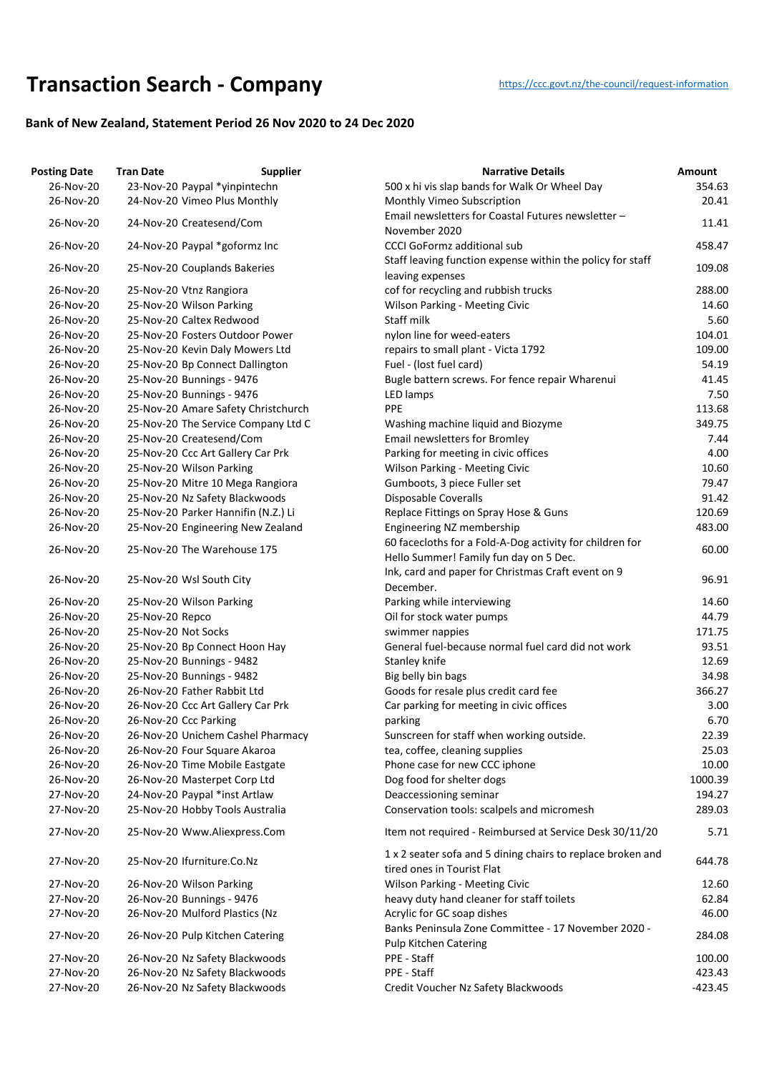## **Transaction Searc[h](https://ccc.govt.nz/the-council/request-information) - Company** https://ccc.govt.nz/the-council/request-information

## **Bank of New Zealand, Statement Period 26 Nov 2020 to 24 Dec 2020**

| <b>Posting Date</b> | <b>Tran Date</b>                    | <b>Supplier</b><br><b>Narrative Details</b>                                               | Amount    |
|---------------------|-------------------------------------|-------------------------------------------------------------------------------------------|-----------|
| 26-Nov-20           | 23-Nov-20 Paypal *yinpintechn       | 500 x hi vis slap bands for Walk Or Wheel Day                                             | 354.63    |
| 26-Nov-20           | 24-Nov-20 Vimeo Plus Monthly        | Monthly Vimeo Subscription                                                                | 20.41     |
| 26-Nov-20           | 24-Nov-20 Createsend/Com            | Email newsletters for Coastal Futures newsletter -<br>November 2020                       | 11.41     |
| 26-Nov-20           | 24-Nov-20 Paypal *goformz Inc       | <b>CCCI GoFormz additional sub</b>                                                        | 458.47    |
| 26-Nov-20           | 25-Nov-20 Couplands Bakeries        | Staff leaving function expense within the policy for staff<br>leaving expenses            | 109.08    |
| 26-Nov-20           | 25-Nov-20 Vtnz Rangiora             | cof for recycling and rubbish trucks                                                      | 288.00    |
| 26-Nov-20           | 25-Nov-20 Wilson Parking            | <b>Wilson Parking - Meeting Civic</b>                                                     | 14.60     |
| 26-Nov-20           | 25-Nov-20 Caltex Redwood            | Staff milk                                                                                | 5.60      |
| 26-Nov-20           | 25-Nov-20 Fosters Outdoor Power     | nylon line for weed-eaters                                                                | 104.01    |
| 26-Nov-20           | 25-Nov-20 Kevin Daly Mowers Ltd     | repairs to small plant - Victa 1792                                                       | 109.00    |
| 26-Nov-20           | 25-Nov-20 Bp Connect Dallington     | Fuel - (lost fuel card)                                                                   | 54.19     |
| 26-Nov-20           | 25-Nov-20 Bunnings - 9476           | Bugle battern screws. For fence repair Wharenui                                           | 41.45     |
| 26-Nov-20           | 25-Nov-20 Bunnings - 9476           | LED lamps                                                                                 | 7.50      |
| 26-Nov-20           | 25-Nov-20 Amare Safety Christchurch | <b>PPE</b>                                                                                | 113.68    |
| 26-Nov-20           | 25-Nov-20 The Service Company Ltd C | Washing machine liquid and Biozyme                                                        | 349.75    |
| 26-Nov-20           | 25-Nov-20 Createsend/Com            | <b>Email newsletters for Bromley</b>                                                      | 7.44      |
| 26-Nov-20           | 25-Nov-20 Ccc Art Gallery Car Prk   | Parking for meeting in civic offices                                                      | 4.00      |
| 26-Nov-20           | 25-Nov-20 Wilson Parking            | <b>Wilson Parking - Meeting Civic</b>                                                     | 10.60     |
| 26-Nov-20           | 25-Nov-20 Mitre 10 Mega Rangiora    | Gumboots, 3 piece Fuller set                                                              | 79.47     |
| 26-Nov-20           | 25-Nov-20 Nz Safety Blackwoods      | Disposable Coveralls                                                                      | 91.42     |
| 26-Nov-20           | 25-Nov-20 Parker Hannifin (N.Z.) Li | Replace Fittings on Spray Hose & Guns                                                     | 120.69    |
| 26-Nov-20           | 25-Nov-20 Engineering New Zealand   | Engineering NZ membership                                                                 | 483.00    |
|                     |                                     | 60 facecloths for a Fold-A-Dog activity for children for                                  |           |
| 26-Nov-20           | 25-Nov-20 The Warehouse 175         | Hello Summer! Family fun day on 5 Dec.                                                    | 60.00     |
|                     |                                     | Ink, card and paper for Christmas Craft event on 9                                        |           |
| 26-Nov-20           | 25-Nov-20 Wsl South City            | December.                                                                                 | 96.91     |
| 26-Nov-20           | 25-Nov-20 Wilson Parking            | Parking while interviewing                                                                | 14.60     |
| 26-Nov-20           | 25-Nov-20 Repco                     | Oil for stock water pumps                                                                 | 44.79     |
| 26-Nov-20           | 25-Nov-20 Not Socks                 | swimmer nappies                                                                           | 171.75    |
| 26-Nov-20           | 25-Nov-20 Bp Connect Hoon Hay       | General fuel-because normal fuel card did not work                                        | 93.51     |
| 26-Nov-20           | 25-Nov-20 Bunnings - 9482           | Stanley knife                                                                             | 12.69     |
| 26-Nov-20           | 25-Nov-20 Bunnings - 9482           | Big belly bin bags                                                                        | 34.98     |
| 26-Nov-20           | 26-Nov-20 Father Rabbit Ltd         | Goods for resale plus credit card fee                                                     | 366.27    |
| 26-Nov-20           | 26-Nov-20 Ccc Art Gallery Car Prk   | Car parking for meeting in civic offices                                                  | 3.00      |
| 26-Nov-20           | 26-Nov-20 Ccc Parking               | parking                                                                                   | 6.70      |
| 26-Nov-20           | 26-Nov-20 Unichem Cashel Pharmacy   | Sunscreen for staff when working outside.                                                 | 22.39     |
| 26-Nov-20           | 26-Nov-20 Four Square Akaroa        | tea, coffee, cleaning supplies                                                            | 25.03     |
| 26-Nov-20           | 26-Nov-20 Time Mobile Eastgate      | Phone case for new CCC iphone                                                             | 10.00     |
| 26-Nov-20           | 26-Nov-20 Masterpet Corp Ltd        | Dog food for shelter dogs                                                                 | 1000.39   |
| 27-Nov-20           | 24-Nov-20 Paypal *inst Artlaw       | Deaccessioning seminar                                                                    | 194.27    |
| 27-Nov-20           | 25-Nov-20 Hobby Tools Australia     | Conservation tools: scalpels and micromesh                                                | 289.03    |
| 27-Nov-20           | 25-Nov-20 Www.Aliexpress.Com        | Item not required - Reimbursed at Service Desk 30/11/20                                   | 5.71      |
| 27-Nov-20           | 25-Nov-20 Ifurniture.Co.Nz          | 1 x 2 seater sofa and 5 dining chairs to replace broken and<br>tired ones in Tourist Flat | 644.78    |
| 27-Nov-20           | 26-Nov-20 Wilson Parking            | <b>Wilson Parking - Meeting Civic</b>                                                     | 12.60     |
| 27-Nov-20           | 26-Nov-20 Bunnings - 9476           | heavy duty hand cleaner for staff toilets                                                 | 62.84     |
| 27-Nov-20           | 26-Nov-20 Mulford Plastics (Nz      | Acrylic for GC soap dishes                                                                | 46.00     |
|                     |                                     | Banks Peninsula Zone Committee - 17 November 2020 -                                       |           |
| 27-Nov-20           | 26-Nov-20 Pulp Kitchen Catering     | <b>Pulp Kitchen Catering</b>                                                              | 284.08    |
| 27-Nov-20           | 26-Nov-20 Nz Safety Blackwoods      | PPE - Staff                                                                               | 100.00    |
| 27-Nov-20           | 26-Nov-20 Nz Safety Blackwoods      | PPE - Staff                                                                               | 423.43    |
| 27-Nov-20           | 26-Nov-20 Nz Safety Blackwoods      | Credit Voucher Nz Safety Blackwoods                                                       | $-423.45$ |
|                     |                                     |                                                                                           |           |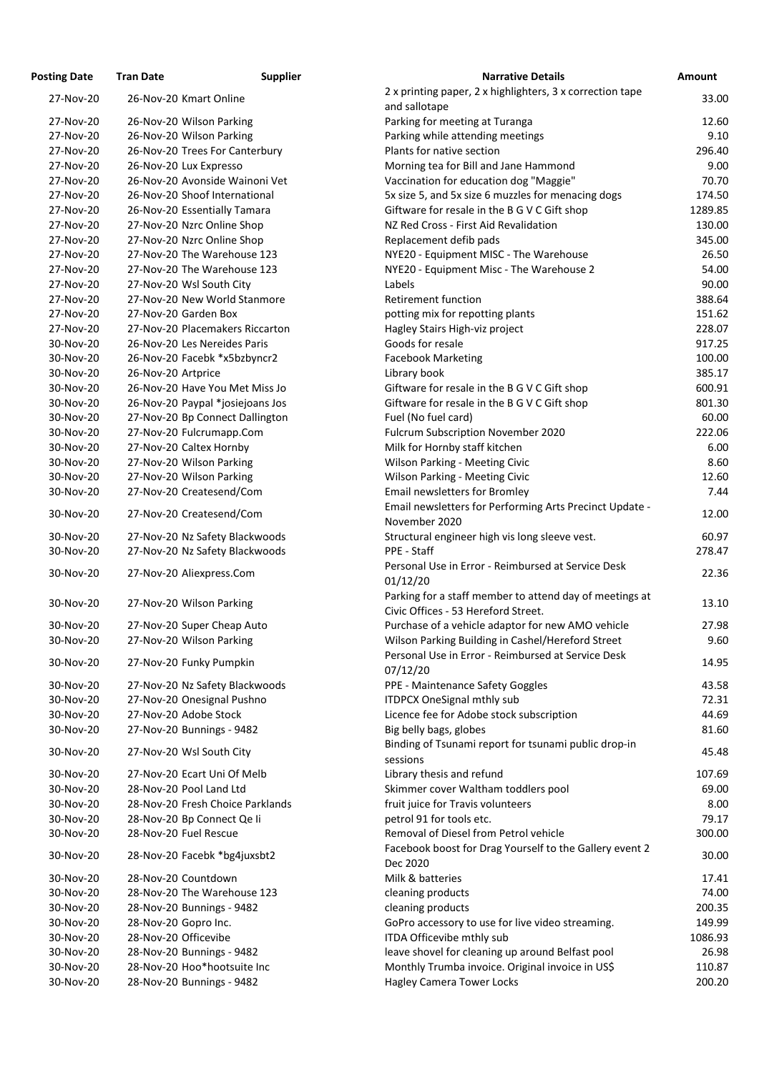| <b>osting Date</b> | <b>Tran Date</b>             | <b>Supplier</b>                  | <b>Narrative Details</b>                                        |
|--------------------|------------------------------|----------------------------------|-----------------------------------------------------------------|
| 27-Nov-20          | 26-Nov-20 Kmart Online       |                                  | 2 x printing paper, 2 x highlighters, 3 x correction ta         |
|                    |                              |                                  | and sallotape                                                   |
| 27-Nov-20          | 26-Nov-20 Wilson Parking     |                                  | Parking for meeting at Turanga                                  |
| 27-Nov-20          | 26-Nov-20 Wilson Parking     |                                  | Parking while attending meetings                                |
| 27-Nov-20          |                              | 26-Nov-20 Trees For Canterbury   | Plants for native section                                       |
| 27-Nov-20          | 26-Nov-20 Lux Expresso       |                                  | Morning tea for Bill and Jane Hammond                           |
| 27-Nov-20          |                              | 26-Nov-20 Avonside Wainoni Vet   | Vaccination for education dog "Maggie"                          |
| 27-Nov-20          |                              | 26-Nov-20 Shoof International    | 5x size 5, and 5x size 6 muzzles for menacing dogs              |
| 27-Nov-20          | 26-Nov-20 Essentially Tamara |                                  | Giftware for resale in the B G V C Gift shop                    |
| 27-Nov-20          | 27-Nov-20 Nzrc Online Shop   |                                  | NZ Red Cross - First Aid Revalidation                           |
| 27-Nov-20          | 27-Nov-20 Nzrc Online Shop   |                                  | Replacement defib pads                                          |
| 27-Nov-20          |                              | 27-Nov-20 The Warehouse 123      | NYE20 - Equipment MISC - The Warehouse                          |
| 27-Nov-20          |                              | 27-Nov-20 The Warehouse 123      | NYE20 - Equipment Misc - The Warehouse 2                        |
| 27-Nov-20          | 27-Nov-20 Wsl South City     |                                  | Labels                                                          |
| 27-Nov-20          |                              | 27-Nov-20 New World Stanmore     | <b>Retirement function</b>                                      |
| 27-Nov-20          | 27-Nov-20 Garden Box         |                                  | potting mix for repotting plants                                |
| 27-Nov-20          |                              | 27-Nov-20 Placemakers Riccarton  | Hagley Stairs High-viz project                                  |
| 30-Nov-20          | 26-Nov-20 Les Nereides Paris |                                  | Goods for resale                                                |
| 30-Nov-20          |                              | 26-Nov-20 Facebk *x5bzbyncr2     | <b>Facebook Marketing</b>                                       |
| 30-Nov-20          | 26-Nov-20 Artprice           |                                  | Library book                                                    |
| 30-Nov-20          |                              | 26-Nov-20 Have You Met Miss Jo   | Giftware for resale in the B G V C Gift shop                    |
| 30-Nov-20          |                              | 26-Nov-20 Paypal *josiejoans Jos | Giftware for resale in the B G V C Gift shop                    |
| 30-Nov-20          |                              | 27-Nov-20 Bp Connect Dallington  | Fuel (No fuel card)                                             |
| 30-Nov-20          | 27-Nov-20 Fulcrumapp.Com     |                                  | Fulcrum Subscription November 2020                              |
| 30-Nov-20          | 27-Nov-20 Caltex Hornby      |                                  | Milk for Hornby staff kitchen                                   |
| 30-Nov-20          | 27-Nov-20 Wilson Parking     |                                  | <b>Wilson Parking - Meeting Civic</b>                           |
| 30-Nov-20          | 27-Nov-20 Wilson Parking     |                                  | <b>Wilson Parking - Meeting Civic</b>                           |
| 30-Nov-20          | 27-Nov-20 Createsend/Com     |                                  | Email newsletters for Bromley                                   |
| 30-Nov-20          | 27-Nov-20 Createsend/Com     |                                  | Email newsletters for Performing Arts Precinct Upd              |
|                    |                              |                                  | November 2020                                                   |
| 30-Nov-20          |                              | 27-Nov-20 Nz Safety Blackwoods   | Structural engineer high vis long sleeve vest.                  |
| 30-Nov-20          |                              | 27-Nov-20 Nz Safety Blackwoods   | PPE - Staff                                                     |
| 30-Nov-20          | 27-Nov-20 Aliexpress.Com     |                                  | Personal Use in Error - Reimbursed at Service Desk              |
|                    |                              |                                  | 01/12/20                                                        |
| 30-Nov-20          | 27-Nov-20 Wilson Parking     |                                  | Parking for a staff member to attend day of meetin              |
|                    |                              |                                  | Civic Offices - 53 Hereford Street.                             |
| 30-Nov-20          | 27-Nov-20 Super Cheap Auto   |                                  | Purchase of a vehicle adaptor for new AMO vehicle               |
| 30-Nov-20          | 27-Nov-20 Wilson Parking     |                                  | Wilson Parking Building in Cashel/Hereford Street               |
| 30-Nov-20          | 27-Nov-20 Funky Pumpkin      |                                  | Personal Use in Error - Reimbursed at Service Desk              |
|                    |                              |                                  | 07/12/20                                                        |
| 30-Nov-20          |                              | 27-Nov-20 Nz Safety Blackwoods   | PPE - Maintenance Safety Goggles                                |
| 30-Nov-20          | 27-Nov-20 Onesignal Pushno   |                                  | <b>ITDPCX OneSignal mthly sub</b>                               |
| 30-Nov-20          | 27-Nov-20 Adobe Stock        |                                  | Licence fee for Adobe stock subscription                        |
| 30-Nov-20          | 27-Nov-20 Bunnings - 9482    |                                  | Big belly bags, globes                                          |
| 30-Nov-20          | 27-Nov-20 Wsl South City     |                                  | Binding of Tsunami report for tsunami public drop-              |
|                    |                              |                                  | sessions                                                        |
| 30-Nov-20          | 27-Nov-20 Ecart Uni Of Melb  |                                  | Library thesis and refund                                       |
| 30-Nov-20          | 28-Nov-20 Pool Land Ltd      |                                  | Skimmer cover Waltham toddlers pool                             |
| 30-Nov-20          |                              | 28-Nov-20 Fresh Choice Parklands | fruit juice for Travis volunteers                               |
| 30-Nov-20          | 28-Nov-20 Bp Connect Qe li   |                                  | petrol 91 for tools etc.                                        |
| 30-Nov-20          | 28-Nov-20 Fuel Rescue        |                                  | Removal of Diesel from Petrol vehicle                           |
| 30-Nov-20          |                              | 28-Nov-20 Facebk *bg4juxsbt2     | Facebook boost for Drag Yourself to the Gallery eve<br>Dec 2020 |
| 30-Nov-20          | 28-Nov-20 Countdown          |                                  | Milk & batteries                                                |
| 30-Nov-20          |                              | 28-Nov-20 The Warehouse 123      | cleaning products                                               |
| 30-Nov-20          | 28-Nov-20 Bunnings - 9482    |                                  | cleaning products                                               |
| 30-Nov-20          | 28-Nov-20 Gopro Inc.         |                                  | GoPro accessory to use for live video streaming.                |
| 30-Nov-20          | 28-Nov-20 Officevibe         |                                  | ITDA Officevibe mthly sub                                       |
| 30-Nov-20          | 28-Nov-20 Bunnings - 9482    |                                  | leave shovel for cleaning up around Belfast pool                |
| 30-Nov-20          | 28-Nov-20 Hoo*hootsuite Inc  |                                  | Monthly Trumba invoice. Original invoice in US\$                |
| 30-Nov-20          | 28-Nov-20 Bunnings - 9482    |                                  | <b>Hagley Camera Tower Locks</b>                                |

| <b>Posting Date</b> | <b>Tran Date</b>        | <b>Supplier</b>                  | <b>Narrative Details</b>                                                 | <b>Amount</b> |
|---------------------|-------------------------|----------------------------------|--------------------------------------------------------------------------|---------------|
| 27-Nov-20           | 26-Nov-20 Kmart Online  |                                  | 2 x printing paper, 2 x highlighters, 3 x correction tape                | 33.00         |
|                     |                         |                                  | and sallotape                                                            |               |
| 27-Nov-20           |                         | 26-Nov-20 Wilson Parking         | Parking for meeting at Turanga                                           | 12.60         |
| 27-Nov-20           |                         | 26-Nov-20 Wilson Parking         | Parking while attending meetings                                         | 9.10          |
| 27-Nov-20           |                         | 26-Nov-20 Trees For Canterbury   | Plants for native section                                                | 296.40        |
| 27-Nov-20           | 26-Nov-20 Lux Expresso  |                                  | Morning tea for Bill and Jane Hammond                                    | 9.00          |
| 27-Nov-20           |                         | 26-Nov-20 Avonside Wainoni Vet   | Vaccination for education dog "Maggie"                                   | 70.70         |
| 27-Nov-20           |                         | 26-Nov-20 Shoof International    | 5x size 5, and 5x size 6 muzzles for menacing dogs                       | 174.50        |
| 27-Nov-20           |                         | 26-Nov-20 Essentially Tamara     | Giftware for resale in the B G V C Gift shop                             | 1289.85       |
| 27-Nov-20           |                         | 27-Nov-20 Nzrc Online Shop       | NZ Red Cross - First Aid Revalidation                                    | 130.00        |
| 27-Nov-20           |                         | 27-Nov-20 Nzrc Online Shop       | Replacement defib pads                                                   | 345.00        |
| 27-Nov-20           |                         | 27-Nov-20 The Warehouse 123      | NYE20 - Equipment MISC - The Warehouse                                   | 26.50         |
| 27-Nov-20           |                         | 27-Nov-20 The Warehouse 123      | NYE20 - Equipment Misc - The Warehouse 2                                 | 54.00         |
| 27-Nov-20           |                         | 27-Nov-20 Wsl South City         | Labels                                                                   | 90.00         |
| 27-Nov-20           |                         | 27-Nov-20 New World Stanmore     | <b>Retirement function</b>                                               | 388.64        |
| 27-Nov-20           | 27-Nov-20 Garden Box    |                                  | potting mix for repotting plants                                         | 151.62        |
| 27-Nov-20           |                         | 27-Nov-20 Placemakers Riccarton  | Hagley Stairs High-viz project                                           | 228.07        |
| 30-Nov-20           |                         | 26-Nov-20 Les Nereides Paris     | Goods for resale                                                         | 917.25        |
| 30-Nov-20           |                         | 26-Nov-20 Facebk *x5bzbyncr2     | <b>Facebook Marketing</b>                                                | 100.00        |
| 30-Nov-20           | 26-Nov-20 Artprice      |                                  | Library book                                                             | 385.17        |
| 30-Nov-20           |                         | 26-Nov-20 Have You Met Miss Jo   | Giftware for resale in the B G V C Gift shop                             | 600.91        |
| 30-Nov-20           |                         | 26-Nov-20 Paypal *josiejoans Jos | Giftware for resale in the B G V C Gift shop                             | 801.30        |
| 30-Nov-20           |                         | 27-Nov-20 Bp Connect Dallington  | Fuel (No fuel card)                                                      | 60.00         |
| 30-Nov-20           |                         | 27-Nov-20 Fulcrumapp.Com         | Fulcrum Subscription November 2020                                       | 222.06        |
| 30-Nov-20           |                         | 27-Nov-20 Caltex Hornby          | Milk for Hornby staff kitchen                                            | 6.00          |
| 30-Nov-20           |                         | 27-Nov-20 Wilson Parking         | <b>Wilson Parking - Meeting Civic</b>                                    | 8.60          |
| 30-Nov-20           |                         | 27-Nov-20 Wilson Parking         | <b>Wilson Parking - Meeting Civic</b>                                    | 12.60         |
| 30-Nov-20           |                         | 27-Nov-20 Createsend/Com         | <b>Email newsletters for Bromley</b>                                     | 7.44          |
| 30-Nov-20           |                         | 27-Nov-20 Createsend/Com         | Email newsletters for Performing Arts Precinct Update -<br>November 2020 | 12.00         |
| 30-Nov-20           |                         | 27-Nov-20 Nz Safety Blackwoods   | Structural engineer high vis long sleeve vest.                           | 60.97         |
| 30-Nov-20           |                         | 27-Nov-20 Nz Safety Blackwoods   | PPE - Staff                                                              | 278.47        |
|                     |                         |                                  | Personal Use in Error - Reimbursed at Service Desk                       |               |
| 30-Nov-20           |                         | 27-Nov-20 Aliexpress.Com         | 01/12/20                                                                 | 22.36         |
|                     |                         |                                  | Parking for a staff member to attend day of meetings at                  |               |
| 30-Nov-20           |                         | 27-Nov-20 Wilson Parking         | Civic Offices - 53 Hereford Street.                                      | 13.10         |
| 30-Nov-20           |                         | 27-Nov-20 Super Cheap Auto       | Purchase of a vehicle adaptor for new AMO vehicle                        | 27.98         |
| 30-Nov-20           |                         | 27-Nov-20 Wilson Parking         | Wilson Parking Building in Cashel/Hereford Street                        | 9.60          |
|                     |                         |                                  | Personal Use in Error - Reimbursed at Service Desk                       |               |
| 30-Nov-20           |                         | 27-Nov-20 Funky Pumpkin          | 07/12/20                                                                 | 14.95         |
| 30-Nov-20           |                         | 27-Nov-20 Nz Safety Blackwoods   | PPE - Maintenance Safety Goggles                                         | 43.58         |
| 30-Nov-20           |                         | 27-Nov-20 Onesignal Pushno       | <b>ITDPCX OneSignal mthly sub</b>                                        | 72.31         |
| 30-Nov-20           | 27-Nov-20 Adobe Stock   |                                  | Licence fee for Adobe stock subscription                                 | 44.69         |
| 30-Nov-20           |                         | 27-Nov-20 Bunnings - 9482        | Big belly bags, globes                                                   | 81.60         |
|                     |                         |                                  | Binding of Tsunami report for tsunami public drop-in                     |               |
| 30-Nov-20           |                         | 27-Nov-20 Wsl South City         | sessions                                                                 | 45.48         |
| 30-Nov-20           |                         | 27-Nov-20 Ecart Uni Of Melb      | Library thesis and refund                                                | 107.69        |
| 30-Nov-20           | 28-Nov-20 Pool Land Ltd |                                  | Skimmer cover Waltham toddlers pool                                      | 69.00         |
| 30-Nov-20           |                         | 28-Nov-20 Fresh Choice Parklands | fruit juice for Travis volunteers                                        | 8.00          |
| 30-Nov-20           |                         | 28-Nov-20 Bp Connect Qe li       | petrol 91 for tools etc.                                                 | 79.17         |
| 30-Nov-20           | 28-Nov-20 Fuel Rescue   |                                  | Removal of Diesel from Petrol vehicle                                    | 300.00        |
| 30-Nov-20           |                         | 28-Nov-20 Facebk *bg4juxsbt2     | Facebook boost for Drag Yourself to the Gallery event 2<br>Dec 2020      | 30.00         |
| 30-Nov-20           | 28-Nov-20 Countdown     |                                  | Milk & batteries                                                         | 17.41         |
| 30-Nov-20           |                         | 28-Nov-20 The Warehouse 123      | cleaning products                                                        | 74.00         |
| 30-Nov-20           |                         | 28-Nov-20 Bunnings - 9482        | cleaning products                                                        | 200.35        |
| 30-Nov-20           | 28-Nov-20 Gopro Inc.    |                                  | GoPro accessory to use for live video streaming.                         | 149.99        |
| 30-Nov-20           | 28-Nov-20 Officevibe    |                                  | ITDA Officevibe mthly sub                                                | 1086.93       |
| 30-Nov-20           |                         | 28-Nov-20 Bunnings - 9482        | leave shovel for cleaning up around Belfast pool                         | 26.98         |
| 30-Nov-20           |                         | 28-Nov-20 Hoo*hootsuite Inc      | Monthly Trumba invoice. Original invoice in US\$                         | 110.87        |
| 30-Nov-20           |                         | 28-Nov-20 Bunnings - 9482        | <b>Hagley Camera Tower Locks</b>                                         | 200.20        |
|                     |                         |                                  |                                                                          |               |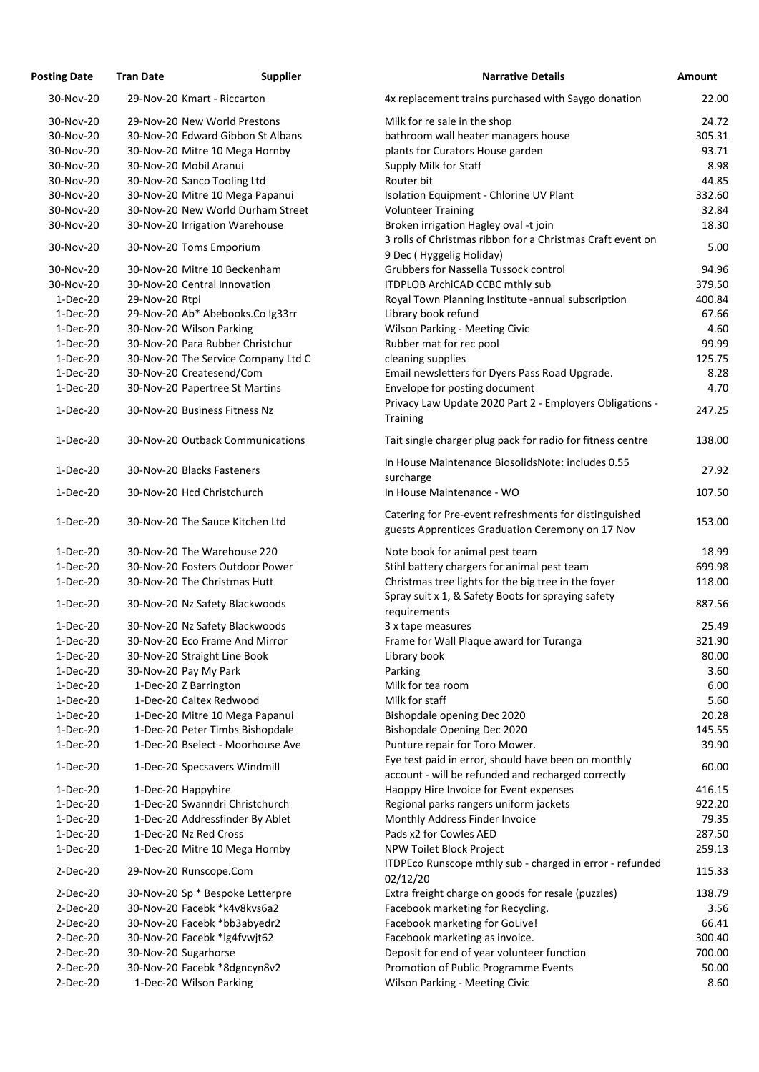| <b>Posting Date</b>    | <b>Tran Date</b>      | <b>Supplier</b>                                              | <b>Narrative Details</b>                                                                                  | Amount |
|------------------------|-----------------------|--------------------------------------------------------------|-----------------------------------------------------------------------------------------------------------|--------|
| 30-Nov-20              |                       | 29-Nov-20 Kmart - Riccarton                                  | 4x replacement trains purchased with Saygo donation                                                       | 22.00  |
| 30-Nov-20              |                       | 29-Nov-20 New World Prestons                                 | Milk for re sale in the shop                                                                              | 24.72  |
| 30-Nov-20              |                       | 30-Nov-20 Edward Gibbon St Albans                            | bathroom wall heater managers house                                                                       | 305.31 |
| 30-Nov-20              |                       | 30-Nov-20 Mitre 10 Mega Hornby                               | plants for Curators House garden                                                                          | 93.71  |
| 30-Nov-20              |                       | 30-Nov-20 Mobil Aranui                                       | Supply Milk for Staff                                                                                     | 8.98   |
| 30-Nov-20              |                       | 30-Nov-20 Sanco Tooling Ltd                                  | Router bit                                                                                                | 44.85  |
| 30-Nov-20              |                       | 30-Nov-20 Mitre 10 Mega Papanui                              | Isolation Equipment - Chlorine UV Plant                                                                   | 332.60 |
| 30-Nov-20              |                       | 30-Nov-20 New World Durham Street                            | <b>Volunteer Training</b>                                                                                 | 32.84  |
| 30-Nov-20              |                       | 30-Nov-20 Irrigation Warehouse                               | Broken irrigation Hagley oval -t join                                                                     | 18.30  |
| 30-Nov-20              |                       | 30-Nov-20 Toms Emporium                                      | 3 rolls of Christmas ribbon for a Christmas Craft event on                                                | 5.00   |
|                        |                       |                                                              | 9 Dec (Hyggelig Holiday)<br><b>Grubbers for Nassella Tussock control</b>                                  | 94.96  |
| 30-Nov-20<br>30-Nov-20 |                       | 30-Nov-20 Mitre 10 Beckenham<br>30-Nov-20 Central Innovation |                                                                                                           | 379.50 |
|                        |                       |                                                              | ITDPLOB ArchiCAD CCBC mthly sub                                                                           |        |
| $1-Dec-20$             | 29-Nov-20 Rtpi        |                                                              | Royal Town Planning Institute -annual subscription                                                        | 400.84 |
| $1-Dec-20$             |                       | 29-Nov-20 Ab* Abebooks.Co Ig33rr                             | Library book refund                                                                                       | 67.66  |
| $1-Dec-20$             |                       | 30-Nov-20 Wilson Parking                                     | Wilson Parking - Meeting Civic                                                                            | 4.60   |
| $1-Dec-20$             |                       | 30-Nov-20 Para Rubber Christchur                             | Rubber mat for rec pool                                                                                   | 99.99  |
| 1-Dec-20               |                       | 30-Nov-20 The Service Company Ltd C                          | cleaning supplies                                                                                         | 125.75 |
| $1-Dec-20$             |                       | 30-Nov-20 Createsend/Com                                     | Email newsletters for Dyers Pass Road Upgrade.                                                            | 8.28   |
| $1-Dec-20$             |                       | 30-Nov-20 Papertree St Martins                               | Envelope for posting document<br>Privacy Law Update 2020 Part 2 - Employers Obligations -                 | 4.70   |
| 1-Dec-20               |                       | 30-Nov-20 Business Fitness Nz                                | <b>Training</b>                                                                                           | 247.25 |
| $1-Dec-20$             |                       | 30-Nov-20 Outback Communications                             | Tait single charger plug pack for radio for fitness centre                                                | 138.00 |
| $1-Dec-20$             |                       | 30-Nov-20 Blacks Fasteners                                   | In House Maintenance Biosolids Note: includes 0.55<br>surcharge                                           | 27.92  |
| $1-Dec-20$             |                       | 30-Nov-20 Hcd Christchurch                                   | In House Maintenance - WO                                                                                 | 107.50 |
| 1-Dec-20               |                       | 30-Nov-20 The Sauce Kitchen Ltd                              | Catering for Pre-event refreshments for distinguished<br>guests Apprentices Graduation Ceremony on 17 Nov | 153.00 |
| $1-Dec-20$             |                       | 30-Nov-20 The Warehouse 220                                  | Note book for animal pest team                                                                            | 18.99  |
| $1-Dec-20$             |                       | 30-Nov-20 Fosters Outdoor Power                              | Stihl battery chargers for animal pest team                                                               | 699.98 |
| $1-Dec-20$             |                       | 30-Nov-20 The Christmas Hutt                                 | Christmas tree lights for the big tree in the foyer                                                       | 118.00 |
| 1-Dec-20               |                       | 30-Nov-20 Nz Safety Blackwoods                               | Spray suit x 1, & Safety Boots for spraying safety<br>requirements                                        | 887.56 |
| $1-Dec-20$             |                       | 30-Nov-20 Nz Safety Blackwoods                               | 3 x tape measures                                                                                         | 25.49  |
| $1-Dec-20$             |                       | 30-Nov-20 Eco Frame And Mirror                               | Frame for Wall Plaque award for Turanga                                                                   | 321.90 |
| $1-Dec-20$             |                       | 30-Nov-20 Straight Line Book                                 |                                                                                                           | 80.00  |
| $1-Dec-20$             |                       |                                                              | Library book                                                                                              |        |
|                        | 30-Nov-20 Pay My Park |                                                              | Parking                                                                                                   | 3.60   |
| $1-Dec-20$             |                       | 1-Dec-20 Z Barrington                                        | Milk for tea room                                                                                         | 6.00   |
| $1-Dec-20$             |                       | 1-Dec-20 Caltex Redwood                                      | Milk for staff                                                                                            | 5.60   |
| $1-Dec-20$             |                       | 1-Dec-20 Mitre 10 Mega Papanui                               | Bishopdale opening Dec 2020                                                                               | 20.28  |
| $1-Dec-20$             |                       | 1-Dec-20 Peter Timbs Bishopdale                              | <b>Bishopdale Opening Dec 2020</b>                                                                        | 145.55 |
| $1-Dec-20$             |                       | 1-Dec-20 Bselect - Moorhouse Ave                             | Punture repair for Toro Mower.<br>Eye test paid in error, should have been on monthly                     | 39.90  |
| $1-Dec-20$             |                       | 1-Dec-20 Specsavers Windmill                                 | account - will be refunded and recharged correctly                                                        | 60.00  |
| 1-Dec-20               | 1-Dec-20 Happyhire    |                                                              | Haoppy Hire Invoice for Event expenses                                                                    | 416.15 |
| $1-Dec-20$             |                       | 1-Dec-20 Swanndri Christchurch                               | Regional parks rangers uniform jackets                                                                    | 922.20 |
| $1-Dec-20$             |                       | 1-Dec-20 Addressfinder By Ablet                              | Monthly Address Finder Invoice                                                                            | 79.35  |
| $1-Dec-20$             |                       | 1-Dec-20 Nz Red Cross                                        | Pads x2 for Cowles AED                                                                                    | 287.50 |
| $1-Dec-20$             |                       | 1-Dec-20 Mitre 10 Mega Hornby                                | NPW Toilet Block Project                                                                                  | 259.13 |
| $2-Dec-20$             |                       | 29-Nov-20 Runscope.Com                                       | ITDPEco Runscope mthly sub - charged in error - refunded<br>02/12/20                                      | 115.33 |
| 2-Dec-20               |                       | 30-Nov-20 Sp * Bespoke Letterpre                             | Extra freight charge on goods for resale (puzzles)                                                        | 138.79 |
| 2-Dec-20               |                       | 30-Nov-20 Facebk *k4v8kvs6a2                                 | Facebook marketing for Recycling.                                                                         | 3.56   |
| 2-Dec-20               |                       | 30-Nov-20 Facebk *bb3abyedr2                                 | Facebook marketing for GoLive!                                                                            | 66.41  |
| $2-Dec-20$             |                       | 30-Nov-20 Facebk *lg4fvwjt62                                 | Facebook marketing as invoice.                                                                            | 300.40 |
| $2-Dec-20$             |                       |                                                              |                                                                                                           | 700.00 |
| 2-Dec-20               | 30-Nov-20 Sugarhorse  | 30-Nov-20 Facebk *8dgncyn8v2                                 | Deposit for end of year volunteer function<br>Promotion of Public Programme Events                        | 50.00  |
| 2-Dec-20               |                       | 1-Dec-20 Wilson Parking                                      | <b>Wilson Parking - Meeting Civic</b>                                                                     | 8.60   |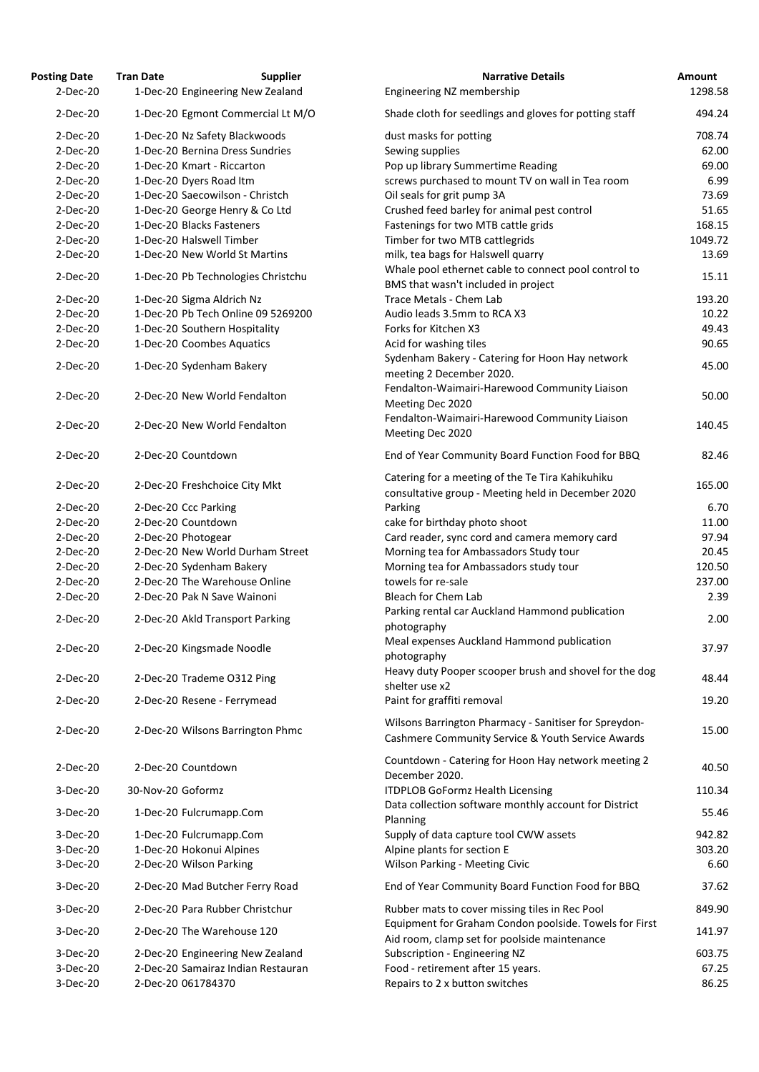| <b>Posting Date</b> | <b>Tran Date</b><br><b>Supplier</b> | <b>Narrative Details</b>                                                                                   | Amount  |
|---------------------|-------------------------------------|------------------------------------------------------------------------------------------------------------|---------|
| $2-Dec-20$          | 1-Dec-20 Engineering New Zealand    | Engineering NZ membership                                                                                  | 1298.58 |
| 2-Dec-20            | 1-Dec-20 Egmont Commercial Lt M/O   | Shade cloth for seedlings and gloves for potting staff                                                     | 494.24  |
| $2-Dec-20$          | 1-Dec-20 Nz Safety Blackwoods       | dust masks for potting                                                                                     | 708.74  |
| $2-Dec-20$          | 1-Dec-20 Bernina Dress Sundries     | Sewing supplies                                                                                            | 62.00   |
| 2-Dec-20            | 1-Dec-20 Kmart - Riccarton          | Pop up library Summertime Reading                                                                          | 69.00   |
| $2-Dec-20$          | 1-Dec-20 Dyers Road Itm             | screws purchased to mount TV on wall in Tea room                                                           | 6.99    |
| $2-Dec-20$          | 1-Dec-20 Saecowilson - Christch     | Oil seals for grit pump 3A                                                                                 | 73.69   |
| $2-Dec-20$          |                                     |                                                                                                            |         |
|                     | 1-Dec-20 George Henry & Co Ltd      | Crushed feed barley for animal pest control                                                                | 51.65   |
| $2-Dec-20$          | 1-Dec-20 Blacks Fasteners           | Fastenings for two MTB cattle grids                                                                        | 168.15  |
| $2-Dec-20$          | 1-Dec-20 Halswell Timber            | Timber for two MTB cattlegrids                                                                             | 1049.72 |
| $2-Dec-20$          | 1-Dec-20 New World St Martins       | milk, tea bags for Halswell quarry                                                                         | 13.69   |
| 2-Dec-20            | 1-Dec-20 Pb Technologies Christchu  | Whale pool ethernet cable to connect pool control to<br>BMS that wasn't included in project                | 15.11   |
| 2-Dec-20            | 1-Dec-20 Sigma Aldrich Nz           | Trace Metals - Chem Lab                                                                                    | 193.20  |
| 2-Dec-20            | 1-Dec-20 Pb Tech Online 09 5269200  | Audio leads 3.5mm to RCA X3                                                                                | 10.22   |
| 2-Dec-20            | 1-Dec-20 Southern Hospitality       | Forks for Kitchen X3                                                                                       | 49.43   |
| $2-Dec-20$          | 1-Dec-20 Coombes Aquatics           | Acid for washing tiles                                                                                     | 90.65   |
|                     |                                     | Sydenham Bakery - Catering for Hoon Hay network                                                            |         |
| $2-Dec-20$          | 1-Dec-20 Sydenham Bakery            | meeting 2 December 2020.                                                                                   | 45.00   |
| 2-Dec-20            | 2-Dec-20 New World Fendalton        | Fendalton-Waimairi-Harewood Community Liaison<br>Meeting Dec 2020                                          | 50.00   |
| 2-Dec-20            | 2-Dec-20 New World Fendalton        | Fendalton-Waimairi-Harewood Community Liaison<br>Meeting Dec 2020                                          | 140.45  |
| 2-Dec-20            | 2-Dec-20 Countdown                  | End of Year Community Board Function Food for BBQ                                                          | 82.46   |
| 2-Dec-20            | 2-Dec-20 Freshchoice City Mkt       | Catering for a meeting of the Te Tira Kahikuhiku<br>consultative group - Meeting held in December 2020     | 165.00  |
| $2-Dec-20$          | 2-Dec-20 Ccc Parking                | Parking                                                                                                    | 6.70    |
| $2-Dec-20$          | 2-Dec-20 Countdown                  | cake for birthday photo shoot                                                                              | 11.00   |
| $2-Dec-20$          | 2-Dec-20 Photogear                  | Card reader, sync cord and camera memory card                                                              | 97.94   |
|                     |                                     |                                                                                                            |         |
| $2-Dec-20$          | 2-Dec-20 New World Durham Street    | Morning tea for Ambassadors Study tour                                                                     | 20.45   |
| 2-Dec-20            | 2-Dec-20 Sydenham Bakery            | Morning tea for Ambassadors study tour                                                                     | 120.50  |
| $2-Dec-20$          | 2-Dec-20 The Warehouse Online       | towels for re-sale                                                                                         | 237.00  |
| 2-Dec-20            | 2-Dec-20 Pak N Save Wainoni         | <b>Bleach for Chem Lab</b>                                                                                 | 2.39    |
| 2-Dec-20            | 2-Dec-20 Akld Transport Parking     | Parking rental car Auckland Hammond publication<br>photography                                             | 2.00    |
| 2-Dec-20            | 2-Dec-20 Kingsmade Noodle           | Meal expenses Auckland Hammond publication<br>photography                                                  | 37.97   |
| 2-Dec-20            | 2-Dec-20 Trademe O312 Ping          | Heavy duty Pooper scooper brush and shovel for the dog                                                     | 48.44   |
|                     |                                     | shelter use x2                                                                                             |         |
| 2-Dec-20            | 2-Dec-20 Resene - Ferrymead         | Paint for graffiti removal                                                                                 | 19.20   |
| 2-Dec-20            | 2-Dec-20 Wilsons Barrington Phmc    | Wilsons Barrington Pharmacy - Sanitiser for Spreydon-<br>Cashmere Community Service & Youth Service Awards | 15.00   |
| $2-Dec-20$          | 2-Dec-20 Countdown                  | Countdown - Catering for Hoon Hay network meeting 2<br>December 2020.                                      | 40.50   |
| 3-Dec-20            | 30-Nov-20 Goformz                   | <b>ITDPLOB GoFormz Health Licensing</b>                                                                    | 110.34  |
| 3-Dec-20            | 1-Dec-20 Fulcrumapp.Com             | Data collection software monthly account for District<br>Planning                                          | 55.46   |
| 3-Dec-20            | 1-Dec-20 Fulcrumapp.Com             | Supply of data capture tool CWW assets                                                                     | 942.82  |
| 3-Dec-20            | 1-Dec-20 Hokonui Alpines            | Alpine plants for section E                                                                                | 303.20  |
| 3-Dec-20            | 2-Dec-20 Wilson Parking             | Wilson Parking - Meeting Civic                                                                             | 6.60    |
| 3-Dec-20            | 2-Dec-20 Mad Butcher Ferry Road     | End of Year Community Board Function Food for BBQ                                                          | 37.62   |
| 3-Dec-20            | 2-Dec-20 Para Rubber Christchur     | Rubber mats to cover missing tiles in Rec Pool                                                             | 849.90  |
| 3-Dec-20            | 2-Dec-20 The Warehouse 120          | Equipment for Graham Condon poolside. Towels for First<br>Aid room, clamp set for poolside maintenance     | 141.97  |
| 3-Dec-20            | 2-Dec-20 Engineering New Zealand    | Subscription - Engineering NZ                                                                              | 603.75  |
| 3-Dec-20            | 2-Dec-20 Samairaz Indian Restauran  | Food - retirement after 15 years.                                                                          | 67.25   |
| 3-Dec-20            | 2-Dec-20 061784370                  | Repairs to 2 x button switches                                                                             | 86.25   |
|                     |                                     |                                                                                                            |         |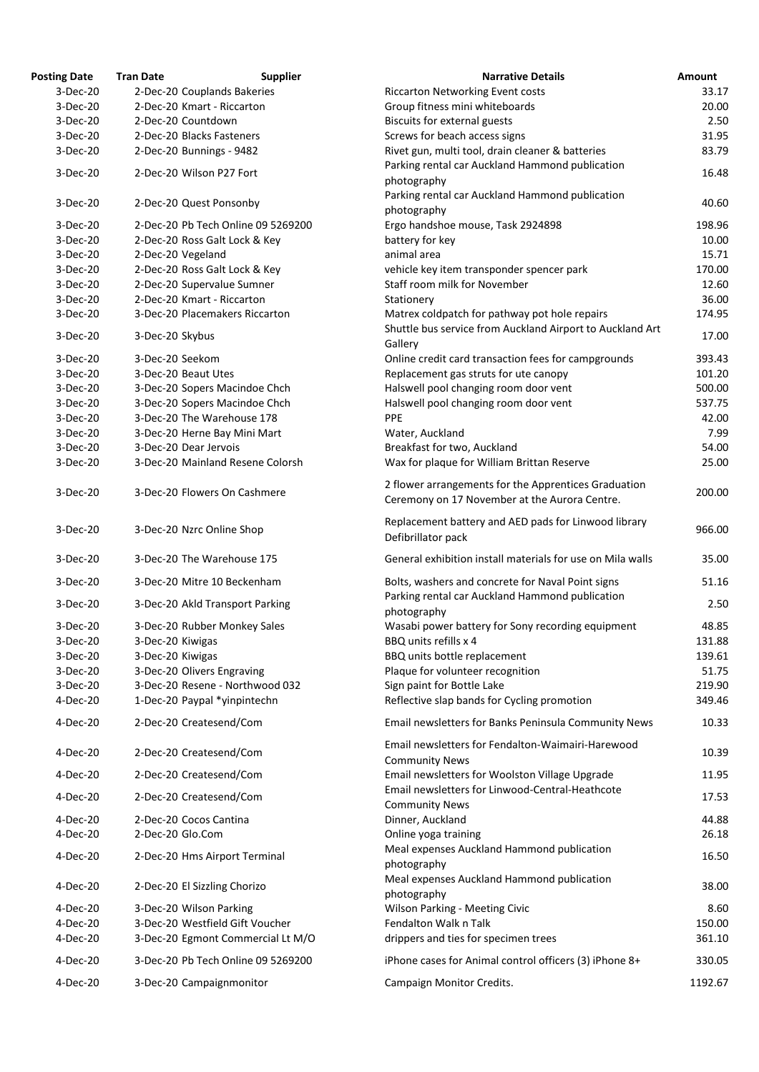| <b>Posting Date</b> | <b>Tran Date</b>                   | <b>Narrative Details</b><br><b>Supplier</b>                                                           | Amount  |
|---------------------|------------------------------------|-------------------------------------------------------------------------------------------------------|---------|
| 3-Dec-20            | 2-Dec-20 Couplands Bakeries        | <b>Riccarton Networking Event costs</b>                                                               | 33.17   |
| 3-Dec-20            | 2-Dec-20 Kmart - Riccarton         | Group fitness mini whiteboards                                                                        | 20.00   |
| 3-Dec-20            | 2-Dec-20 Countdown                 | <b>Biscuits for external guests</b>                                                                   | 2.50    |
| 3-Dec-20            | 2-Dec-20 Blacks Fasteners          | Screws for beach access signs                                                                         | 31.95   |
| 3-Dec-20            | 2-Dec-20 Bunnings - 9482           | Rivet gun, multi tool, drain cleaner & batteries                                                      | 83.79   |
|                     |                                    | Parking rental car Auckland Hammond publication                                                       |         |
| 3-Dec-20            | 2-Dec-20 Wilson P27 Fort           | photography                                                                                           | 16.48   |
|                     |                                    | Parking rental car Auckland Hammond publication                                                       |         |
| 3-Dec-20            | 2-Dec-20 Quest Ponsonby            | photography                                                                                           | 40.60   |
| 3-Dec-20            | 2-Dec-20 Pb Tech Online 09 5269200 | Ergo handshoe mouse, Task 2924898                                                                     | 198.96  |
| 3-Dec-20            | 2-Dec-20 Ross Galt Lock & Key      | battery for key                                                                                       | 10.00   |
| 3-Dec-20            | 2-Dec-20 Vegeland                  | animal area                                                                                           | 15.71   |
| 3-Dec-20            | 2-Dec-20 Ross Galt Lock & Key      | vehicle key item transponder spencer park                                                             | 170.00  |
| 3-Dec-20            | 2-Dec-20 Supervalue Sumner         | Staff room milk for November                                                                          | 12.60   |
| 3-Dec-20            | 2-Dec-20 Kmart - Riccarton         | Stationery                                                                                            | 36.00   |
| 3-Dec-20            | 3-Dec-20 Placemakers Riccarton     | Matrex coldpatch for pathway pot hole repairs                                                         | 174.95  |
|                     |                                    | Shuttle bus service from Auckland Airport to Auckland Art                                             |         |
| 3-Dec-20            | 3-Dec-20 Skybus                    | Gallery                                                                                               | 17.00   |
| 3-Dec-20            | 3-Dec-20 Seekom                    | Online credit card transaction fees for campgrounds                                                   | 393.43  |
| 3-Dec-20            | 3-Dec-20 Beaut Utes                | Replacement gas struts for ute canopy                                                                 | 101.20  |
| 3-Dec-20            | 3-Dec-20 Sopers Macindoe Chch      | Halswell pool changing room door vent                                                                 | 500.00  |
| 3-Dec-20            | 3-Dec-20 Sopers Macindoe Chch      | Halswell pool changing room door vent                                                                 | 537.75  |
| 3-Dec-20            | 3-Dec-20 The Warehouse 178         | PPE                                                                                                   | 42.00   |
| 3-Dec-20            | 3-Dec-20 Herne Bay Mini Mart       | Water, Auckland                                                                                       | 7.99    |
| 3-Dec-20            | 3-Dec-20 Dear Jervois              | Breakfast for two, Auckland                                                                           | 54.00   |
| 3-Dec-20            | 3-Dec-20 Mainland Resene Colorsh   | Wax for plaque for William Brittan Reserve                                                            | 25.00   |
| 3-Dec-20            | 3-Dec-20 Flowers On Cashmere       | 2 flower arrangements for the Apprentices Graduation<br>Ceremony on 17 November at the Aurora Centre. | 200.00  |
| 3-Dec-20            | 3-Dec-20 Nzrc Online Shop          | Replacement battery and AED pads for Linwood library<br>Defibrillator pack                            | 966.00  |
| 3-Dec-20            | 3-Dec-20 The Warehouse 175         | General exhibition install materials for use on Mila walls                                            | 35.00   |
| 3-Dec-20            | 3-Dec-20 Mitre 10 Beckenham        | Bolts, washers and concrete for Naval Point signs                                                     | 51.16   |
| 3-Dec-20            | 3-Dec-20 Akld Transport Parking    | Parking rental car Auckland Hammond publication<br>photography                                        | 2.50    |
| 3-Dec-20            | 3-Dec-20 Rubber Monkey Sales       | Wasabi power battery for Sony recording equipment                                                     | 48.85   |
| 3-Dec-20            | 3-Dec-20 Kiwigas                   | BBQ units refills x 4                                                                                 | 131.88  |
| 3-Dec-20            | 3-Dec-20 Kiwigas                   | BBQ units bottle replacement                                                                          | 139.61  |
| 3-Dec-20            | 3-Dec-20 Olivers Engraving         | Plaque for volunteer recognition                                                                      | 51.75   |
| 3-Dec-20            | 3-Dec-20 Resene - Northwood 032    | Sign paint for Bottle Lake                                                                            | 219.90  |
| 4-Dec-20            | 1-Dec-20 Paypal *yinpintechn       | Reflective slap bands for Cycling promotion                                                           | 349.46  |
| 4-Dec-20            | 2-Dec-20 Createsend/Com            | Email newsletters for Banks Peninsula Community News                                                  | 10.33   |
| 4-Dec-20            | 2-Dec-20 Createsend/Com            | Email newsletters for Fendalton-Waimairi-Harewood                                                     | 10.39   |
| 4-Dec-20            | 2-Dec-20 Createsend/Com            | <b>Community News</b><br>Email newsletters for Woolston Village Upgrade                               | 11.95   |
| 4-Dec-20            | 2-Dec-20 Createsend/Com            | Email newsletters for Linwood-Central-Heathcote                                                       | 17.53   |
|                     |                                    | <b>Community News</b>                                                                                 |         |
| 4-Dec-20            | 2-Dec-20 Cocos Cantina             | Dinner, Auckland                                                                                      | 44.88   |
| 4-Dec-20            | 2-Dec-20 Glo.Com                   | Online yoga training                                                                                  | 26.18   |
| 4-Dec-20            | 2-Dec-20 Hms Airport Terminal      | Meal expenses Auckland Hammond publication<br>photography                                             | 16.50   |
| 4-Dec-20            | 2-Dec-20 El Sizzling Chorizo       | Meal expenses Auckland Hammond publication<br>photography                                             | 38.00   |
| 4-Dec-20            | 3-Dec-20 Wilson Parking            | <b>Wilson Parking - Meeting Civic</b>                                                                 | 8.60    |
| 4-Dec-20            | 3-Dec-20 Westfield Gift Voucher    | Fendalton Walk n Talk                                                                                 | 150.00  |
| 4-Dec-20            | 3-Dec-20 Egmont Commercial Lt M/O  | drippers and ties for specimen trees                                                                  | 361.10  |
| 4-Dec-20            | 3-Dec-20 Pb Tech Online 09 5269200 | iPhone cases for Animal control officers (3) iPhone 8+                                                | 330.05  |
| 4-Dec-20            | 3-Dec-20 Campaignmonitor           | Campaign Monitor Credits.                                                                             | 1192.67 |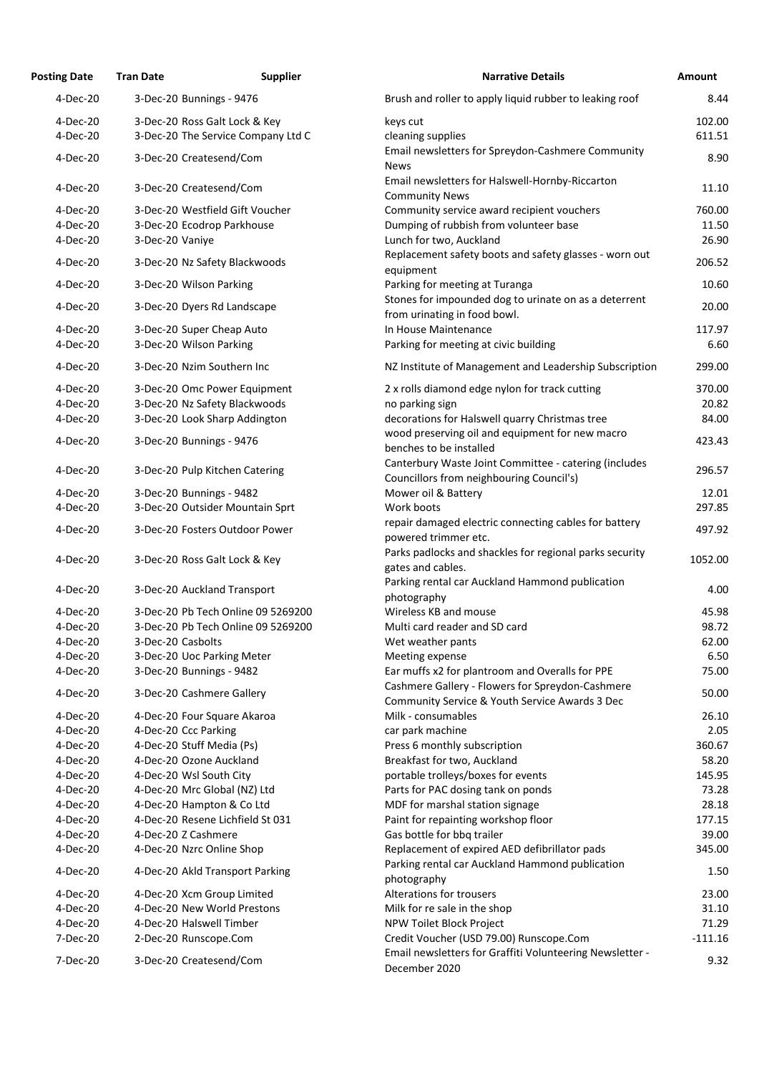| <b>Posting Date</b>  | <b>Tran Date</b>  | <b>Supplier</b>                                                     | <b>Narrative Details</b>                                                             |
|----------------------|-------------------|---------------------------------------------------------------------|--------------------------------------------------------------------------------------|
| 4-Dec-20             |                   | 3-Dec-20 Bunnings - 9476                                            | Brush and roller to apply liquid rubber to leaking roof                              |
| 4-Dec-20<br>4-Dec-20 |                   | 3-Dec-20 Ross Galt Lock & Key<br>3-Dec-20 The Service Company Ltd C | keys cut<br>cleaning supplies                                                        |
| 4-Dec-20             |                   | 3-Dec-20 Createsend/Com                                             | Email newsletters for Spreydon-Cashmere Community<br><b>News</b>                     |
| 4-Dec-20             |                   | 3-Dec-20 Createsend/Com                                             | Email newsletters for Halswell-Hornby-Riccarton<br><b>Community News</b>             |
| 4-Dec-20             |                   | 3-Dec-20 Westfield Gift Voucher                                     | Community service award recipient vouchers                                           |
| 4-Dec-20             |                   | 3-Dec-20 Ecodrop Parkhouse                                          | Dumping of rubbish from volunteer base                                               |
| 4-Dec-20             | 3-Dec-20 Vaniye   |                                                                     | Lunch for two, Auckland                                                              |
| 4-Dec-20             |                   | 3-Dec-20 Nz Safety Blackwoods                                       | Replacement safety boots and safety glasses - worn of<br>equipment                   |
| 4-Dec-20             |                   | 3-Dec-20 Wilson Parking                                             | Parking for meeting at Turanga                                                       |
| 4-Dec-20             |                   | 3-Dec-20 Dyers Rd Landscape                                         | Stones for impounded dog to urinate on as a deterren<br>from urinating in food bowl. |
| 4-Dec-20             |                   | 3-Dec-20 Super Cheap Auto                                           | In House Maintenance                                                                 |
| 4-Dec-20             |                   | 3-Dec-20 Wilson Parking                                             | Parking for meeting at civic building                                                |
| 4-Dec-20             |                   | 3-Dec-20 Nzim Southern Inc                                          | NZ Institute of Management and Leadership Subscript                                  |
| 4-Dec-20             |                   | 3-Dec-20 Omc Power Equipment                                        | 2 x rolls diamond edge nylon for track cutting                                       |
| 4-Dec-20             |                   | 3-Dec-20 Nz Safety Blackwoods                                       | no parking sign                                                                      |
| 4-Dec-20             |                   | 3-Dec-20 Look Sharp Addington                                       | decorations for Halswell quarry Christmas tree                                       |
| 4-Dec-20             |                   | 3-Dec-20 Bunnings - 9476                                            | wood preserving oil and equipment for new macro<br>benches to be installed           |
| 4-Dec-20             |                   | 3-Dec-20 Pulp Kitchen Catering                                      | Canterbury Waste Joint Committee - catering (include                                 |
| 4-Dec-20             |                   | 3-Dec-20 Bunnings - 9482                                            | Councillors from neighbouring Council's)<br>Mower oil & Battery                      |
| 4-Dec-20             |                   | 3-Dec-20 Outsider Mountain Sprt                                     | Work boots                                                                           |
|                      |                   |                                                                     | repair damaged electric connecting cables for battery                                |
| 4-Dec-20             |                   | 3-Dec-20 Fosters Outdoor Power                                      | powered trimmer etc.                                                                 |
| 4-Dec-20             |                   | 3-Dec-20 Ross Galt Lock & Key                                       | Parks padlocks and shackles for regional parks security<br>gates and cables.         |
| 4-Dec-20             |                   | 3-Dec-20 Auckland Transport                                         | Parking rental car Auckland Hammond publication<br>photography                       |
| 4-Dec-20             |                   | 3-Dec-20 Pb Tech Online 09 5269200                                  | Wireless KB and mouse                                                                |
| 4-Dec-20             |                   | 3-Dec-20 Pb Tech Online 09 5269200                                  | Multi card reader and SD card                                                        |
| 4-Dec-20             | 3-Dec-20 Casbolts |                                                                     | Wet weather pants                                                                    |
| 4-Dec-20             |                   | 3-Dec-20 Uoc Parking Meter                                          | Meeting expense                                                                      |
| 4-Dec-20             |                   | 3-Dec-20 Bunnings - 9482                                            | Ear muffs x2 for plantroom and Overalls for PPE                                      |
|                      |                   |                                                                     | Cashmere Gallery - Flowers for Spreydon-Cashmere                                     |
| 4-Dec-20             |                   | 3-Dec-20 Cashmere Gallery                                           | Community Service & Youth Service Awards 3 Dec                                       |
| 4-Dec-20             |                   | 4-Dec-20 Four Square Akaroa                                         | Milk - consumables                                                                   |
| 4-Dec-20             |                   | 4-Dec-20 Ccc Parking                                                | car park machine                                                                     |
| 4-Dec-20             |                   | 4-Dec-20 Stuff Media (Ps)                                           | Press 6 monthly subscription                                                         |
| 4-Dec-20             |                   | 4-Dec-20 Ozone Auckland                                             | Breakfast for two, Auckland                                                          |
| 4-Dec-20             |                   | 4-Dec-20 Wsl South City                                             | portable trolleys/boxes for events                                                   |
| 4-Dec-20             |                   | 4-Dec-20 Mrc Global (NZ) Ltd                                        | Parts for PAC dosing tank on ponds                                                   |
| 4-Dec-20             |                   | 4-Dec-20 Hampton & Co Ltd                                           | MDF for marshal station signage                                                      |
| 4-Dec-20             |                   | 4-Dec-20 Resene Lichfield St 031                                    | Paint for repainting workshop floor                                                  |
| 4-Dec-20             |                   | 4-Dec-20 Z Cashmere                                                 | Gas bottle for bbq trailer                                                           |
| 4-Dec-20             |                   | 4-Dec-20 Nzrc Online Shop                                           | Replacement of expired AED defibrillator pads                                        |
| 4-Dec-20             |                   | 4-Dec-20 Akld Transport Parking                                     | Parking rental car Auckland Hammond publication<br>photography                       |
| 4-Dec-20             |                   | 4-Dec-20 Xcm Group Limited                                          | Alterations for trousers                                                             |
| 4-Dec-20             |                   | 4-Dec-20 New World Prestons                                         | Milk for re sale in the shop                                                         |
| 4-Dec-20             |                   | 4-Dec-20 Halswell Timber                                            | NPW Toilet Block Project                                                             |
| 7-Dec-20             |                   | 2-Dec-20 Runscope.Com                                               | Credit Voucher (USD 79.00) Runscope.Com                                              |
| 7-Dec-20             |                   | 3-Dec-20 Createsend/Com                                             | Email newsletters for Graffiti Volunteering Newsletter                               |

| ng Date  | Tran Date               | <b>Supplier</b>                    | <b>Narrative Details</b>                                                                           | Amount    |
|----------|-------------------------|------------------------------------|----------------------------------------------------------------------------------------------------|-----------|
| 4-Dec-20 |                         | 3-Dec-20 Bunnings - 9476           | Brush and roller to apply liquid rubber to leaking roof                                            | 8.44      |
| 4-Dec-20 |                         | 3-Dec-20 Ross Galt Lock & Key      | keys cut                                                                                           | 102.00    |
| 4-Dec-20 |                         | 3-Dec-20 The Service Company Ltd C | cleaning supplies                                                                                  | 611.51    |
| 4-Dec-20 |                         | 3-Dec-20 Createsend/Com            | Email newsletters for Spreydon-Cashmere Community<br><b>News</b>                                   | 8.90      |
| 4-Dec-20 |                         | 3-Dec-20 Createsend/Com            | Email newsletters for Halswell-Hornby-Riccarton<br><b>Community News</b>                           | 11.10     |
| 4-Dec-20 |                         | 3-Dec-20 Westfield Gift Voucher    | Community service award recipient vouchers                                                         | 760.00    |
| 4-Dec-20 |                         | 3-Dec-20 Ecodrop Parkhouse         | Dumping of rubbish from volunteer base                                                             | 11.50     |
| 4-Dec-20 | 3-Dec-20 Vaniye         |                                    | Lunch for two, Auckland                                                                            | 26.90     |
| 4-Dec-20 |                         | 3-Dec-20 Nz Safety Blackwoods      | Replacement safety boots and safety glasses - worn out<br>equipment                                | 206.52    |
| 4-Dec-20 | 3-Dec-20 Wilson Parking |                                    | Parking for meeting at Turanga                                                                     | 10.60     |
| 4-Dec-20 |                         | 3-Dec-20 Dyers Rd Landscape        | Stones for impounded dog to urinate on as a deterrent<br>from urinating in food bowl.              | 20.00     |
| 4-Dec-20 |                         | 3-Dec-20 Super Cheap Auto          | In House Maintenance                                                                               | 117.97    |
| 4-Dec-20 |                         | 3-Dec-20 Wilson Parking            | Parking for meeting at civic building                                                              | 6.60      |
| 4-Dec-20 |                         | 3-Dec-20 Nzim Southern Inc         | NZ Institute of Management and Leadership Subscription                                             | 299.00    |
| 4-Dec-20 |                         | 3-Dec-20 Omc Power Equipment       | 2 x rolls diamond edge nylon for track cutting                                                     | 370.00    |
| 4-Dec-20 |                         | 3-Dec-20 Nz Safety Blackwoods      | no parking sign                                                                                    | 20.82     |
| 4-Dec-20 |                         | 3-Dec-20 Look Sharp Addington      | decorations for Halswell quarry Christmas tree                                                     | 84.00     |
| 4-Dec-20 |                         |                                    | wood preserving oil and equipment for new macro                                                    | 423.43    |
|          |                         | 3-Dec-20 Bunnings - 9476           | benches to be installed                                                                            |           |
| 4-Dec-20 |                         | 3-Dec-20 Pulp Kitchen Catering     | Canterbury Waste Joint Committee - catering (includes<br>Councillors from neighbouring Council's)  | 296.57    |
| 4-Dec-20 |                         | 3-Dec-20 Bunnings - 9482           | Mower oil & Battery                                                                                | 12.01     |
| 4-Dec-20 |                         | 3-Dec-20 Outsider Mountain Sprt    | Work boots                                                                                         | 297.85    |
| 4-Dec-20 |                         | 3-Dec-20 Fosters Outdoor Power     | repair damaged electric connecting cables for battery<br>powered trimmer etc.                      | 497.92    |
| 4-Dec-20 |                         | 3-Dec-20 Ross Galt Lock & Key      | Parks padlocks and shackles for regional parks security<br>gates and cables.                       | 1052.00   |
| 4-Dec-20 |                         | 3-Dec-20 Auckland Transport        | Parking rental car Auckland Hammond publication<br>photography                                     | 4.00      |
| 4-Dec-20 |                         | 3-Dec-20 Pb Tech Online 09 5269200 | Wireless KB and mouse                                                                              | 45.98     |
| 4-Dec-20 |                         | 3-Dec-20 Pb Tech Online 09 5269200 | Multi card reader and SD card                                                                      | 98.72     |
| 4-Dec-20 | 3-Dec-20 Casbolts       |                                    | Wet weather pants                                                                                  | 62.00     |
| 4-Dec-20 |                         | 3-Dec-20 Uoc Parking Meter         | Meeting expense                                                                                    | 6.50      |
| 4-Dec-20 |                         | 3-Dec-20 Bunnings - 9482           | Ear muffs x2 for plantroom and Overalls for PPE                                                    | 75.00     |
| 4-Dec-20 |                         | 3-Dec-20 Cashmere Gallery          | Cashmere Gallery - Flowers for Spreydon-Cashmere<br>Community Service & Youth Service Awards 3 Dec | 50.00     |
| 4-Dec-20 |                         | 4-Dec-20 Four Square Akaroa        | Milk - consumables                                                                                 | 26.10     |
| 4-Dec-20 | 4-Dec-20 Ccc Parking    |                                    | car park machine                                                                                   | 2.05      |
| 4-Dec-20 |                         | 4-Dec-20 Stuff Media (Ps)          | Press 6 monthly subscription                                                                       | 360.67    |
| 4-Dec-20 |                         | 4-Dec-20 Ozone Auckland            | Breakfast for two, Auckland                                                                        | 58.20     |
| 4-Dec-20 | 4-Dec-20 Wsl South City |                                    | portable trolleys/boxes for events                                                                 | 145.95    |
| 4-Dec-20 |                         | 4-Dec-20 Mrc Global (NZ) Ltd       | Parts for PAC dosing tank on ponds                                                                 | 73.28     |
| 4-Dec-20 |                         | 4-Dec-20 Hampton & Co Ltd          | MDF for marshal station signage                                                                    | 28.18     |
| 4-Dec-20 |                         | 4-Dec-20 Resene Lichfield St 031   | Paint for repainting workshop floor                                                                | 177.15    |
| 4-Dec-20 | 4-Dec-20 Z Cashmere     |                                    | Gas bottle for bbq trailer                                                                         | 39.00     |
| 4-Dec-20 |                         | 4-Dec-20 Nzrc Online Shop          | Replacement of expired AED defibrillator pads<br>Parking rental car Auckland Hammond publication   | 345.00    |
| 4-Dec-20 |                         | 4-Dec-20 Akld Transport Parking    | photography                                                                                        | 1.50      |
| 4-Dec-20 |                         | 4-Dec-20 Xcm Group Limited         | Alterations for trousers                                                                           | 23.00     |
| 4-Dec-20 |                         | 4-Dec-20 New World Prestons        | Milk for re sale in the shop                                                                       | 31.10     |
| 4-Dec-20 |                         | 4-Dec-20 Halswell Timber           | NPW Toilet Block Project                                                                           | 71.29     |
| 7-Dec-20 | 2-Dec-20 Runscope.Com   |                                    | Credit Voucher (USD 79.00) Runscope.Com                                                            | $-111.16$ |
| 7-Dec-20 |                         | 3-Dec-20 Createsend/Com            | Email newsletters for Graffiti Volunteering Newsletter -<br>December 2020                          | 9.32      |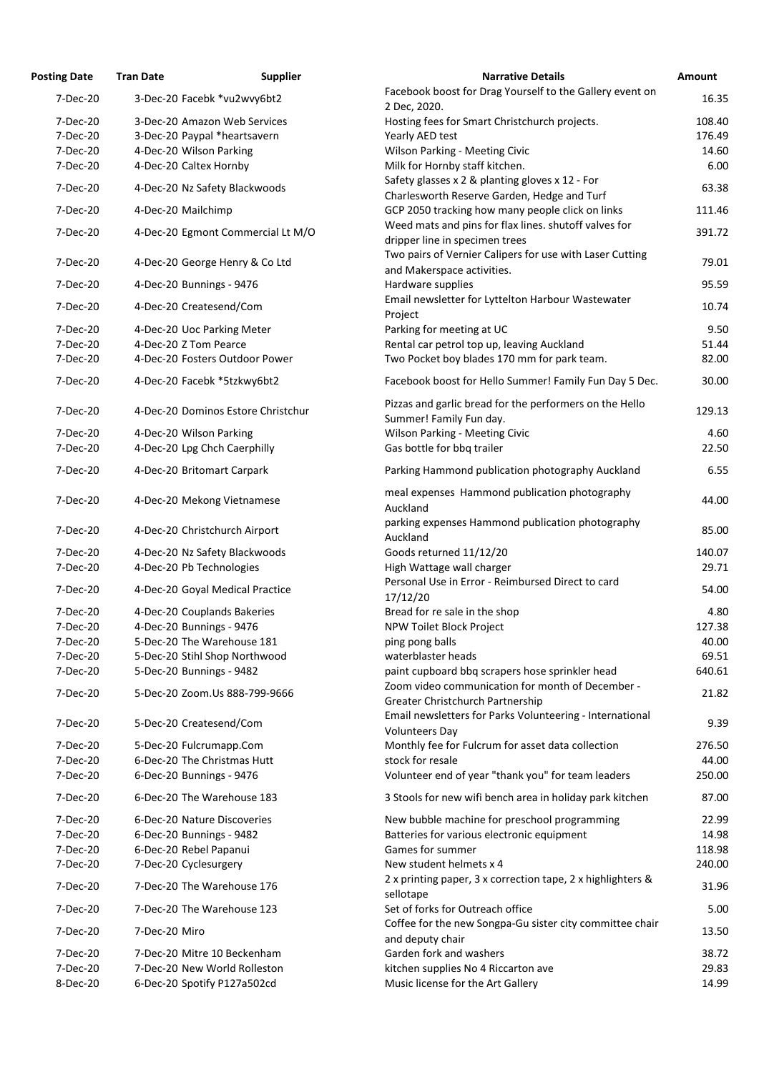| <b>Posting Date</b> | <b>Tran Date</b>                   | <b>Supplier</b> | <b>Narrative Details</b>                                                                                              | Amount |
|---------------------|------------------------------------|-----------------|-----------------------------------------------------------------------------------------------------------------------|--------|
| 7-Dec-20            | 3-Dec-20 Facebk *vu2wvy6bt2        |                 | Facebook boost for Drag Yourself to the Gallery event on<br>2 Dec, 2020.                                              | 16.35  |
| 7-Dec-20            | 3-Dec-20 Amazon Web Services       |                 | Hosting fees for Smart Christchurch projects.                                                                         | 108.40 |
| 7-Dec-20            | 3-Dec-20 Paypal *heartsavern       |                 | Yearly AED test                                                                                                       | 176.49 |
| 7-Dec-20            | 4-Dec-20 Wilson Parking            |                 | <b>Wilson Parking - Meeting Civic</b>                                                                                 | 14.60  |
| 7-Dec-20            | 4-Dec-20 Caltex Hornby             |                 | Milk for Hornby staff kitchen.<br>Safety glasses x 2 & planting gloves x 12 - For                                     | 6.00   |
| 7-Dec-20            | 4-Dec-20 Nz Safety Blackwoods      |                 | Charlesworth Reserve Garden, Hedge and Turf                                                                           | 63.38  |
| 7-Dec-20            | 4-Dec-20 Mailchimp                 |                 | GCP 2050 tracking how many people click on links                                                                      | 111.46 |
| 7-Dec-20            | 4-Dec-20 Egmont Commercial Lt M/O  |                 | Weed mats and pins for flax lines. shutoff valves for<br>dripper line in specimen trees                               | 391.72 |
| 7-Dec-20            | 4-Dec-20 George Henry & Co Ltd     |                 | Two pairs of Vernier Calipers for use with Laser Cutting<br>and Makerspace activities.                                | 79.01  |
| 7-Dec-20            | 4-Dec-20 Bunnings - 9476           |                 | Hardware supplies                                                                                                     | 95.59  |
| 7-Dec-20            | 4-Dec-20 Createsend/Com            |                 | Email newsletter for Lyttelton Harbour Wastewater<br>Project                                                          | 10.74  |
| 7-Dec-20            | 4-Dec-20 Uoc Parking Meter         |                 | Parking for meeting at UC                                                                                             | 9.50   |
| 7-Dec-20            | 4-Dec-20 Z Tom Pearce              |                 | Rental car petrol top up, leaving Auckland                                                                            | 51.44  |
| 7-Dec-20            | 4-Dec-20 Fosters Outdoor Power     |                 | Two Pocket boy blades 170 mm for park team.                                                                           | 82.00  |
| 7-Dec-20            | 4-Dec-20 Facebk *5tzkwy6bt2        |                 | Facebook boost for Hello Summer! Family Fun Day 5 Dec.                                                                | 30.00  |
| 7-Dec-20            | 4-Dec-20 Dominos Estore Christchur |                 | Pizzas and garlic bread for the performers on the Hello<br>Summer! Family Fun day.                                    | 129.13 |
| 7-Dec-20            | 4-Dec-20 Wilson Parking            |                 | <b>Wilson Parking - Meeting Civic</b>                                                                                 | 4.60   |
| 7-Dec-20            | 4-Dec-20 Lpg Chch Caerphilly       |                 | Gas bottle for bbq trailer                                                                                            | 22.50  |
| 7-Dec-20            | 4-Dec-20 Britomart Carpark         |                 | Parking Hammond publication photography Auckland                                                                      | 6.55   |
| 7-Dec-20            | 4-Dec-20 Mekong Vietnamese         |                 | meal expenses Hammond publication photography<br>Auckland                                                             | 44.00  |
| 7-Dec-20            | 4-Dec-20 Christchurch Airport      |                 | parking expenses Hammond publication photography<br>Auckland                                                          | 85.00  |
| 7-Dec-20            | 4-Dec-20 Nz Safety Blackwoods      |                 | Goods returned 11/12/20                                                                                               | 140.07 |
| 7-Dec-20            | 4-Dec-20 Pb Technologies           |                 | High Wattage wall charger                                                                                             | 29.71  |
| 7-Dec-20            | 4-Dec-20 Goyal Medical Practice    |                 | Personal Use in Error - Reimbursed Direct to card<br>17/12/20                                                         | 54.00  |
| 7-Dec-20            | 4-Dec-20 Couplands Bakeries        |                 | Bread for re sale in the shop                                                                                         | 4.80   |
| 7-Dec-20            | 4-Dec-20 Bunnings - 9476           |                 | NPW Toilet Block Project                                                                                              | 127.38 |
| 7-Dec-20            | 5-Dec-20 The Warehouse 181         |                 | ping pong balls                                                                                                       | 40.00  |
| 7-Dec-20            | 5-Dec-20 Stihl Shop Northwood      |                 | waterblaster heads                                                                                                    | 69.51  |
| 7-Dec-20            | 5-Dec-20 Bunnings - 9482           |                 | paint cupboard bbq scrapers hose sprinkler head                                                                       | 640.61 |
| 7-Dec-20            | 5-Dec-20 Zoom.Us 888-799-9666      |                 | Zoom video communication for month of December -                                                                      | 21.82  |
| 7-Dec-20            | 5-Dec-20 Createsend/Com            |                 | Greater Christchurch Partnership<br>Email newsletters for Parks Volunteering - International<br><b>Volunteers Day</b> | 9.39   |
| 7-Dec-20            | 5-Dec-20 Fulcrumapp.Com            |                 | Monthly fee for Fulcrum for asset data collection                                                                     | 276.50 |
| 7-Dec-20            | 6-Dec-20 The Christmas Hutt        |                 | stock for resale                                                                                                      | 44.00  |
| 7-Dec-20            | 6-Dec-20 Bunnings - 9476           |                 | Volunteer end of year "thank you" for team leaders                                                                    | 250.00 |
| 7-Dec-20            | 6-Dec-20 The Warehouse 183         |                 | 3 Stools for new wifi bench area in holiday park kitchen                                                              | 87.00  |
| 7-Dec-20            | 6-Dec-20 Nature Discoveries        |                 | New bubble machine for preschool programming                                                                          | 22.99  |
| 7-Dec-20            | 6-Dec-20 Bunnings - 9482           |                 | Batteries for various electronic equipment                                                                            | 14.98  |
| 7-Dec-20            | 6-Dec-20 Rebel Papanui             |                 | Games for summer                                                                                                      | 118.98 |
| 7-Dec-20            | 7-Dec-20 Cyclesurgery              |                 | New student helmets x 4                                                                                               | 240.00 |
| 7-Dec-20            | 7-Dec-20 The Warehouse 176         |                 | 2 x printing paper, 3 x correction tape, 2 x highlighters &<br>sellotape                                              | 31.96  |
| 7-Dec-20            | 7-Dec-20 The Warehouse 123         |                 | Set of forks for Outreach office                                                                                      | 5.00   |
| 7-Dec-20            | 7-Dec-20 Miro                      |                 | Coffee for the new Songpa-Gu sister city committee chair<br>and deputy chair                                          | 13.50  |
| 7-Dec-20            | 7-Dec-20 Mitre 10 Beckenham        |                 | Garden fork and washers                                                                                               | 38.72  |
| 7-Dec-20            | 7-Dec-20 New World Rolleston       |                 | kitchen supplies No 4 Riccarton ave                                                                                   | 29.83  |
| 8-Dec-20            | 6-Dec-20 Spotify P127a502cd        |                 | Music license for the Art Gallery                                                                                     | 14.99  |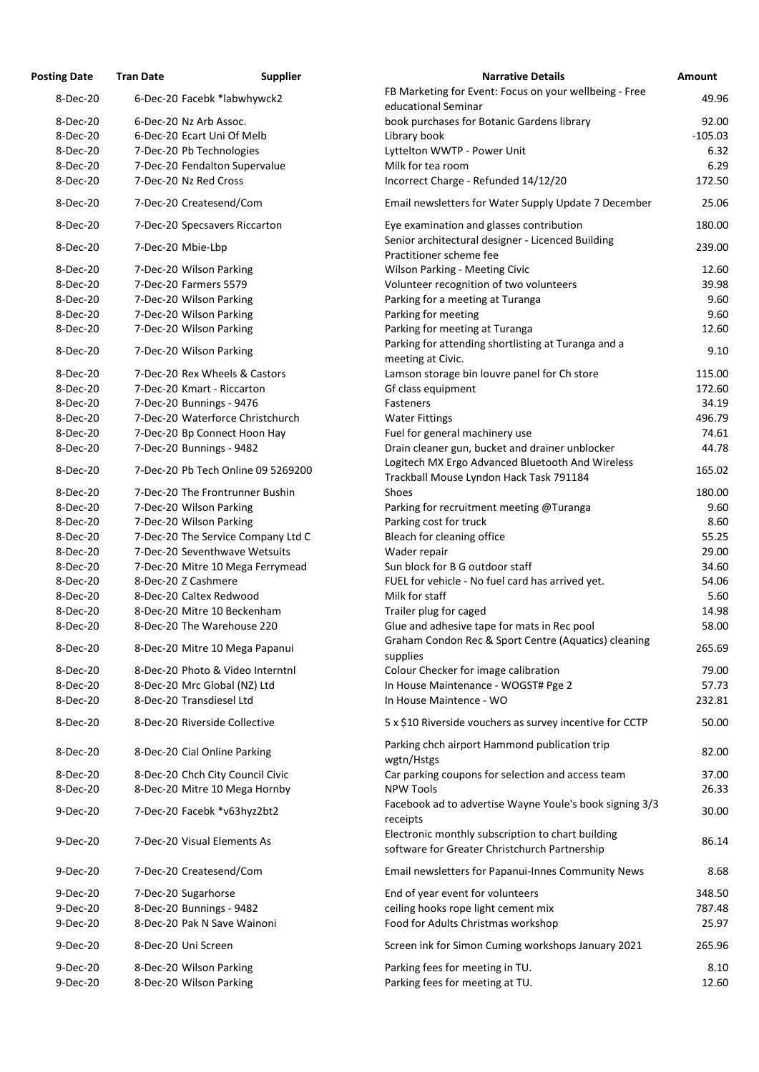| <b>Osting Date</b> | <b>Tran Date</b>                                                    | <b>Supplier</b> | <b>Narrative Details</b>                                                                           |
|--------------------|---------------------------------------------------------------------|-----------------|----------------------------------------------------------------------------------------------------|
| 8-Dec-20           | 6-Dec-20 Facebk *labwhywck2                                         |                 | FB Marketing for Event: Focus on your wellbeing -                                                  |
|                    |                                                                     |                 | educational Seminar                                                                                |
| 8-Dec-20           | 6-Dec-20 Nz Arb Assoc.                                              |                 | book purchases for Botanic Gardens library                                                         |
| 8-Dec-20           | 6-Dec-20 Ecart Uni Of Melb                                          |                 | Library book                                                                                       |
| 8-Dec-20           | 7-Dec-20 Pb Technologies                                            |                 | Lyttelton WWTP - Power Unit                                                                        |
| 8-Dec-20           | 7-Dec-20 Fendalton Supervalue                                       |                 | Milk for tea room                                                                                  |
| 8-Dec-20           | 7-Dec-20 Nz Red Cross                                               |                 | Incorrect Charge - Refunded 14/12/20                                                               |
| 8-Dec-20           | 7-Dec-20 Createsend/Com                                             |                 | Email newsletters for Water Supply Update 7 Dece                                                   |
| 8-Dec-20           | 7-Dec-20 Specsavers Riccarton                                       |                 | Eye examination and glasses contribution<br>Senior architectural designer - Licenced Building      |
| 8-Dec-20           | 7-Dec-20 Mbie-Lbp                                                   |                 | Practitioner scheme fee                                                                            |
| 8-Dec-20           | 7-Dec-20 Wilson Parking                                             |                 | <b>Wilson Parking - Meeting Civic</b>                                                              |
| 8-Dec-20           | 7-Dec-20 Farmers 5579                                               |                 | Volunteer recognition of two volunteers                                                            |
| 8-Dec-20           | 7-Dec-20 Wilson Parking                                             |                 | Parking for a meeting at Turanga                                                                   |
| 8-Dec-20           | 7-Dec-20 Wilson Parking                                             |                 | Parking for meeting                                                                                |
| 8-Dec-20           | 7-Dec-20 Wilson Parking                                             |                 | Parking for meeting at Turanga                                                                     |
| 8-Dec-20           | 7-Dec-20 Wilson Parking                                             |                 | Parking for attending shortlisting at Turanga and a<br>meeting at Civic.                           |
| 8-Dec-20           | 7-Dec-20 Rex Wheels & Castors                                       |                 | Lamson storage bin louvre panel for Ch store                                                       |
| 8-Dec-20           | 7-Dec-20 Kmart - Riccarton                                          |                 | Gf class equipment                                                                                 |
| 8-Dec-20           | 7-Dec-20 Bunnings - 9476                                            |                 | Fasteners                                                                                          |
| 8-Dec-20           | 7-Dec-20 Waterforce Christchurch                                    |                 | <b>Water Fittings</b>                                                                              |
| 8-Dec-20           | 7-Dec-20 Bp Connect Hoon Hay                                        |                 | Fuel for general machinery use                                                                     |
| 8-Dec-20           | 7-Dec-20 Bunnings - 9482                                            |                 | Drain cleaner gun, bucket and drainer unblocker                                                    |
| 8-Dec-20           | 7-Dec-20 Pb Tech Online 09 5269200                                  |                 | Logitech MX Ergo Advanced Bluetooth And Wireles                                                    |
| 8-Dec-20           | 7-Dec-20 The Frontrunner Bushin                                     |                 | Trackball Mouse Lyndon Hack Task 791184<br>Shoes                                                   |
| 8-Dec-20           | 7-Dec-20 Wilson Parking                                             |                 | Parking for recruitment meeting @Turanga                                                           |
| 8-Dec-20           | 7-Dec-20 Wilson Parking                                             |                 | Parking cost for truck                                                                             |
| 8-Dec-20           |                                                                     |                 |                                                                                                    |
| 8-Dec-20           | 7-Dec-20 The Service Company Ltd C<br>7-Dec-20 Seventhwave Wetsuits |                 | Bleach for cleaning office                                                                         |
| 8-Dec-20           |                                                                     |                 | Wader repair                                                                                       |
|                    | 7-Dec-20 Mitre 10 Mega Ferrymead                                    |                 | Sun block for B G outdoor staff                                                                    |
| 8-Dec-20           | 8-Dec-20 Z Cashmere                                                 |                 | FUEL for vehicle - No fuel card has arrived yet.                                                   |
| 8-Dec-20           | 8-Dec-20 Caltex Redwood                                             |                 | Milk for staff                                                                                     |
| 8-Dec-20           | 8-Dec-20 Mitre 10 Beckenham                                         |                 | Trailer plug for caged                                                                             |
| 8-Dec-20           | 8-Dec-20 The Warehouse 220                                          |                 | Glue and adhesive tape for mats in Rec pool                                                        |
| 8-Dec-20           | 8-Dec-20 Mitre 10 Mega Papanui                                      |                 | Graham Condon Rec & Sport Centre (Aquatics) clea<br>supplies                                       |
| 8-Dec-20           | 8-Dec-20 Photo & Video Interntnl                                    |                 | Colour Checker for image calibration                                                               |
| 8-Dec-20           | 8-Dec-20 Mrc Global (NZ) Ltd                                        |                 | In House Maintenance - WOGST# Pge 2                                                                |
| 8-Dec-20           | 8-Dec-20 Transdiesel Ltd                                            |                 | In House Maintence - WO                                                                            |
| 8-Dec-20           | 8-Dec-20 Riverside Collective                                       |                 | 5 x \$10 Riverside vouchers as survey incentive for 0                                              |
|                    |                                                                     |                 | Parking chch airport Hammond publication trip                                                      |
| 8-Dec-20           | 8-Dec-20 Cial Online Parking                                        |                 | wgtn/Hstgs                                                                                         |
| 8-Dec-20           | 8-Dec-20 Chch City Council Civic                                    |                 | Car parking coupons for selection and access team                                                  |
| 8-Dec-20           | 8-Dec-20 Mitre 10 Mega Hornby                                       |                 | <b>NPW Tools</b>                                                                                   |
| 9-Dec-20           | 7-Dec-20 Facebk *v63hyz2bt2                                         |                 | Facebook ad to advertise Wayne Youle's book sign<br>receipts                                       |
| 9-Dec-20           | 7-Dec-20 Visual Elements As                                         |                 | Electronic monthly subscription to chart building<br>software for Greater Christchurch Partnership |
| 9-Dec-20           | 7-Dec-20 Createsend/Com                                             |                 | Email newsletters for Papanui-Innes Community N                                                    |
| 9-Dec-20           |                                                                     |                 |                                                                                                    |
| 9-Dec-20           | 7-Dec-20 Sugarhorse<br>8-Dec-20 Bunnings - 9482                     |                 | End of year event for volunteers                                                                   |
| 9-Dec-20           | 8-Dec-20 Pak N Save Wainoni                                         |                 | ceiling hooks rope light cement mix                                                                |
|                    |                                                                     |                 | Food for Adults Christmas workshop                                                                 |
| 9-Dec-20           | 8-Dec-20 Uni Screen                                                 |                 | Screen ink for Simon Cuming workshops January 2                                                    |
| 9-Dec-20           | 8-Dec-20 Wilson Parking                                             |                 | Parking fees for meeting in TU.                                                                    |
| 9-Dec-20           | 8-Dec-20 Wilson Parking                                             |                 | Parking fees for meeting at TU.                                                                    |

| <b>Posting Date</b>  | <b>Tran Date</b>                                   | <b>Supplier</b>                    | <b>Narrative Details</b>                                                                            | Amount        |
|----------------------|----------------------------------------------------|------------------------------------|-----------------------------------------------------------------------------------------------------|---------------|
| 8-Dec-20             |                                                    | 6-Dec-20 Facebk *labwhywck2        | FB Marketing for Event: Focus on your wellbeing - Free<br>educational Seminar                       | 49.96         |
| 8-Dec-20             | 6-Dec-20 Nz Arb Assoc.                             |                                    | book purchases for Botanic Gardens library                                                          | 92.00         |
| 8-Dec-20             |                                                    | 6-Dec-20 Ecart Uni Of Melb         | Library book                                                                                        | $-105.03$     |
| 8-Dec-20             | 7-Dec-20 Pb Technologies                           |                                    | Lyttelton WWTP - Power Unit                                                                         | 6.32          |
| 8-Dec-20             |                                                    | 7-Dec-20 Fendalton Supervalue      | Milk for tea room                                                                                   | 6.29          |
| 8-Dec-20             | 7-Dec-20 Nz Red Cross                              |                                    | Incorrect Charge - Refunded 14/12/20                                                                | 172.50        |
| 8-Dec-20             | 7-Dec-20 Createsend/Com                            |                                    | Email newsletters for Water Supply Update 7 December                                                | 25.06         |
| 8-Dec-20             |                                                    | 7-Dec-20 Specsavers Riccarton      | Eye examination and glasses contribution                                                            | 180.00        |
| 8-Dec-20             | 7-Dec-20 Mbie-Lbp                                  |                                    | Senior architectural designer - Licenced Building<br>Practitioner scheme fee                        | 239.00        |
| 8-Dec-20             | 7-Dec-20 Wilson Parking                            |                                    | <b>Wilson Parking - Meeting Civic</b>                                                               | 12.60         |
| 8-Dec-20             | 7-Dec-20 Farmers 5579                              |                                    | Volunteer recognition of two volunteers                                                             | 39.98         |
| 8-Dec-20             | 7-Dec-20 Wilson Parking                            |                                    | Parking for a meeting at Turanga                                                                    | 9.60          |
| 8-Dec-20             | 7-Dec-20 Wilson Parking                            |                                    | Parking for meeting                                                                                 | 9.60          |
| 8-Dec-20             | 7-Dec-20 Wilson Parking                            |                                    | Parking for meeting at Turanga                                                                      | 12.60         |
| 8-Dec-20             | 7-Dec-20 Wilson Parking                            |                                    | Parking for attending shortlisting at Turanga and a                                                 | 9.10          |
| 8-Dec-20             |                                                    | 7-Dec-20 Rex Wheels & Castors      | meeting at Civic.                                                                                   | 115.00        |
|                      |                                                    |                                    | Lamson storage bin louvre panel for Ch store                                                        |               |
| 8-Dec-20             | 7-Dec-20 Kmart - Riccarton                         |                                    | Gf class equipment                                                                                  | 172.60        |
| 8-Dec-20             | 7-Dec-20 Bunnings - 9476                           |                                    | Fasteners                                                                                           | 34.19         |
| 8-Dec-20             |                                                    | 7-Dec-20 Waterforce Christchurch   | <b>Water Fittings</b>                                                                               | 496.79        |
| 8-Dec-20             |                                                    | 7-Dec-20 Bp Connect Hoon Hay       | Fuel for general machinery use                                                                      | 74.61         |
| 8-Dec-20             | 7-Dec-20 Bunnings - 9482                           |                                    | Drain cleaner gun, bucket and drainer unblocker                                                     | 44.78         |
| 8-Dec-20             |                                                    | 7-Dec-20 Pb Tech Online 09 5269200 | Logitech MX Ergo Advanced Bluetooth And Wireless<br>Trackball Mouse Lyndon Hack Task 791184         | 165.02        |
| 8-Dec-20             |                                                    | 7-Dec-20 The Frontrunner Bushin    | Shoes                                                                                               | 180.00        |
| 8-Dec-20             | 7-Dec-20 Wilson Parking                            |                                    | Parking for recruitment meeting @Turanga                                                            | 9.60          |
| 8-Dec-20             | 7-Dec-20 Wilson Parking                            |                                    | Parking cost for truck                                                                              | 8.60          |
| 8-Dec-20             |                                                    | 7-Dec-20 The Service Company Ltd C | Bleach for cleaning office                                                                          | 55.25         |
|                      |                                                    | 7-Dec-20 Seventhwave Wetsuits      |                                                                                                     |               |
| 8-Dec-20             |                                                    |                                    | Wader repair                                                                                        | 29.00         |
| 8-Dec-20             |                                                    | 7-Dec-20 Mitre 10 Mega Ferrymead   | Sun block for B G outdoor staff                                                                     | 34.60         |
| 8-Dec-20             | 8-Dec-20 Z Cashmere                                |                                    | FUEL for vehicle - No fuel card has arrived yet.                                                    | 54.06         |
| 8-Dec-20             | 8-Dec-20 Caltex Redwood                            |                                    | Milk for staff                                                                                      | 5.60          |
| 8-Dec-20             |                                                    | 8-Dec-20 Mitre 10 Beckenham        | Trailer plug for caged                                                                              | 14.98         |
| 8-Dec-20             |                                                    | 8-Dec-20 The Warehouse 220         | Glue and adhesive tape for mats in Rec pool<br>Graham Condon Rec & Sport Centre (Aquatics) cleaning | 58.00         |
| 8-Dec-20             |                                                    | 8-Dec-20 Mitre 10 Mega Papanui     | supplies                                                                                            | 265.69        |
| 8-Dec-20             |                                                    | 8-Dec-20 Photo & Video Interntnl   | Colour Checker for image calibration                                                                | 79.00         |
| 8-Dec-20             |                                                    | 8-Dec-20 Mrc Global (NZ) Ltd       | In House Maintenance - WOGST# Pge 2                                                                 | 57.73         |
| 8-Dec-20             | 8-Dec-20 Transdiesel Ltd                           |                                    | In House Maintence - WO                                                                             | 232.81        |
| 8-Dec-20             |                                                    | 8-Dec-20 Riverside Collective      | 5 x \$10 Riverside vouchers as survey incentive for CCTP                                            | 50.00         |
| 8-Dec-20             |                                                    | 8-Dec-20 Cial Online Parking       | Parking chch airport Hammond publication trip<br>wgtn/Hstgs                                         | 82.00         |
| 8-Dec-20             |                                                    | 8-Dec-20 Chch City Council Civic   | Car parking coupons for selection and access team                                                   | 37.00         |
| 8-Dec-20             |                                                    | 8-Dec-20 Mitre 10 Mega Hornby      | <b>NPW Tools</b>                                                                                    | 26.33         |
| 9-Dec-20             |                                                    | 7-Dec-20 Facebk *v63hyz2bt2        | Facebook ad to advertise Wayne Youle's book signing 3/3<br>receipts                                 | 30.00         |
| 9-Dec-20             |                                                    | 7-Dec-20 Visual Elements As        | Electronic monthly subscription to chart building<br>software for Greater Christchurch Partnership  | 86.14         |
| 9-Dec-20             | 7-Dec-20 Createsend/Com                            |                                    | Email newsletters for Papanui-Innes Community News                                                  | 8.68          |
| 9-Dec-20             | 7-Dec-20 Sugarhorse                                |                                    | End of year event for volunteers                                                                    | 348.50        |
| 9-Dec-20             | 8-Dec-20 Bunnings - 9482                           |                                    | ceiling hooks rope light cement mix                                                                 | 787.48        |
| 9-Dec-20             |                                                    | 8-Dec-20 Pak N Save Wainoni        | Food for Adults Christmas workshop                                                                  | 25.97         |
| 9-Dec-20             | 8-Dec-20 Uni Screen                                |                                    | Screen ink for Simon Cuming workshops January 2021                                                  | 265.96        |
|                      |                                                    |                                    |                                                                                                     |               |
| 9-Dec-20<br>9-Dec-20 | 8-Dec-20 Wilson Parking<br>8-Dec-20 Wilson Parking |                                    | Parking fees for meeting in TU.<br>Parking fees for meeting at TU.                                  | 8.10<br>12.60 |
|                      |                                                    |                                    |                                                                                                     |               |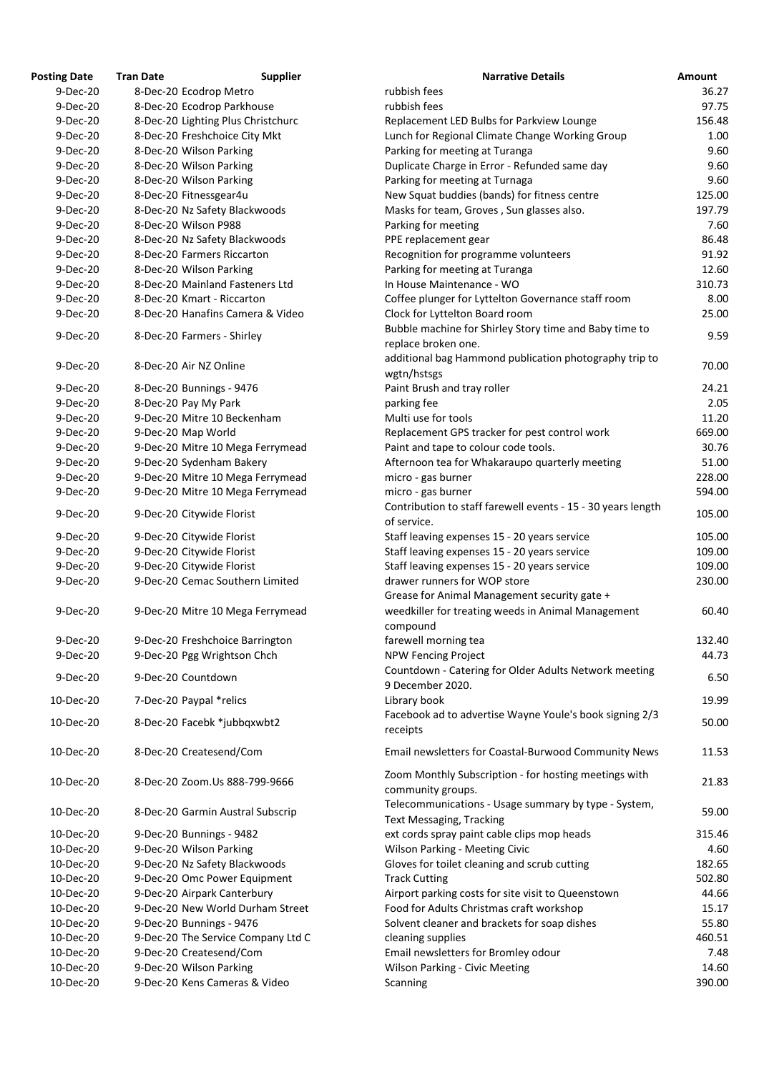| osting Date <sup></sup> | <b>Tran Date</b>   | <b>Supplier</b>                    | <b>Narrative Details</b>                                     |
|-------------------------|--------------------|------------------------------------|--------------------------------------------------------------|
| 9-Dec-20                |                    | 8-Dec-20 Ecodrop Metro             | rubbish fees                                                 |
| 9-Dec-20                |                    | 8-Dec-20 Ecodrop Parkhouse         | rubbish fees                                                 |
| 9-Dec-20                |                    | 8-Dec-20 Lighting Plus Christchurc | Replacement LED Bulbs for Parkview Lounge                    |
| 9-Dec-20                |                    | 8-Dec-20 Freshchoice City Mkt      | Lunch for Regional Climate Change Working Group              |
| 9-Dec-20                |                    | 8-Dec-20 Wilson Parking            | Parking for meeting at Turanga                               |
| 9-Dec-20                |                    | 8-Dec-20 Wilson Parking            | Duplicate Charge in Error - Refunded same day                |
| 9-Dec-20                |                    | 8-Dec-20 Wilson Parking            | Parking for meeting at Turnaga                               |
| 9-Dec-20                |                    | 8-Dec-20 Fitnessgear4u             | New Squat buddies (bands) for fitness centre                 |
| 9-Dec-20                |                    | 8-Dec-20 Nz Safety Blackwoods      | Masks for team, Groves, Sun glasses also.                    |
| 9-Dec-20                |                    | 8-Dec-20 Wilson P988               | Parking for meeting                                          |
| 9-Dec-20                |                    | 8-Dec-20 Nz Safety Blackwoods      | PPE replacement gear                                         |
| 9-Dec-20                |                    | 8-Dec-20 Farmers Riccarton         | Recognition for programme volunteers                         |
| 9-Dec-20                |                    | 8-Dec-20 Wilson Parking            | Parking for meeting at Turanga                               |
| 9-Dec-20                |                    | 8-Dec-20 Mainland Fasteners Ltd    | In House Maintenance - WO                                    |
| 9-Dec-20                |                    | 8-Dec-20 Kmart - Riccarton         | Coffee plunger for Lyttelton Governance staff room           |
| 9-Dec-20                |                    | 8-Dec-20 Hanafins Camera & Video   | Clock for Lyttelton Board room                               |
|                         |                    |                                    | Bubble machine for Shirley Story time and Baby time to       |
| 9-Dec-20                |                    | 8-Dec-20 Farmers - Shirley         | replace broken one.                                          |
|                         |                    |                                    | additional bag Hammond publication photography trip to       |
| 9-Dec-20                |                    | 8-Dec-20 Air NZ Online             | wgtn/hstsgs                                                  |
| 9-Dec-20                |                    | 8-Dec-20 Bunnings - 9476           | Paint Brush and tray roller                                  |
| 9-Dec-20                |                    | 8-Dec-20 Pay My Park               | parking fee                                                  |
| 9-Dec-20                |                    | 9-Dec-20 Mitre 10 Beckenham        | Multi use for tools                                          |
| 9-Dec-20                | 9-Dec-20 Map World |                                    | Replacement GPS tracker for pest control work                |
| 9-Dec-20                |                    | 9-Dec-20 Mitre 10 Mega Ferrymead   | Paint and tape to colour code tools.                         |
| 9-Dec-20                |                    | 9-Dec-20 Sydenham Bakery           | Afternoon tea for Whakaraupo quarterly meeting               |
| 9-Dec-20                |                    | 9-Dec-20 Mitre 10 Mega Ferrymead   | micro - gas burner                                           |
| 9-Dec-20                |                    | 9-Dec-20 Mitre 10 Mega Ferrymead   | micro - gas burner                                           |
|                         |                    |                                    | Contribution to staff farewell events - 15 - 30 years length |
| 9-Dec-20                |                    | 9-Dec-20 Citywide Florist          | of service.                                                  |
| 9-Dec-20                |                    | 9-Dec-20 Citywide Florist          | Staff leaving expenses 15 - 20 years service                 |
| 9-Dec-20                |                    | 9-Dec-20 Citywide Florist          | Staff leaving expenses 15 - 20 years service                 |
| 9-Dec-20                |                    | 9-Dec-20 Citywide Florist          | Staff leaving expenses 15 - 20 years service                 |
| 9-Dec-20                |                    | 9-Dec-20 Cemac Southern Limited    | drawer runners for WOP store                                 |
|                         |                    |                                    | Grease for Animal Management security gate +                 |
| 9-Dec-20                |                    | 9-Dec-20 Mitre 10 Mega Ferrymead   | weedkiller for treating weeds in Animal Management           |
|                         |                    |                                    | compound                                                     |
| 9-Dec-20                |                    | 9-Dec-20 Freshchoice Barrington    | farewell morning tea                                         |
| 9-Dec-20                |                    | 9-Dec-20 Pgg Wrightson Chch        | <b>NPW Fencing Project</b>                                   |
|                         |                    |                                    | Countdown - Catering for Older Adults Network meeting        |
| 9-Dec-20                | 9-Dec-20 Countdown |                                    | 9 December 2020.                                             |
| 10-Dec-20               |                    | 7-Dec-20 Paypal *relics            | Library book                                                 |
|                         |                    |                                    | Facebook ad to advertise Wayne Youle's book signing 2/3      |
| 10-Dec-20               |                    | 8-Dec-20 Facebk *jubbqxwbt2        | receipts                                                     |
|                         |                    |                                    |                                                              |
| 10-Dec-20               |                    | 8-Dec-20 Createsend/Com            | Email newsletters for Coastal-Burwood Community News         |
|                         |                    |                                    | Zoom Monthly Subscription - for hosting meetings with        |
| 10-Dec-20               |                    | 8-Dec-20 Zoom.Us 888-799-9666      |                                                              |
|                         |                    |                                    | community groups.                                            |
| 10-Dec-20               |                    | 8-Dec-20 Garmin Austral Subscrip   | Telecommunications - Usage summary by type - System,         |
|                         |                    |                                    | <b>Text Messaging, Tracking</b>                              |
| 10-Dec-20               |                    | 9-Dec-20 Bunnings - 9482           | ext cords spray paint cable clips mop heads                  |
| 10-Dec-20               |                    | 9-Dec-20 Wilson Parking            | <b>Wilson Parking - Meeting Civic</b>                        |
| 10-Dec-20               |                    | 9-Dec-20 Nz Safety Blackwoods      | Gloves for toilet cleaning and scrub cutting                 |
| 10-Dec-20               |                    | 9-Dec-20 Omc Power Equipment       | <b>Track Cutting</b>                                         |
| 10-Dec-20               |                    | 9-Dec-20 Airpark Canterbury        | Airport parking costs for site visit to Queenstown           |
| 10-Dec-20               |                    | 9-Dec-20 New World Durham Street   | Food for Adults Christmas craft workshop                     |
| 10-Dec-20               |                    | 9-Dec-20 Bunnings - 9476           | Solvent cleaner and brackets for soap dishes                 |
| 10-Dec-20               |                    | 9-Dec-20 The Service Company Ltd C | cleaning supplies                                            |
| 10-Dec-20               |                    | 9-Dec-20 Createsend/Com            | Email newsletters for Bromley odour                          |
| 10-Dec-20               |                    | 9-Dec-20 Wilson Parking            | <b>Wilson Parking - Civic Meeting</b>                        |
| 10-Dec-20               |                    | 9-Dec-20 Kens Cameras & Video      | Scanning                                                     |

| <b>Posting Date</b> | <b>Tran Date</b> | <b>Supplier</b>                    | <b>Narrative Details</b>                                                                | <b>Amount</b> |
|---------------------|------------------|------------------------------------|-----------------------------------------------------------------------------------------|---------------|
| 9-Dec-20            |                  | 8-Dec-20 Ecodrop Metro             | rubbish fees                                                                            | 36.27         |
| 9-Dec-20            |                  | 8-Dec-20 Ecodrop Parkhouse         | rubbish fees                                                                            | 97.75         |
| 9-Dec-20            |                  | 8-Dec-20 Lighting Plus Christchurc | Replacement LED Bulbs for Parkview Lounge                                               | 156.48        |
| 9-Dec-20            |                  | 8-Dec-20 Freshchoice City Mkt      | Lunch for Regional Climate Change Working Group                                         | 1.00          |
| 9-Dec-20            |                  | 8-Dec-20 Wilson Parking            | Parking for meeting at Turanga                                                          | 9.60          |
| 9-Dec-20            |                  | 8-Dec-20 Wilson Parking            | Duplicate Charge in Error - Refunded same day                                           | 9.60          |
| 9-Dec-20            |                  | 8-Dec-20 Wilson Parking            | Parking for meeting at Turnaga                                                          | 9.60          |
| 9-Dec-20            |                  | 8-Dec-20 Fitnessgear4u             | New Squat buddies (bands) for fitness centre                                            | 125.00        |
| 9-Dec-20            |                  | 8-Dec-20 Nz Safety Blackwoods      | Masks for team, Groves, Sun glasses also.                                               | 197.79        |
| 9-Dec-20            |                  | 8-Dec-20 Wilson P988               | Parking for meeting                                                                     | 7.60          |
| 9-Dec-20            |                  | 8-Dec-20 Nz Safety Blackwoods      | PPE replacement gear                                                                    | 86.48         |
| 9-Dec-20            |                  | 8-Dec-20 Farmers Riccarton         | Recognition for programme volunteers                                                    | 91.92         |
| 9-Dec-20            |                  | 8-Dec-20 Wilson Parking            | Parking for meeting at Turanga                                                          | 12.60         |
|                     |                  | 8-Dec-20 Mainland Fasteners Ltd    | In House Maintenance - WO                                                               |               |
| 9-Dec-20            |                  |                                    |                                                                                         | 310.73        |
| 9-Dec-20            |                  | 8-Dec-20 Kmart - Riccarton         | Coffee plunger for Lyttelton Governance staff room                                      | 8.00          |
| 9-Dec-20            |                  | 8-Dec-20 Hanafins Camera & Video   | Clock for Lyttelton Board room                                                          | 25.00         |
| 9-Dec-20            |                  | 8-Dec-20 Farmers - Shirley         | Bubble machine for Shirley Story time and Baby time to                                  | 9.59          |
|                     |                  |                                    | replace broken one.                                                                     |               |
| 9-Dec-20            |                  | 8-Dec-20 Air NZ Online             | additional bag Hammond publication photography trip to                                  | 70.00         |
|                     |                  |                                    | wgtn/hstsgs                                                                             |               |
| 9-Dec-20            |                  | 8-Dec-20 Bunnings - 9476           | Paint Brush and tray roller                                                             | 24.21         |
| 9-Dec-20            |                  | 8-Dec-20 Pay My Park               | parking fee                                                                             | 2.05          |
| 9-Dec-20            |                  | 9-Dec-20 Mitre 10 Beckenham        | Multi use for tools                                                                     | 11.20         |
| 9-Dec-20            |                  | 9-Dec-20 Map World                 | Replacement GPS tracker for pest control work                                           | 669.00        |
| 9-Dec-20            |                  | 9-Dec-20 Mitre 10 Mega Ferrymead   | Paint and tape to colour code tools.                                                    | 30.76         |
| 9-Dec-20            |                  | 9-Dec-20 Sydenham Bakery           | Afternoon tea for Whakaraupo quarterly meeting                                          | 51.00         |
| 9-Dec-20            |                  | 9-Dec-20 Mitre 10 Mega Ferrymead   | micro - gas burner                                                                      | 228.00        |
| 9-Dec-20            |                  | 9-Dec-20 Mitre 10 Mega Ferrymead   | micro - gas burner                                                                      | 594.00        |
|                     |                  |                                    | Contribution to staff farewell events - 15 - 30 years length                            |               |
| 9-Dec-20            |                  | 9-Dec-20 Citywide Florist          | of service.                                                                             | 105.00        |
| 9-Dec-20            |                  | 9-Dec-20 Citywide Florist          | Staff leaving expenses 15 - 20 years service                                            | 105.00        |
| 9-Dec-20            |                  | 9-Dec-20 Citywide Florist          | Staff leaving expenses 15 - 20 years service                                            | 109.00        |
| 9-Dec-20            |                  | 9-Dec-20 Citywide Florist          | Staff leaving expenses 15 - 20 years service                                            | 109.00        |
| 9-Dec-20            |                  | 9-Dec-20 Cemac Southern Limited    | drawer runners for WOP store<br>Grease for Animal Management security gate +            | 230.00        |
| 9-Dec-20            |                  | 9-Dec-20 Mitre 10 Mega Ferrymead   | weedkiller for treating weeds in Animal Management<br>compound                          | 60.40         |
| 9-Dec-20            |                  | 9-Dec-20 Freshchoice Barrington    | farewell morning tea                                                                    | 132.40        |
| 9-Dec-20            |                  | 9-Dec-20 Pgg Wrightson Chch        | <b>NPW Fencing Project</b>                                                              | 44.73         |
|                     |                  |                                    | Countdown - Catering for Older Adults Network meeting                                   |               |
| 9-Dec-20            |                  | 9-Dec-20 Countdown                 | 9 December 2020.                                                                        | 6.50          |
| 10-Dec-20           |                  | 7-Dec-20 Paypal *relics            | Library book                                                                            | 19.99         |
| 10-Dec-20           |                  | 8-Dec-20 Facebk *jubbqxwbt2        | Facebook ad to advertise Wayne Youle's book signing 2/3<br>receipts                     | 50.00         |
| 10-Dec-20           |                  | 8-Dec-20 Createsend/Com            | Email newsletters for Coastal-Burwood Community News                                    | 11.53         |
| 10-Dec-20           |                  | 8-Dec-20 Zoom.Us 888-799-9666      | Zoom Monthly Subscription - for hosting meetings with<br>community groups.              | 21.83         |
| 10-Dec-20           |                  | 8-Dec-20 Garmin Austral Subscrip   | Telecommunications - Usage summary by type - System,<br><b>Text Messaging, Tracking</b> | 59.00         |
| 10-Dec-20           |                  | 9-Dec-20 Bunnings - 9482           | ext cords spray paint cable clips mop heads                                             | 315.46        |
| 10-Dec-20           |                  | 9-Dec-20 Wilson Parking            | <b>Wilson Parking - Meeting Civic</b>                                                   | 4.60          |
| 10-Dec-20           |                  | 9-Dec-20 Nz Safety Blackwoods      | Gloves for toilet cleaning and scrub cutting                                            | 182.65        |
| 10-Dec-20           |                  | 9-Dec-20 Omc Power Equipment       | <b>Track Cutting</b>                                                                    | 502.80        |
| 10-Dec-20           |                  | 9-Dec-20 Airpark Canterbury        | Airport parking costs for site visit to Queenstown                                      | 44.66         |
| 10-Dec-20           |                  | 9-Dec-20 New World Durham Street   | Food for Adults Christmas craft workshop                                                | 15.17         |
| 10-Dec-20           |                  | 9-Dec-20 Bunnings - 9476           | Solvent cleaner and brackets for soap dishes                                            | 55.80         |
| 10-Dec-20           |                  | 9-Dec-20 The Service Company Ltd C | cleaning supplies                                                                       | 460.51        |
| 10-Dec-20           |                  | 9-Dec-20 Createsend/Com            | Email newsletters for Bromley odour                                                     | 7.48          |
| 10-Dec-20           |                  | 9-Dec-20 Wilson Parking            | <b>Wilson Parking - Civic Meeting</b>                                                   | 14.60         |
|                     |                  | 9-Dec-20 Kens Cameras & Video      |                                                                                         |               |
| 10-Dec-20           |                  |                                    | Scanning                                                                                | 390.00        |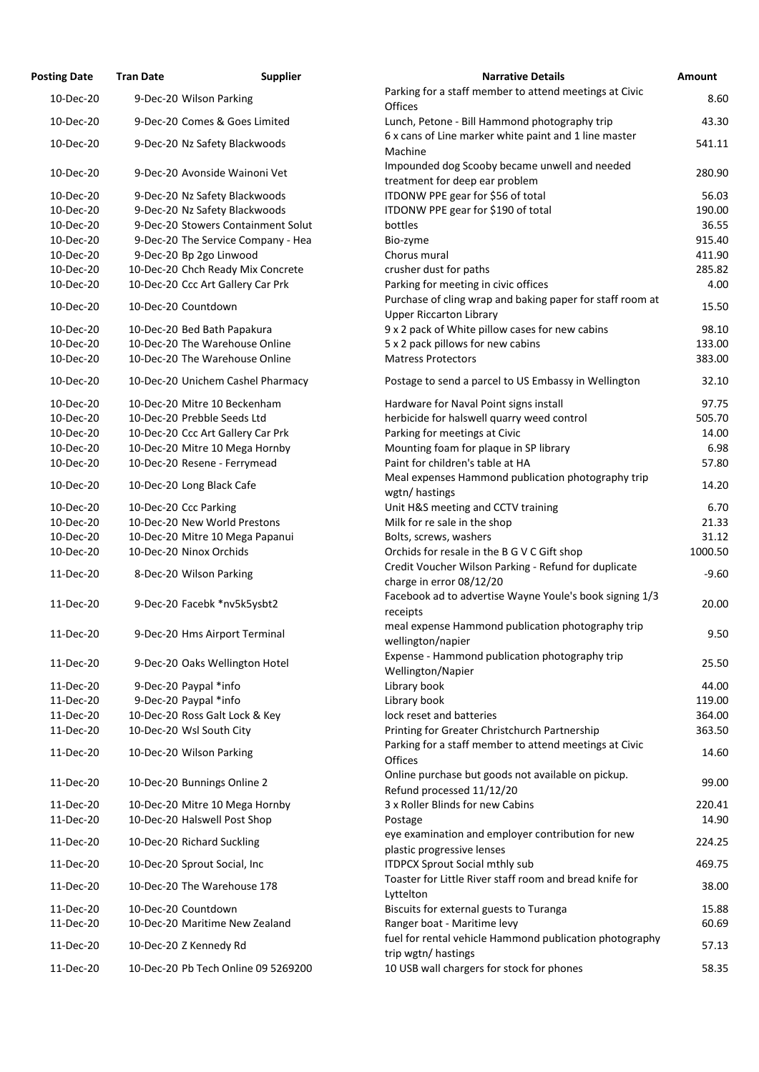| <b>Posting Date</b> | <b>Supplier</b><br><b>Tran Date</b> | <b>Narrative Details</b>                                                                         |
|---------------------|-------------------------------------|--------------------------------------------------------------------------------------------------|
| 10-Dec-20           | 9-Dec-20 Wilson Parking             | Parking for a staff member to attend meetings at Civic                                           |
| 10-Dec-20           | 9-Dec-20 Comes & Goes Limited       | Offices<br>Lunch, Petone - Bill Hammond photography trip                                         |
| 10-Dec-20           | 9-Dec-20 Nz Safety Blackwoods       | 6 x cans of Line marker white paint and 1 line master<br>Machine                                 |
|                     |                                     | Impounded dog Scooby became unwell and needed                                                    |
| 10-Dec-20           | 9-Dec-20 Avonside Wainoni Vet       | treatment for deep ear problem                                                                   |
| 10-Dec-20           | 9-Dec-20 Nz Safety Blackwoods       | ITDONW PPE gear for \$56 of total                                                                |
| 10-Dec-20           | 9-Dec-20 Nz Safety Blackwoods       | ITDONW PPE gear for \$190 of total                                                               |
| 10-Dec-20           | 9-Dec-20 Stowers Containment Solut  | bottles                                                                                          |
| 10-Dec-20           | 9-Dec-20 The Service Company - Hea  | Bio-zyme                                                                                         |
| 10-Dec-20           | 9-Dec-20 Bp 2go Linwood             | Chorus mural                                                                                     |
| 10-Dec-20           | 10-Dec-20 Chch Ready Mix Concrete   | crusher dust for paths                                                                           |
| 10-Dec-20           | 10-Dec-20 Ccc Art Gallery Car Prk   | Parking for meeting in civic offices                                                             |
| 10-Dec-20           | 10-Dec-20 Countdown                 | Purchase of cling wrap and baking paper for staff room at<br><b>Upper Riccarton Library</b>      |
| 10-Dec-20           | 10-Dec-20 Bed Bath Papakura         | 9 x 2 pack of White pillow cases for new cabins                                                  |
| 10-Dec-20           | 10-Dec-20 The Warehouse Online      | 5 x 2 pack pillows for new cabins                                                                |
| 10-Dec-20           | 10-Dec-20 The Warehouse Online      | <b>Matress Protectors</b>                                                                        |
| 10-Dec-20           | 10-Dec-20 Unichem Cashel Pharmacy   | Postage to send a parcel to US Embassy in Wellington                                             |
| 10-Dec-20           | 10-Dec-20 Mitre 10 Beckenham        | Hardware for Naval Point signs install                                                           |
| 10-Dec-20           | 10-Dec-20 Prebble Seeds Ltd         | herbicide for halswell quarry weed control                                                       |
| 10-Dec-20           | 10-Dec-20 Ccc Art Gallery Car Prk   | Parking for meetings at Civic                                                                    |
| 10-Dec-20           | 10-Dec-20 Mitre 10 Mega Hornby      | Mounting foam for plaque in SP library                                                           |
| 10-Dec-20           | 10-Dec-20 Resene - Ferrymead        | Paint for children's table at HA                                                                 |
| 10-Dec-20           | 10-Dec-20 Long Black Cafe           | Meal expenses Hammond publication photography trip<br>wgtn/hastings                              |
| 10-Dec-20           | 10-Dec-20 Ccc Parking               | Unit H&S meeting and CCTV training                                                               |
| 10-Dec-20           | 10-Dec-20 New World Prestons        | Milk for re sale in the shop                                                                     |
| 10-Dec-20           | 10-Dec-20 Mitre 10 Mega Papanui     | Bolts, screws, washers                                                                           |
| 10-Dec-20           | 10-Dec-20 Ninox Orchids             | Orchids for resale in the B G V C Gift shop                                                      |
| 11-Dec-20           | 8-Dec-20 Wilson Parking             | Credit Voucher Wilson Parking - Refund for duplicate<br>charge in error 08/12/20                 |
| 11-Dec-20           | 9-Dec-20 Facebk *nv5k5ysbt2         | Facebook ad to advertise Wayne Youle's book signing 1/3                                          |
|                     |                                     | receipts                                                                                         |
| 11-Dec-20           | 9-Dec-20 Hms Airport Terminal       | meal expense Hammond publication photography trip<br>wellington/napier                           |
| 11-Dec-20           | 9-Dec-20 Oaks Wellington Hotel      | Expense - Hammond publication photography trip                                                   |
| 11-Dec-20           | 9-Dec-20 Paypal *info               | Wellington/Napier<br>Library book                                                                |
| 11-Dec-20           | 9-Dec-20 Paypal *info               | Library book                                                                                     |
| 11-Dec-20           | 10-Dec-20 Ross Galt Lock & Key      | lock reset and batteries                                                                         |
| 11-Dec-20           | 10-Dec-20 Wsl South City            | Printing for Greater Christchurch Partnership                                                    |
| 11-Dec-20           | 10-Dec-20 Wilson Parking            | Parking for a staff member to attend meetings at Civic<br>Offices                                |
| 11-Dec-20           | 10-Dec-20 Bunnings Online 2         | Online purchase but goods not available on pickup.                                               |
| 11-Dec-20           | 10-Dec-20 Mitre 10 Mega Hornby      | Refund processed 11/12/20<br>3 x Roller Blinds for new Cabins                                    |
| 11-Dec-20           | 10-Dec-20 Halswell Post Shop        | Postage                                                                                          |
|                     |                                     | eye examination and employer contribution for new                                                |
| 11-Dec-20           | 10-Dec-20 Richard Suckling          | plastic progressive lenses                                                                       |
| 11-Dec-20           | 10-Dec-20 Sprout Social, Inc        | <b>ITDPCX Sprout Social mthly sub</b><br>Toaster for Little River staff room and bread knife for |
| 11-Dec-20           | 10-Dec-20 The Warehouse 178         | Lyttelton                                                                                        |
| 11-Dec-20           | 10-Dec-20 Countdown                 | Biscuits for external guests to Turanga                                                          |
| 11-Dec-20           | 10-Dec-20 Maritime New Zealand      | Ranger boat - Maritime levy                                                                      |
| 11-Dec-20           |                                     | fuel for rental vehicle Hammond publication photography                                          |
|                     | 10-Dec-20 Z Kennedy Rd              | trip wgtn/hastings                                                                               |
| 11-Dec-20           | 10-Dec-20 Pb Tech Online 09 5269200 | 10 USB wall chargers for stock for phones                                                        |

| <b>Posting Date</b> | <b>Tran Date</b>             | <b>Supplier</b>                     | <b>Narrative Details</b>                                                                         | Amount  |
|---------------------|------------------------------|-------------------------------------|--------------------------------------------------------------------------------------------------|---------|
| 10-Dec-20           | 9-Dec-20 Wilson Parking      |                                     | Parking for a staff member to attend meetings at Civic<br><b>Offices</b>                         | 8.60    |
| 10-Dec-20           |                              | 9-Dec-20 Comes & Goes Limited       | Lunch, Petone - Bill Hammond photography trip                                                    | 43.30   |
| 10-Dec-20           |                              | 9-Dec-20 Nz Safety Blackwoods       | 6 x cans of Line marker white paint and 1 line master<br>Machine                                 | 541.11  |
| 10-Dec-20           |                              | 9-Dec-20 Avonside Wainoni Vet       | Impounded dog Scooby became unwell and needed<br>treatment for deep ear problem                  | 280.90  |
| 10-Dec-20           |                              | 9-Dec-20 Nz Safety Blackwoods       | ITDONW PPE gear for \$56 of total                                                                | 56.03   |
| 10-Dec-20           |                              | 9-Dec-20 Nz Safety Blackwoods       | ITDONW PPE gear for \$190 of total                                                               | 190.00  |
| 10-Dec-20           |                              | 9-Dec-20 Stowers Containment Solut  | bottles                                                                                          | 36.55   |
| 10-Dec-20           |                              | 9-Dec-20 The Service Company - Hea  | Bio-zyme                                                                                         | 915.40  |
| 10-Dec-20           | 9-Dec-20 Bp 2go Linwood      |                                     | Chorus mural                                                                                     | 411.90  |
| 10-Dec-20           |                              | 10-Dec-20 Chch Ready Mix Concrete   | crusher dust for paths                                                                           | 285.82  |
| 10-Dec-20           |                              | 10-Dec-20 Ccc Art Gallery Car Prk   | Parking for meeting in civic offices                                                             | 4.00    |
| 10-Dec-20           | 10-Dec-20 Countdown          |                                     | Purchase of cling wrap and baking paper for staff room at<br><b>Upper Riccarton Library</b>      | 15.50   |
| 10-Dec-20           | 10-Dec-20 Bed Bath Papakura  |                                     | 9 x 2 pack of White pillow cases for new cabins                                                  | 98.10   |
| 10-Dec-20           |                              | 10-Dec-20 The Warehouse Online      | 5 x 2 pack pillows for new cabins                                                                | 133.00  |
| 10-Dec-20           |                              | 10-Dec-20 The Warehouse Online      | <b>Matress Protectors</b>                                                                        | 383.00  |
| 10-Dec-20           |                              | 10-Dec-20 Unichem Cashel Pharmacy   | Postage to send a parcel to US Embassy in Wellington                                             | 32.10   |
| 10-Dec-20           |                              | 10-Dec-20 Mitre 10 Beckenham        | Hardware for Naval Point signs install                                                           | 97.75   |
| 10-Dec-20           | 10-Dec-20 Prebble Seeds Ltd  |                                     | herbicide for halswell quarry weed control                                                       | 505.70  |
| 10-Dec-20           |                              | 10-Dec-20 Ccc Art Gallery Car Prk   | Parking for meetings at Civic                                                                    | 14.00   |
| 10-Dec-20           |                              | 10-Dec-20 Mitre 10 Mega Hornby      | Mounting foam for plaque in SP library                                                           | 6.98    |
| 10-Dec-20           |                              | 10-Dec-20 Resene - Ferrymead        | Paint for children's table at HA<br>Meal expenses Hammond publication photography trip           | 57.80   |
| 10-Dec-20           | 10-Dec-20 Long Black Cafe    |                                     | wgtn/hastings                                                                                    | 14.20   |
| 10-Dec-20           | 10-Dec-20 Ccc Parking        |                                     | Unit H&S meeting and CCTV training                                                               | 6.70    |
| 10-Dec-20           |                              | 10-Dec-20 New World Prestons        | Milk for re sale in the shop                                                                     | 21.33   |
| 10-Dec-20           |                              | 10-Dec-20 Mitre 10 Mega Papanui     | Bolts, screws, washers                                                                           | 31.12   |
| 10-Dec-20           | 10-Dec-20 Ninox Orchids      |                                     | Orchids for resale in the B G V C Gift shop                                                      | 1000.50 |
| 11-Dec-20           | 8-Dec-20 Wilson Parking      |                                     | Credit Voucher Wilson Parking - Refund for duplicate<br>charge in error 08/12/20                 | $-9.60$ |
| 11-Dec-20           |                              | 9-Dec-20 Facebk *nv5k5ysbt2         | Facebook ad to advertise Wayne Youle's book signing 1/3<br>receipts                              | 20.00   |
| 11-Dec-20           |                              | 9-Dec-20 Hms Airport Terminal       | meal expense Hammond publication photography trip<br>wellington/napier                           | 9.50    |
| 11-Dec-20           |                              | 9-Dec-20 Oaks Wellington Hotel      | Expense - Hammond publication photography trip                                                   | 25.50   |
| 11-Dec-20           | 9-Dec-20 Paypal *info        |                                     | Wellington/Napier<br>Library book                                                                | 44.00   |
| 11-Dec-20           | 9-Dec-20 Paypal *info        |                                     | Library book                                                                                     | 119.00  |
| 11-Dec-20           |                              | 10-Dec-20 Ross Galt Lock & Key      | lock reset and batteries                                                                         | 364.00  |
| 11-Dec-20           | 10-Dec-20 Wsl South City     |                                     | Printing for Greater Christchurch Partnership                                                    | 363.50  |
| 11-Dec-20           | 10-Dec-20 Wilson Parking     |                                     | Parking for a staff member to attend meetings at Civic<br><b>Offices</b>                         | 14.60   |
| 11-Dec-20           | 10-Dec-20 Bunnings Online 2  |                                     | Online purchase but goods not available on pickup.<br>Refund processed 11/12/20                  | 99.00   |
| 11-Dec-20           |                              | 10-Dec-20 Mitre 10 Mega Hornby      | 3 x Roller Blinds for new Cabins                                                                 | 220.41  |
| 11-Dec-20           | 10-Dec-20 Halswell Post Shop |                                     | Postage                                                                                          | 14.90   |
|                     |                              |                                     | eye examination and employer contribution for new                                                |         |
| 11-Dec-20           | 10-Dec-20 Richard Suckling   |                                     | plastic progressive lenses                                                                       | 224.25  |
| 11-Dec-20           | 10-Dec-20 Sprout Social, Inc |                                     | <b>ITDPCX Sprout Social mthly sub</b><br>Toaster for Little River staff room and bread knife for | 469.75  |
| 11-Dec-20           |                              | 10-Dec-20 The Warehouse 178         | Lyttelton                                                                                        | 38.00   |
| 11-Dec-20           | 10-Dec-20 Countdown          |                                     | Biscuits for external guests to Turanga                                                          | 15.88   |
| 11-Dec-20           |                              | 10-Dec-20 Maritime New Zealand      | Ranger boat - Maritime levy                                                                      | 60.69   |
| 11-Dec-20           | 10-Dec-20 Z Kennedy Rd       |                                     | fuel for rental vehicle Hammond publication photography<br>trip wgtn/ hastings                   | 57.13   |
| 11-Dec-20           |                              | 10-Dec-20 Pb Tech Online 09 5269200 | 10 USB wall chargers for stock for phones                                                        | 58.35   |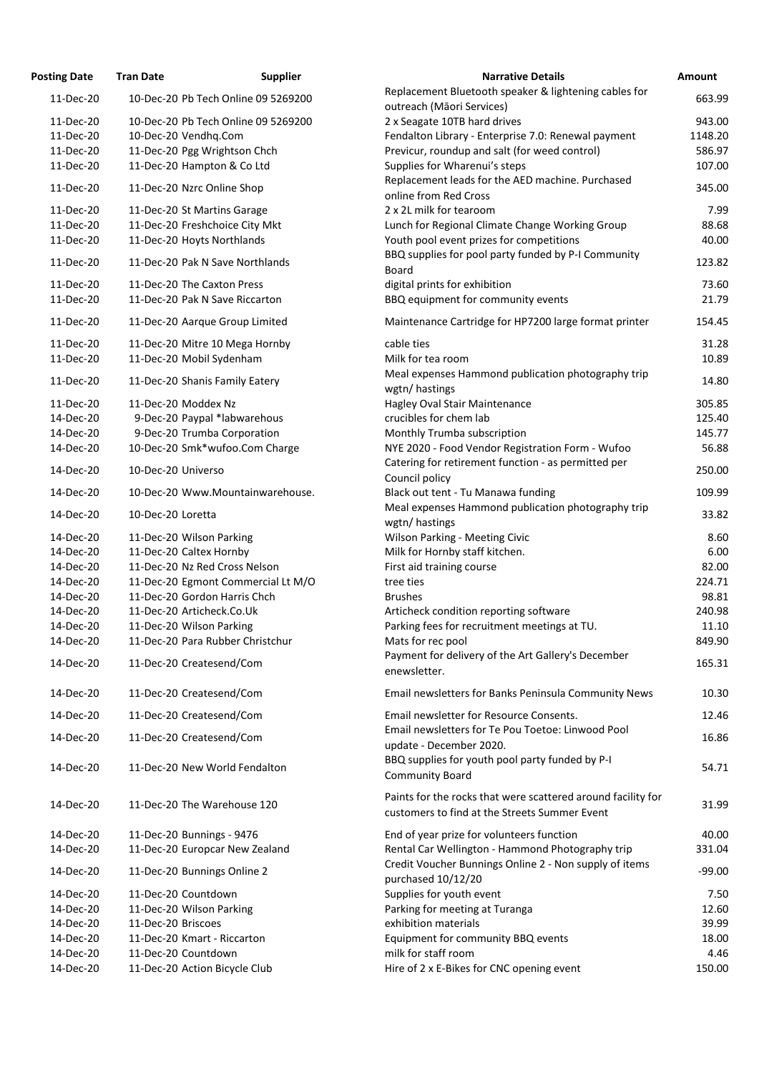| osting Date | <b>Tran Date</b>                    | <b>Supplier</b> | <b>Narrative Details</b>                                                                                    |
|-------------|-------------------------------------|-----------------|-------------------------------------------------------------------------------------------------------------|
| 11-Dec-20   | 10-Dec-20 Pb Tech Online 09 5269200 |                 | Replacement Bluetooth speaker & lightening cables for<br>outreach (Māori Services)                          |
| 11-Dec-20   | 10-Dec-20 Pb Tech Online 09 5269200 |                 | 2 x Seagate 10TB hard drives                                                                                |
| 11-Dec-20   | 10-Dec-20 Vendhq.Com                |                 | Fendalton Library - Enterprise 7.0: Renewal payment                                                         |
| 11-Dec-20   | 11-Dec-20 Pgg Wrightson Chch        |                 | Previcur, roundup and salt (for weed control)                                                               |
| 11-Dec-20   | 11-Dec-20 Hampton & Co Ltd          |                 | Supplies for Wharenui's steps<br>Replacement leads for the AED machine. Purchased                           |
| 11-Dec-20   | 11-Dec-20 Nzrc Online Shop          |                 | online from Red Cross                                                                                       |
| 11-Dec-20   | 11-Dec-20 St Martins Garage         |                 | 2 x 2L milk for tearoom                                                                                     |
| 11-Dec-20   | 11-Dec-20 Freshchoice City Mkt      |                 | Lunch for Regional Climate Change Working Group                                                             |
| 11-Dec-20   | 11-Dec-20 Hoyts Northlands          |                 | Youth pool event prizes for competitions<br>BBQ supplies for pool party funded by P-I Community             |
| 11-Dec-20   | 11-Dec-20 Pak N Save Northlands     |                 | <b>Board</b>                                                                                                |
| 11-Dec-20   | 11-Dec-20 The Caxton Press          |                 | digital prints for exhibition                                                                               |
| 11-Dec-20   | 11-Dec-20 Pak N Save Riccarton      |                 | BBQ equipment for community events                                                                          |
| 11-Dec-20   | 11-Dec-20 Aarque Group Limited      |                 | Maintenance Cartridge for HP7200 large format printer                                                       |
| 11-Dec-20   | 11-Dec-20 Mitre 10 Mega Hornby      |                 | cable ties                                                                                                  |
| 11-Dec-20   | 11-Dec-20 Mobil Sydenham            |                 | Milk for tea room                                                                                           |
| 11-Dec-20   | 11-Dec-20 Shanis Family Eatery      |                 | Meal expenses Hammond publication photography trip<br>wgtn/hastings                                         |
| 11-Dec-20   | 11-Dec-20 Moddex Nz                 |                 | <b>Hagley Oval Stair Maintenance</b>                                                                        |
| 14-Dec-20   | 9-Dec-20 Paypal *labwarehous        |                 | crucibles for chem lab                                                                                      |
| 14-Dec-20   | 9-Dec-20 Trumba Corporation         |                 | Monthly Trumba subscription                                                                                 |
| 14-Dec-20   | 10-Dec-20 Smk*wufoo.Com Charge      |                 | NYE 2020 - Food Vendor Registration Form - Wufoo                                                            |
| 14-Dec-20   | 10-Dec-20 Universo                  |                 | Catering for retirement function - as permitted per                                                         |
| 14-Dec-20   | 10-Dec-20 Www.Mountainwarehouse.    |                 | Council policy<br>Black out tent - Tu Manawa funding                                                        |
| 14-Dec-20   | 10-Dec-20 Loretta                   |                 | Meal expenses Hammond publication photography trip                                                          |
|             |                                     |                 | wgtn/hastings                                                                                               |
| 14-Dec-20   | 11-Dec-20 Wilson Parking            |                 | <b>Wilson Parking - Meeting Civic</b>                                                                       |
| 14-Dec-20   | 11-Dec-20 Caltex Hornby             |                 | Milk for Hornby staff kitchen.                                                                              |
| 14-Dec-20   | 11-Dec-20 Nz Red Cross Nelson       |                 | First aid training course                                                                                   |
| 14-Dec-20   | 11-Dec-20 Egmont Commercial Lt M/O  |                 | tree ties                                                                                                   |
| 14-Dec-20   | 11-Dec-20 Gordon Harris Chch        |                 | <b>Brushes</b>                                                                                              |
| 14-Dec-20   | 11-Dec-20 Articheck.Co.Uk           |                 | Articheck condition reporting software                                                                      |
| 14-Dec-20   | 11-Dec-20 Wilson Parking            |                 | Parking fees for recruitment meetings at TU.                                                                |
| 14-Dec-20   | 11-Dec-20 Para Rubber Christchur    |                 | Mats for rec pool<br>Payment for delivery of the Art Gallery's December                                     |
| 14-Dec-20   | 11-Dec-20 Createsend/Com            |                 | enewsletter.                                                                                                |
| 14-Dec-20   | 11-Dec-20 Createsend/Com            |                 | Email newsletters for Banks Peninsula Community New                                                         |
| 14-Dec-20   | 11-Dec-20 Createsend/Com            |                 | Email newsletter for Resource Consents.                                                                     |
| 14-Dec-20   | 11-Dec-20 Createsend/Com            |                 | Email newsletters for Te Pou Toetoe: Linwood Pool<br>update - December 2020.                                |
| 14-Dec-20   | 11-Dec-20 New World Fendalton       |                 | BBQ supplies for youth pool party funded by P-I<br><b>Community Board</b>                                   |
| 14-Dec-20   | 11-Dec-20 The Warehouse 120         |                 | Paints for the rocks that were scattered around facility t<br>customers to find at the Streets Summer Event |
| 14-Dec-20   | 11-Dec-20 Bunnings - 9476           |                 | End of year prize for volunteers function                                                                   |
| 14-Dec-20   | 11-Dec-20 Europcar New Zealand      |                 | Rental Car Wellington - Hammond Photography trip                                                            |
| 14-Dec-20   | 11-Dec-20 Bunnings Online 2         |                 | Credit Voucher Bunnings Online 2 - Non supply of items<br>purchased 10/12/20                                |
| 14-Dec-20   | 11-Dec-20 Countdown                 |                 | Supplies for youth event                                                                                    |
| 14-Dec-20   | 11-Dec-20 Wilson Parking            |                 | Parking for meeting at Turanga                                                                              |
| 14-Dec-20   | 11-Dec-20 Briscoes                  |                 | exhibition materials                                                                                        |
| 14-Dec-20   | 11-Dec-20 Kmart - Riccarton         |                 | Equipment for community BBQ events                                                                          |
| 14-Dec-20   | 11-Dec-20 Countdown                 |                 | milk for staff room                                                                                         |
| 14-Dec-20   | 11-Dec-20 Action Bicycle Club       |                 | Hire of 2 x E-Bikes for CNC opening event                                                                   |

| <b>Posting Date</b> | <b>Tran Date</b>               | <b>Supplier</b>                     | <b>Narrative Details</b>                                                           | Amount   |
|---------------------|--------------------------------|-------------------------------------|------------------------------------------------------------------------------------|----------|
| 11-Dec-20           |                                | 10-Dec-20 Pb Tech Online 09 5269200 | Replacement Bluetooth speaker & lightening cables for<br>outreach (Māori Services) | 663.99   |
| 11-Dec-20           |                                | 10-Dec-20 Pb Tech Online 09 5269200 | 2 x Seagate 10TB hard drives                                                       | 943.00   |
|                     |                                |                                     |                                                                                    |          |
| 11-Dec-20           | 10-Dec-20 Vendhq.Com           |                                     | Fendalton Library - Enterprise 7.0: Renewal payment                                | 1148.20  |
| 11-Dec-20           | 11-Dec-20 Pgg Wrightson Chch   |                                     | Previcur, roundup and salt (for weed control)                                      | 586.97   |
| 11-Dec-20           | 11-Dec-20 Hampton & Co Ltd     |                                     | Supplies for Wharenui's steps                                                      | 107.00   |
| 11-Dec-20           | 11-Dec-20 Nzrc Online Shop     |                                     | Replacement leads for the AED machine. Purchased                                   | 345.00   |
|                     |                                |                                     | online from Red Cross                                                              |          |
| 11-Dec-20           | 11-Dec-20 St Martins Garage    |                                     | 2 x 2L milk for tearoom                                                            | 7.99     |
| 11-Dec-20           |                                | 11-Dec-20 Freshchoice City Mkt      | Lunch for Regional Climate Change Working Group                                    | 88.68    |
| 11-Dec-20           | 11-Dec-20 Hoyts Northlands     |                                     | Youth pool event prizes for competitions                                           | 40.00    |
| 11-Dec-20           |                                | 11-Dec-20 Pak N Save Northlands     | BBQ supplies for pool party funded by P-I Community                                | 123.82   |
|                     |                                |                                     | <b>Board</b>                                                                       |          |
| 11-Dec-20           | 11-Dec-20 The Caxton Press     |                                     | digital prints for exhibition                                                      | 73.60    |
| 11-Dec-20           |                                | 11-Dec-20 Pak N Save Riccarton      | BBQ equipment for community events                                                 | 21.79    |
| 11-Dec-20           |                                | 11-Dec-20 Aarque Group Limited      | Maintenance Cartridge for HP7200 large format printer                              | 154.45   |
|                     |                                |                                     |                                                                                    |          |
| 11-Dec-20           |                                | 11-Dec-20 Mitre 10 Mega Hornby      | cable ties                                                                         | 31.28    |
| 11-Dec-20           | 11-Dec-20 Mobil Sydenham       |                                     | Milk for tea room                                                                  | 10.89    |
| 11-Dec-20           | 11-Dec-20 Shanis Family Eatery |                                     | Meal expenses Hammond publication photography trip                                 | 14.80    |
|                     |                                |                                     | wgtn/hastings                                                                      |          |
| 11-Dec-20           | 11-Dec-20 Moddex Nz            |                                     | Hagley Oval Stair Maintenance                                                      | 305.85   |
| 14-Dec-20           |                                | 9-Dec-20 Paypal *labwarehous        | crucibles for chem lab                                                             | 125.40   |
| 14-Dec-20           |                                | 9-Dec-20 Trumba Corporation         | Monthly Trumba subscription                                                        | 145.77   |
| 14-Dec-20           |                                | 10-Dec-20 Smk*wufoo.Com Charge      | NYE 2020 - Food Vendor Registration Form - Wufoo                                   | 56.88    |
| 14-Dec-20           | 10-Dec-20 Universo             |                                     | Catering for retirement function - as permitted per                                | 250.00   |
|                     |                                |                                     | Council policy                                                                     |          |
| 14-Dec-20           |                                | 10-Dec-20 Www.Mountainwarehouse.    | Black out tent - Tu Manawa funding                                                 | 109.99   |
| 14-Dec-20           | 10-Dec-20 Loretta              |                                     | Meal expenses Hammond publication photography trip                                 | 33.82    |
|                     |                                |                                     | wgtn/hastings                                                                      |          |
| 14-Dec-20           | 11-Dec-20 Wilson Parking       |                                     | <b>Wilson Parking - Meeting Civic</b>                                              | 8.60     |
| 14-Dec-20           | 11-Dec-20 Caltex Hornby        |                                     | Milk for Hornby staff kitchen.                                                     | 6.00     |
| 14-Dec-20           | 11-Dec-20 Nz Red Cross Nelson  |                                     | First aid training course                                                          | 82.00    |
| 14-Dec-20           |                                | 11-Dec-20 Egmont Commercial Lt M/O  | tree ties                                                                          | 224.71   |
| 14-Dec-20           | 11-Dec-20 Gordon Harris Chch   |                                     | <b>Brushes</b>                                                                     | 98.81    |
| 14-Dec-20           | 11-Dec-20 Articheck.Co.Uk      |                                     | Articheck condition reporting software                                             | 240.98   |
| 14-Dec-20           | 11-Dec-20 Wilson Parking       |                                     | Parking fees for recruitment meetings at TU.                                       | 11.10    |
| 14-Dec-20           |                                | 11-Dec-20 Para Rubber Christchur    | Mats for rec pool                                                                  | 849.90   |
|                     |                                |                                     | Payment for delivery of the Art Gallery's December                                 |          |
| 14-Dec-20           | 11-Dec-20 Createsend/Com       |                                     | enewsletter.                                                                       | 165.31   |
| 14-Dec-20           | 11-Dec-20 Createsend/Com       |                                     | Email newsletters for Banks Peninsula Community News                               | 10.30    |
|                     |                                |                                     |                                                                                    |          |
| 14-Dec-20           | 11-Dec-20 Createsend/Com       |                                     | Email newsletter for Resource Consents.                                            | 12.46    |
| 14-Dec-20           | 11-Dec-20 Createsend/Com       |                                     | Email newsletters for Te Pou Toetoe: Linwood Pool                                  | 16.86    |
|                     |                                |                                     | update - December 2020.                                                            |          |
| 14-Dec-20           |                                | 11-Dec-20 New World Fendalton       | BBQ supplies for youth pool party funded by P-I                                    | 54.71    |
|                     |                                |                                     | <b>Community Board</b>                                                             |          |
|                     |                                |                                     | Paints for the rocks that were scattered around facility for                       |          |
| 14-Dec-20           | 11-Dec-20 The Warehouse 120    |                                     | customers to find at the Streets Summer Event                                      | 31.99    |
|                     |                                |                                     |                                                                                    |          |
| 14-Dec-20           | 11-Dec-20 Bunnings - 9476      |                                     | End of year prize for volunteers function                                          | 40.00    |
| 14-Dec-20           |                                | 11-Dec-20 Europcar New Zealand      | Rental Car Wellington - Hammond Photography trip                                   | 331.04   |
| 14-Dec-20           | 11-Dec-20 Bunnings Online 2    |                                     | Credit Voucher Bunnings Online 2 - Non supply of items                             | $-99.00$ |
|                     |                                |                                     | purchased 10/12/20                                                                 |          |
| 14-Dec-20           | 11-Dec-20 Countdown            |                                     | Supplies for youth event                                                           | 7.50     |
| 14-Dec-20           | 11-Dec-20 Wilson Parking       |                                     | Parking for meeting at Turanga                                                     | 12.60    |
| 14-Dec-20           | 11-Dec-20 Briscoes             |                                     | exhibition materials                                                               | 39.99    |
| 14-Dec-20           | 11-Dec-20 Kmart - Riccarton    |                                     | Equipment for community BBQ events                                                 | 18.00    |
| 14-Dec-20           | 11-Dec-20 Countdown            |                                     | milk for staff room                                                                | 4.46     |
| 14-Dec-20           | 11-Dec-20 Action Bicycle Club  |                                     | Hire of 2 x E-Bikes for CNC opening event                                          | 150.00   |
|                     |                                |                                     |                                                                                    |          |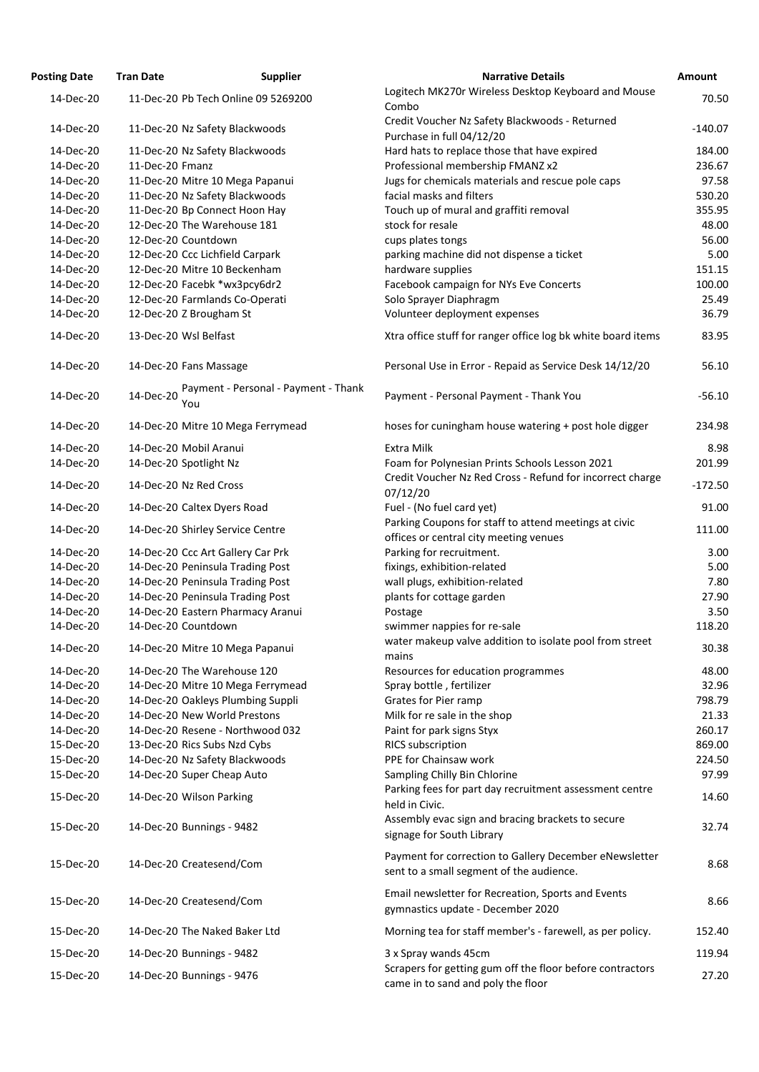| <b>Posting Date</b> | <b>Tran Date</b>                  | <b>Supplier</b>                      | <b>Narrative Details</b>                                                                           | <b>Amount</b> |
|---------------------|-----------------------------------|--------------------------------------|----------------------------------------------------------------------------------------------------|---------------|
| 14-Dec-20           |                                   | 11-Dec-20 Pb Tech Online 09 5269200  | Logitech MK270r Wireless Desktop Keyboard and Mouse<br>Combo                                       | 70.50         |
| 14-Dec-20           | 11-Dec-20 Nz Safety Blackwoods    |                                      | Credit Voucher Nz Safety Blackwoods - Returned<br>Purchase in full 04/12/20                        | $-140.07$     |
| 14-Dec-20           | 11-Dec-20 Nz Safety Blackwoods    |                                      | Hard hats to replace those that have expired                                                       | 184.00        |
| 14-Dec-20           | 11-Dec-20 Fmanz                   |                                      | Professional membership FMANZ x2                                                                   | 236.67        |
| 14-Dec-20           |                                   | 11-Dec-20 Mitre 10 Mega Papanui      | Jugs for chemicals materials and rescue pole caps                                                  | 97.58         |
| 14-Dec-20           | 11-Dec-20 Nz Safety Blackwoods    |                                      | facial masks and filters                                                                           | 530.20        |
| 14-Dec-20           | 11-Dec-20 Bp Connect Hoon Hay     |                                      | Touch up of mural and graffiti removal                                                             | 355.95        |
| 14-Dec-20           | 12-Dec-20 The Warehouse 181       |                                      | stock for resale                                                                                   | 48.00         |
| 14-Dec-20           | 12-Dec-20 Countdown               |                                      | cups plates tongs                                                                                  | 56.00         |
| 14-Dec-20           | 12-Dec-20 Ccc Lichfield Carpark   |                                      | parking machine did not dispense a ticket                                                          | 5.00          |
| 14-Dec-20           | 12-Dec-20 Mitre 10 Beckenham      |                                      | hardware supplies                                                                                  | 151.15        |
| 14-Dec-20           | 12-Dec-20 Facebk *wx3pcy6dr2      |                                      | Facebook campaign for NYs Eve Concerts                                                             | 100.00        |
| 14-Dec-20           | 12-Dec-20 Farmlands Co-Operati    |                                      | Solo Sprayer Diaphragm                                                                             | 25.49         |
| 14-Dec-20           | 12-Dec-20 Z Brougham St           |                                      | Volunteer deployment expenses                                                                      | 36.79         |
| 14-Dec-20           | 13-Dec-20 Wsl Belfast             |                                      | Xtra office stuff for ranger office log bk white board items                                       | 83.95         |
|                     |                                   |                                      |                                                                                                    |               |
| 14-Dec-20           | 14-Dec-20 Fans Massage            |                                      | Personal Use in Error - Repaid as Service Desk 14/12/20                                            | 56.10         |
| 14-Dec-20           | 14-Dec-20<br>You                  | Payment - Personal - Payment - Thank | Payment - Personal Payment - Thank You                                                             | $-56.10$      |
| 14-Dec-20           |                                   | 14-Dec-20 Mitre 10 Mega Ferrymead    | hoses for cuningham house watering + post hole digger                                              | 234.98        |
| 14-Dec-20           | 14-Dec-20 Mobil Aranui            |                                      | <b>Extra Milk</b>                                                                                  | 8.98          |
| 14-Dec-20           | 14-Dec-20 Spotlight Nz            |                                      | Foam for Polynesian Prints Schools Lesson 2021                                                     | 201.99        |
| 14-Dec-20           | 14-Dec-20 Nz Red Cross            |                                      | Credit Voucher Nz Red Cross - Refund for incorrect charge<br>07/12/20                              | $-172.50$     |
| 14-Dec-20           | 14-Dec-20 Caltex Dyers Road       |                                      | Fuel - (No fuel card yet)                                                                          | 91.00         |
| 14-Dec-20           | 14-Dec-20 Shirley Service Centre  |                                      | Parking Coupons for staff to attend meetings at civic<br>offices or central city meeting venues    | 111.00        |
| 14-Dec-20           | 14-Dec-20 Ccc Art Gallery Car Prk |                                      | Parking for recruitment.                                                                           | 3.00          |
| 14-Dec-20           | 14-Dec-20 Peninsula Trading Post  |                                      | fixings, exhibition-related                                                                        | 5.00          |
| 14-Dec-20           | 14-Dec-20 Peninsula Trading Post  |                                      | wall plugs, exhibition-related                                                                     | 7.80          |
| 14-Dec-20           | 14-Dec-20 Peninsula Trading Post  |                                      | plants for cottage garden                                                                          | 27.90         |
| 14-Dec-20           |                                   | 14-Dec-20 Eastern Pharmacy Aranui    | Postage                                                                                            | 3.50          |
| 14-Dec-20           | 14-Dec-20 Countdown               |                                      | swimmer nappies for re-sale                                                                        | 118.20        |
| 14-Dec-20           |                                   | 14-Dec-20 Mitre 10 Mega Papanui      | water makeup valve addition to isolate pool from street<br>mains                                   | 30.38         |
| 14-Dec-20           | 14-Dec-20 The Warehouse 120       |                                      | Resources for education programmes                                                                 | 48.00         |
| 14-Dec-20           |                                   | 14-Dec-20 Mitre 10 Mega Ferrymead    | Spray bottle, fertilizer                                                                           | 32.96         |
| 14-Dec-20           |                                   | 14-Dec-20 Oakleys Plumbing Suppli    | Grates for Pier ramp                                                                               | 798.79        |
| 14-Dec-20           | 14-Dec-20 New World Prestons      |                                      | Milk for re sale in the shop                                                                       | 21.33         |
| 14-Dec-20           |                                   | 14-Dec-20 Resene - Northwood 032     | Paint for park signs Styx                                                                          | 260.17        |
| 15-Dec-20           | 13-Dec-20 Rics Subs Nzd Cybs      |                                      | RICS subscription                                                                                  | 869.00        |
| 15-Dec-20           | 14-Dec-20 Nz Safety Blackwoods    |                                      | PPE for Chainsaw work                                                                              | 224.50        |
| 15-Dec-20           | 14-Dec-20 Super Cheap Auto        |                                      | Sampling Chilly Bin Chlorine                                                                       | 97.99         |
| 15-Dec-20           | 14-Dec-20 Wilson Parking          |                                      | Parking fees for part day recruitment assessment centre                                            | 14.60         |
| 15-Dec-20           | 14-Dec-20 Bunnings - 9482         |                                      | held in Civic.<br>Assembly evac sign and bracing brackets to secure                                | 32.74         |
|                     |                                   |                                      | signage for South Library                                                                          |               |
| 15-Dec-20           | 14-Dec-20 Createsend/Com          |                                      | Payment for correction to Gallery December eNewsletter<br>sent to a small segment of the audience. | 8.68          |
| 15-Dec-20           | 14-Dec-20 Createsend/Com          |                                      | Email newsletter for Recreation, Sports and Events<br>gymnastics update - December 2020            | 8.66          |
| 15-Dec-20           | 14-Dec-20 The Naked Baker Ltd     |                                      | Morning tea for staff member's - farewell, as per policy.                                          | 152.40        |
| 15-Dec-20           | 14-Dec-20 Bunnings - 9482         |                                      | 3 x Spray wands 45cm                                                                               | 119.94        |
| 15-Dec-20           | 14-Dec-20 Bunnings - 9476         |                                      | Scrapers for getting gum off the floor before contractors<br>came in to sand and poly the floor    | 27.20         |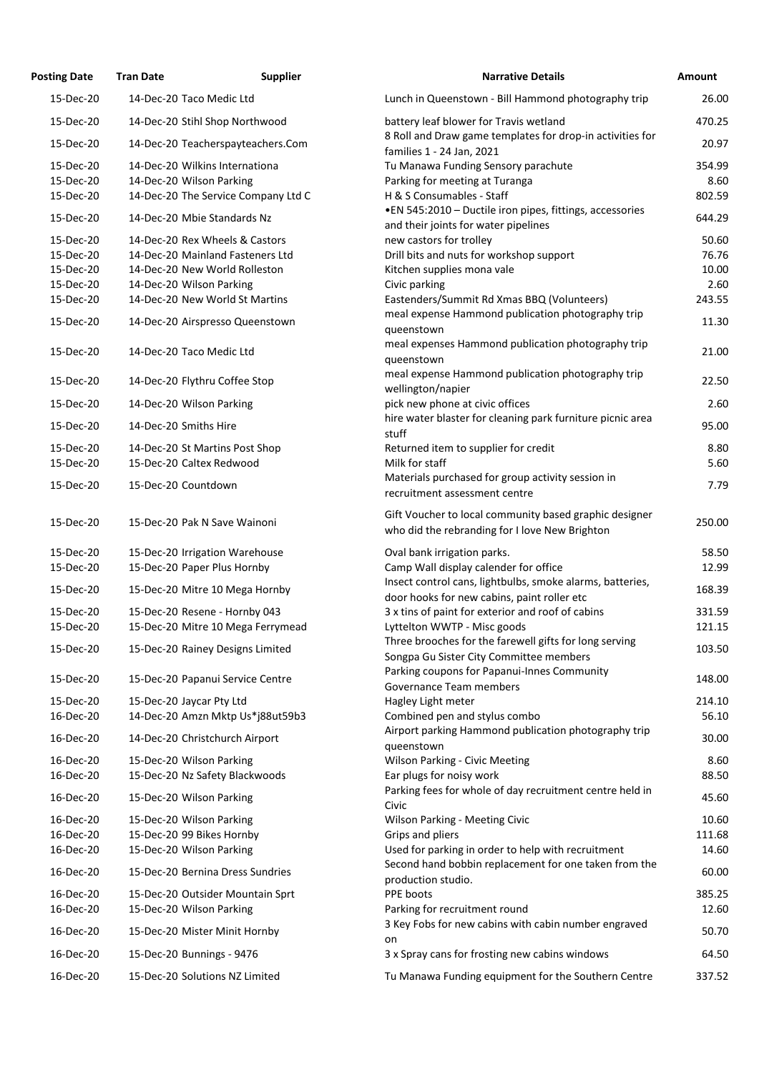| <b>Posting Date</b>    | <b>Tran Date</b>               | <b>Supplier</b>                     | <b>Narrative Details</b>                                                                                    | <b>Amount</b>  |
|------------------------|--------------------------------|-------------------------------------|-------------------------------------------------------------------------------------------------------------|----------------|
| 15-Dec-20              | 14-Dec-20 Taco Medic Ltd       |                                     | Lunch in Queenstown - Bill Hammond photography trip                                                         | 26.00          |
| 15-Dec-20              | 14-Dec-20 Stihl Shop Northwood |                                     | battery leaf blower for Travis wetland                                                                      | 470.25         |
| 15-Dec-20              |                                | 14-Dec-20 Teacherspayteachers.Com   | 8 Roll and Draw game templates for drop-in activities for<br>families 1 - 24 Jan, 2021                      | 20.97          |
| 15-Dec-20              | 14-Dec-20 Wilkins Internationa |                                     | Tu Manawa Funding Sensory parachute                                                                         | 354.99         |
| 15-Dec-20              | 14-Dec-20 Wilson Parking       |                                     | Parking for meeting at Turanga                                                                              | 8.60           |
| 15-Dec-20              |                                | 14-Dec-20 The Service Company Ltd C | H & S Consumables - Staff                                                                                   | 802.59         |
| 15-Dec-20              | 14-Dec-20 Mbie Standards Nz    |                                     | •EN 545:2010 - Ductile iron pipes, fittings, accessories<br>and their joints for water pipelines            | 644.29         |
| 15-Dec-20              | 14-Dec-20 Rex Wheels & Castors |                                     | new castors for trolley                                                                                     | 50.60          |
| 15-Dec-20              |                                | 14-Dec-20 Mainland Fasteners Ltd    | Drill bits and nuts for workshop support                                                                    | 76.76          |
| 15-Dec-20              | 14-Dec-20 New World Rolleston  |                                     | Kitchen supplies mona vale                                                                                  | 10.00          |
| 15-Dec-20              | 14-Dec-20 Wilson Parking       |                                     | Civic parking                                                                                               | 2.60           |
| 15-Dec-20              | 14-Dec-20 New World St Martins |                                     | Eastenders/Summit Rd Xmas BBQ (Volunteers)                                                                  | 243.55         |
| 15-Dec-20              |                                | 14-Dec-20 Airspresso Queenstown     | meal expense Hammond publication photography trip                                                           | 11.30          |
|                        |                                |                                     | queenstown<br>meal expenses Hammond publication photography trip                                            |                |
| 15-Dec-20              | 14-Dec-20 Taco Medic Ltd       |                                     | queenstown                                                                                                  | 21.00          |
| 15-Dec-20              | 14-Dec-20 Flythru Coffee Stop  |                                     | meal expense Hammond publication photography trip<br>wellington/napier                                      | 22.50          |
| 15-Dec-20              | 14-Dec-20 Wilson Parking       |                                     | pick new phone at civic offices                                                                             | 2.60           |
| 15-Dec-20              | 14-Dec-20 Smiths Hire          |                                     | hire water blaster for cleaning park furniture picnic area<br>stuff                                         | 95.00          |
| 15-Dec-20              | 14-Dec-20 St Martins Post Shop |                                     | Returned item to supplier for credit                                                                        | 8.80           |
| 15-Dec-20              | 15-Dec-20 Caltex Redwood       |                                     | Milk for staff                                                                                              | 5.60           |
| 15-Dec-20              | 15-Dec-20 Countdown            |                                     | Materials purchased for group activity session in<br>recruitment assessment centre                          | 7.79           |
| 15-Dec-20              | 15-Dec-20 Pak N Save Wainoni   |                                     | Gift Voucher to local community based graphic designer<br>who did the rebranding for I love New Brighton    | 250.00         |
| 15-Dec-20              | 15-Dec-20 Irrigation Warehouse |                                     | Oval bank irrigation parks.                                                                                 | 58.50          |
| 15-Dec-20              | 15-Dec-20 Paper Plus Hornby    |                                     | Camp Wall display calender for office                                                                       | 12.99          |
|                        |                                |                                     | Insect control cans, lightbulbs, smoke alarms, batteries,                                                   |                |
| 15-Dec-20              |                                | 15-Dec-20 Mitre 10 Mega Hornby      | door hooks for new cabins, paint roller etc                                                                 | 168.39         |
| 15-Dec-20              | 15-Dec-20 Resene - Hornby 043  |                                     | 3 x tins of paint for exterior and roof of cabins                                                           | 331.59         |
| 15-Dec-20              |                                | 15-Dec-20 Mitre 10 Mega Ferrymead   | Lyttelton WWTP - Misc goods                                                                                 | 121.15         |
| 15-Dec-20              |                                | 15-Dec-20 Rainey Designs Limited    | Three brooches for the farewell gifts for long serving<br>Songpa Gu Sister City Committee members           | 103.50         |
| 15-Dec-20              |                                | 15-Dec-20 Papanui Service Centre    | Parking coupons for Papanui-Innes Community<br>Governance Team members                                      | 148.00         |
| 15-Dec-20              | 15-Dec-20 Jaycar Pty Ltd       |                                     | Hagley Light meter                                                                                          | 214.10         |
| 16-Dec-20              |                                | 14-Dec-20 Amzn Mktp Us*j88ut59b3    | Combined pen and stylus combo                                                                               | 56.10          |
| 16-Dec-20              | 14-Dec-20 Christchurch Airport |                                     | Airport parking Hammond publication photography trip<br>queenstown                                          | 30.00          |
| 16-Dec-20              | 15-Dec-20 Wilson Parking       |                                     | <b>Wilson Parking - Civic Meeting</b>                                                                       | 8.60           |
| 16-Dec-20              | 15-Dec-20 Nz Safety Blackwoods |                                     | Ear plugs for noisy work                                                                                    | 88.50          |
| 16-Dec-20              | 15-Dec-20 Wilson Parking       |                                     | Parking fees for whole of day recruitment centre held in                                                    | 45.60          |
|                        |                                |                                     | Civic                                                                                                       |                |
| 16-Dec-20              | 15-Dec-20 Wilson Parking       |                                     | <b>Wilson Parking - Meeting Civic</b>                                                                       | 10.60          |
| 16-Dec-20              | 15-Dec-20 99 Bikes Hornby      |                                     | Grips and pliers                                                                                            | 111.68         |
| 16-Dec-20<br>16-Dec-20 | 15-Dec-20 Wilson Parking       | 15-Dec-20 Bernina Dress Sundries    | Used for parking in order to help with recruitment<br>Second hand bobbin replacement for one taken from the | 14.60<br>60.00 |
|                        |                                |                                     | production studio.                                                                                          |                |
| 16-Dec-20              |                                | 15-Dec-20 Outsider Mountain Sprt    | PPE boots                                                                                                   | 385.25         |
| 16-Dec-20              | 15-Dec-20 Wilson Parking       |                                     | Parking for recruitment round                                                                               | 12.60          |
| 16-Dec-20              | 15-Dec-20 Mister Minit Hornby  |                                     | 3 Key Fobs for new cabins with cabin number engraved<br>on                                                  | 50.70          |
| 16-Dec-20              | 15-Dec-20 Bunnings - 9476      |                                     | 3 x Spray cans for frosting new cabins windows                                                              | 64.50          |
| 16-Dec-20              | 15-Dec-20 Solutions NZ Limited |                                     | Tu Manawa Funding equipment for the Southern Centre                                                         | 337.52         |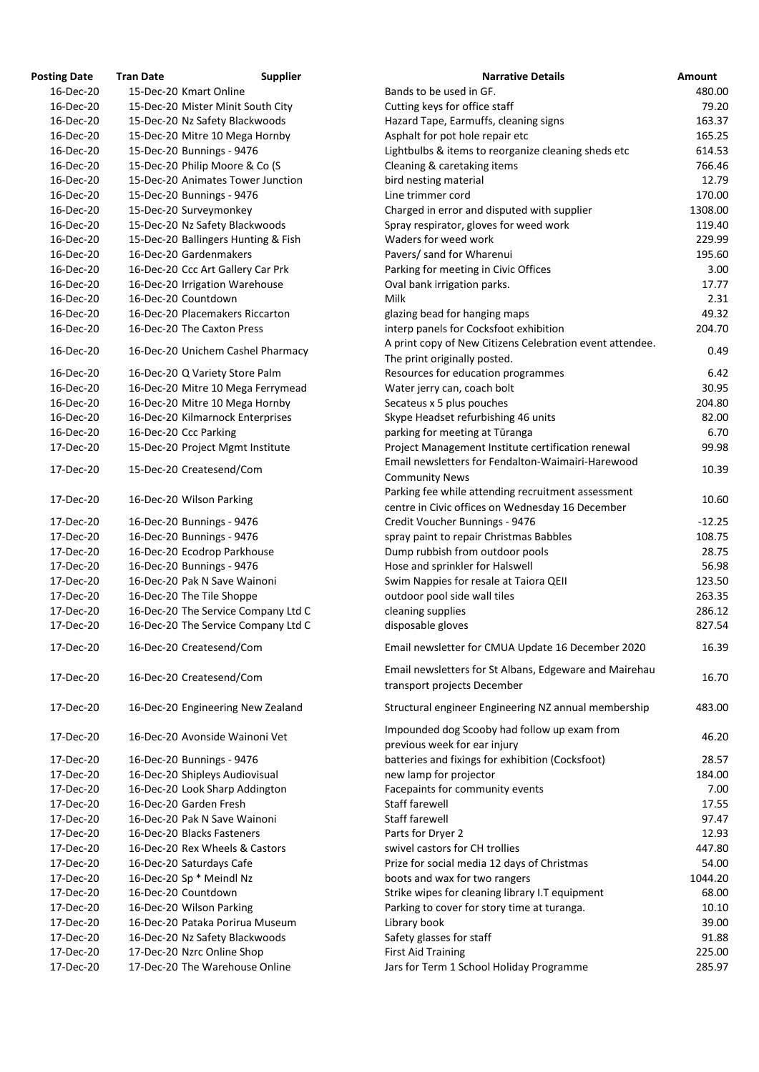| <b>Osting Date</b> | <b>Tran Date</b><br><b>Supplier</b> | <b>Narrative Details</b>                                 |
|--------------------|-------------------------------------|----------------------------------------------------------|
| 16-Dec-20          | 15-Dec-20 Kmart Online              | Bands to be used in GF.                                  |
| 16-Dec-20          | 15-Dec-20 Mister Minit South City   | Cutting keys for office staff                            |
| 16-Dec-20          | 15-Dec-20 Nz Safety Blackwoods      | Hazard Tape, Earmuffs, cleaning signs                    |
| 16-Dec-20          | 15-Dec-20 Mitre 10 Mega Hornby      | Asphalt for pot hole repair etc                          |
| 16-Dec-20          | 15-Dec-20 Bunnings - 9476           | Lightbulbs & items to reorganize cleaning sheds etc      |
| 16-Dec-20          | 15-Dec-20 Philip Moore & Co (S      | Cleaning & caretaking items                              |
| 16-Dec-20          | 15-Dec-20 Animates Tower Junction   | bird nesting material                                    |
| 16-Dec-20          | 15-Dec-20 Bunnings - 9476           | Line trimmer cord                                        |
| 16-Dec-20          | 15-Dec-20 Surveymonkey              | Charged in error and disputed with supplier              |
| 16-Dec-20          | 15-Dec-20 Nz Safety Blackwoods      | Spray respirator, gloves for weed work                   |
| 16-Dec-20          | 15-Dec-20 Ballingers Hunting & Fish | Waders for weed work                                     |
| 16-Dec-20          | 16-Dec-20 Gardenmakers              | Pavers/ sand for Wharenui                                |
| 16-Dec-20          | 16-Dec-20 Ccc Art Gallery Car Prk   | Parking for meeting in Civic Offices                     |
| 16-Dec-20          | 16-Dec-20 Irrigation Warehouse      | Oval bank irrigation parks.                              |
| 16-Dec-20          | 16-Dec-20 Countdown                 | <b>Milk</b>                                              |
| 16-Dec-20          | 16-Dec-20 Placemakers Riccarton     | glazing bead for hanging maps                            |
| 16-Dec-20          | 16-Dec-20 The Caxton Press          | interp panels for Cocksfoot exhibition                   |
| 16-Dec-20          |                                     | A print copy of New Citizens Celebration event attendee. |
|                    | 16-Dec-20 Unichem Cashel Pharmacy   | The print originally posted.                             |
| 16-Dec-20          | 16-Dec-20 Q Variety Store Palm      | Resources for education programmes                       |
| 16-Dec-20          | 16-Dec-20 Mitre 10 Mega Ferrymead   | Water jerry can, coach bolt                              |
| 16-Dec-20          | 16-Dec-20 Mitre 10 Mega Hornby      | Secateus x 5 plus pouches                                |
| 16-Dec-20          | 16-Dec-20 Kilmarnock Enterprises    | Skype Headset refurbishing 46 units                      |
| 16-Dec-20          | 16-Dec-20 Ccc Parking               | parking for meeting at Tūranga                           |
| 17-Dec-20          | 15-Dec-20 Project Mgmt Institute    | Project Management Institute certification renewal       |
| 17-Dec-20          | 15-Dec-20 Createsend/Com            | Email newsletters for Fendalton-Waimairi-Harewood        |
|                    |                                     | <b>Community News</b>                                    |
| 17-Dec-20          | 16-Dec-20 Wilson Parking            | Parking fee while attending recruitment assessment       |
|                    |                                     | centre in Civic offices on Wednesday 16 December         |
| 17-Dec-20          | 16-Dec-20 Bunnings - 9476           | Credit Voucher Bunnings - 9476                           |
| 17-Dec-20          | 16-Dec-20 Bunnings - 9476           | spray paint to repair Christmas Babbles                  |
| 17-Dec-20          | 16-Dec-20 Ecodrop Parkhouse         | Dump rubbish from outdoor pools                          |
| 17-Dec-20          | 16-Dec-20 Bunnings - 9476           | Hose and sprinkler for Halswell                          |
| 17-Dec-20          | 16-Dec-20 Pak N Save Wainoni        | Swim Nappies for resale at Taiora QEII                   |
| 17-Dec-20          | 16-Dec-20 The Tile Shoppe           | outdoor pool side wall tiles                             |
| 17-Dec-20          | 16-Dec-20 The Service Company Ltd C | cleaning supplies                                        |
| 17-Dec-20          | 16-Dec-20 The Service Company Ltd C | disposable gloves                                        |
| 17-Dec-20          | 16-Dec-20 Createsend/Com            | Email newsletter for CMUA Update 16 December 2020        |
|                    |                                     | Email newsletters for St Albans, Edgeware and Mairehau   |
| 17-Dec-20          | 16-Dec-20 Createsend/Com            | transport projects December                              |
|                    |                                     |                                                          |
| 17-Dec-20          | 16-Dec-20 Engineering New Zealand   | Structural engineer Engineering NZ annual membership     |
| 17-Dec-20          | 16-Dec-20 Avonside Wainoni Vet      | Impounded dog Scooby had follow up exam from             |
|                    |                                     | previous week for ear injury                             |
| 17-Dec-20          | 16-Dec-20 Bunnings - 9476           | batteries and fixings for exhibition (Cocksfoot)         |
| 17-Dec-20          | 16-Dec-20 Shipleys Audiovisual      | new lamp for projector                                   |
| 17-Dec-20          | 16-Dec-20 Look Sharp Addington      | Facepaints for community events                          |
| 17-Dec-20          | 16-Dec-20 Garden Fresh              | Staff farewell                                           |
| 17-Dec-20          | 16-Dec-20 Pak N Save Wainoni        | Staff farewell                                           |
| 17-Dec-20          | 16-Dec-20 Blacks Fasteners          | Parts for Dryer 2                                        |
| 17-Dec-20          | 16-Dec-20 Rex Wheels & Castors      | swivel castors for CH trollies                           |
| 17-Dec-20          | 16-Dec-20 Saturdays Cafe            | Prize for social media 12 days of Christmas              |
| 17-Dec-20          | 16-Dec-20 Sp * Meindl Nz            | boots and wax for two rangers                            |
| 17-Dec-20          | 16-Dec-20 Countdown                 | Strike wipes for cleaning library I.T equipment          |
| 17-Dec-20          | 16-Dec-20 Wilson Parking            | Parking to cover for story time at turanga.              |
| 17-Dec-20          | 16-Dec-20 Pataka Porirua Museum     | Library book                                             |
| 17-Dec-20          | 16-Dec-20 Nz Safety Blackwoods      | Safety glasses for staff                                 |
| 17-Dec-20          | 17-Dec-20 Nzrc Online Shop          | <b>First Aid Training</b>                                |
| 17-Dec-20          | 17-Dec-20 The Warehouse Online      | Jars for Term 1 School Holiday Programme                 |

| <b>Posting Date</b>    | <b>Tran Date</b> | <b>Supplier</b>                                              | <b>Narrative Details</b>                                                                                | <b>Amount</b>  |
|------------------------|------------------|--------------------------------------------------------------|---------------------------------------------------------------------------------------------------------|----------------|
| 16-Dec-20              |                  | 15-Dec-20 Kmart Online                                       | Bands to be used in GF.                                                                                 | 480.00         |
| 16-Dec-20              |                  | 15-Dec-20 Mister Minit South City                            | Cutting keys for office staff                                                                           | 79.20          |
| 16-Dec-20              |                  | 15-Dec-20 Nz Safety Blackwoods                               | Hazard Tape, Earmuffs, cleaning signs                                                                   | 163.37         |
| 16-Dec-20              |                  | 15-Dec-20 Mitre 10 Mega Hornby                               | Asphalt for pot hole repair etc                                                                         | 165.25         |
| 16-Dec-20              |                  | 15-Dec-20 Bunnings - 9476                                    | Lightbulbs & items to reorganize cleaning sheds etc                                                     | 614.53         |
| 16-Dec-20              |                  | 15-Dec-20 Philip Moore & Co (S                               | Cleaning & caretaking items                                                                             | 766.46         |
| 16-Dec-20              |                  | 15-Dec-20 Animates Tower Junction                            | bird nesting material                                                                                   | 12.79          |
| 16-Dec-20              |                  | 15-Dec-20 Bunnings - 9476                                    | Line trimmer cord                                                                                       | 170.00         |
| 16-Dec-20              |                  | 15-Dec-20 Surveymonkey                                       | Charged in error and disputed with supplier                                                             | 1308.00        |
| 16-Dec-20              |                  | 15-Dec-20 Nz Safety Blackwoods                               | Spray respirator, gloves for weed work                                                                  | 119.40         |
| 16-Dec-20              |                  | 15-Dec-20 Ballingers Hunting & Fish                          | Waders for weed work                                                                                    | 229.99         |
| 16-Dec-20              |                  | 16-Dec-20 Gardenmakers                                       | Pavers/ sand for Wharenui                                                                               | 195.60         |
| 16-Dec-20              |                  | 16-Dec-20 Ccc Art Gallery Car Prk                            | Parking for meeting in Civic Offices                                                                    | 3.00           |
| 16-Dec-20              |                  | 16-Dec-20 Irrigation Warehouse                               | Oval bank irrigation parks.                                                                             | 17.77          |
| 16-Dec-20              |                  | 16-Dec-20 Countdown                                          | Milk                                                                                                    | 2.31           |
| 16-Dec-20              |                  | 16-Dec-20 Placemakers Riccarton                              | glazing bead for hanging maps                                                                           | 49.32          |
| 16-Dec-20              |                  | 16-Dec-20 The Caxton Press                                   | interp panels for Cocksfoot exhibition                                                                  | 204.70         |
| 16-Dec-20              |                  | 16-Dec-20 Unichem Cashel Pharmacy                            | A print copy of New Citizens Celebration event attendee.<br>The print originally posted.                | 0.49           |
| 16-Dec-20              |                  | 16-Dec-20 Q Variety Store Palm                               | Resources for education programmes                                                                      | 6.42           |
| 16-Dec-20              |                  | 16-Dec-20 Mitre 10 Mega Ferrymead                            | Water jerry can, coach bolt                                                                             | 30.95          |
| 16-Dec-20              |                  | 16-Dec-20 Mitre 10 Mega Hornby                               | Secateus x 5 plus pouches                                                                               | 204.80         |
| 16-Dec-20              |                  | 16-Dec-20 Kilmarnock Enterprises                             | Skype Headset refurbishing 46 units                                                                     | 82.00          |
| 16-Dec-20              |                  |                                                              |                                                                                                         | 6.70           |
|                        |                  | 16-Dec-20 Ccc Parking                                        | parking for meeting at Tūranga                                                                          |                |
| 17-Dec-20<br>17-Dec-20 |                  | 15-Dec-20 Project Mgmt Institute<br>15-Dec-20 Createsend/Com | Project Management Institute certification renewal<br>Email newsletters for Fendalton-Waimairi-Harewood | 99.98<br>10.39 |
| 17-Dec-20              |                  | 16-Dec-20 Wilson Parking                                     | <b>Community News</b><br>Parking fee while attending recruitment assessment                             | 10.60          |
|                        |                  |                                                              | centre in Civic offices on Wednesday 16 December                                                        |                |
| 17-Dec-20              |                  | 16-Dec-20 Bunnings - 9476                                    | Credit Voucher Bunnings - 9476                                                                          | $-12.25$       |
| 17-Dec-20              |                  | 16-Dec-20 Bunnings - 9476                                    | spray paint to repair Christmas Babbles                                                                 | 108.75         |
| 17-Dec-20              |                  | 16-Dec-20 Ecodrop Parkhouse                                  | Dump rubbish from outdoor pools                                                                         | 28.75          |
| 17-Dec-20              |                  | 16-Dec-20 Bunnings - 9476                                    | Hose and sprinkler for Halswell                                                                         | 56.98          |
| 17-Dec-20              |                  | 16-Dec-20 Pak N Save Wainoni                                 | Swim Nappies for resale at Taiora QEII                                                                  | 123.50         |
| 17-Dec-20              |                  | 16-Dec-20 The Tile Shoppe                                    | outdoor pool side wall tiles                                                                            | 263.35         |
| 17-Dec-20              |                  | 16-Dec-20 The Service Company Ltd C                          | cleaning supplies                                                                                       | 286.12         |
| 17-Dec-20              |                  | 16-Dec-20 The Service Company Ltd C                          | disposable gloves                                                                                       | 827.54         |
| 17-Dec-20              |                  | 16-Dec-20 Createsend/Com                                     | Email newsletter for CMUA Update 16 December 2020                                                       | 16.39          |
| 17-Dec-20              |                  | 16-Dec-20 Createsend/Com                                     | Email newsletters for St Albans, Edgeware and Mairehau<br>transport projects December                   | 16.70          |
| 17-Dec-20              |                  | 16-Dec-20 Engineering New Zealand                            | Structural engineer Engineering NZ annual membership                                                    | 483.00         |
| 17-Dec-20              |                  | 16-Dec-20 Avonside Wainoni Vet                               | Impounded dog Scooby had follow up exam from<br>previous week for ear injury                            | 46.20          |
| 17-Dec-20              |                  | 16-Dec-20 Bunnings - 9476                                    | batteries and fixings for exhibition (Cocksfoot)                                                        | 28.57          |
| 17-Dec-20              |                  | 16-Dec-20 Shipleys Audiovisual                               | new lamp for projector                                                                                  | 184.00         |
| 17-Dec-20              |                  | 16-Dec-20 Look Sharp Addington                               | Facepaints for community events                                                                         | 7.00           |
| 17-Dec-20              |                  | 16-Dec-20 Garden Fresh                                       | Staff farewell                                                                                          | 17.55          |
| 17-Dec-20              |                  | 16-Dec-20 Pak N Save Wainoni                                 | Staff farewell                                                                                          | 97.47          |
| 17-Dec-20              |                  | 16-Dec-20 Blacks Fasteners                                   | Parts for Dryer 2                                                                                       | 12.93          |
| 17-Dec-20              |                  | 16-Dec-20 Rex Wheels & Castors                               | swivel castors for CH trollies                                                                          | 447.80         |
| 17-Dec-20              |                  | 16-Dec-20 Saturdays Cafe                                     | Prize for social media 12 days of Christmas                                                             | 54.00          |
| 17-Dec-20              |                  | 16-Dec-20 Sp * Meindl Nz                                     | boots and wax for two rangers                                                                           | 1044.20        |
| 17-Dec-20              |                  | 16-Dec-20 Countdown                                          | Strike wipes for cleaning library I.T equipment                                                         | 68.00          |
| 17-Dec-20              |                  | 16-Dec-20 Wilson Parking                                     | Parking to cover for story time at turanga.                                                             | 10.10          |
| 17-Dec-20              |                  | 16-Dec-20 Pataka Porirua Museum                              | Library book                                                                                            | 39.00          |
| 17-Dec-20              |                  | 16-Dec-20 Nz Safety Blackwoods                               | Safety glasses for staff                                                                                | 91.88          |
| 17-Dec-20              |                  | 17-Dec-20 Nzrc Online Shop                                   | <b>First Aid Training</b>                                                                               | 225.00         |
| 17-Dec-20              |                  | 17-Dec-20 The Warehouse Online                               | Jars for Term 1 School Holiday Programme                                                                | 285.97         |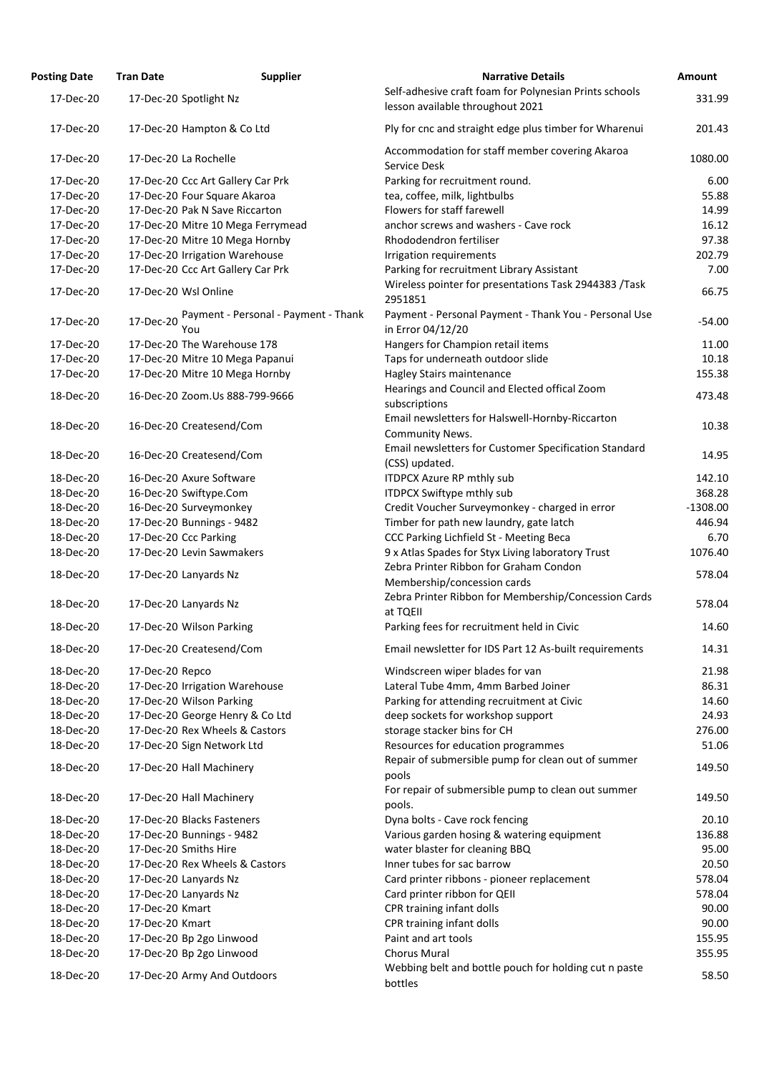| <b>Posting Date</b> | <b>Tran Date</b>             | <b>Supplier</b>                      | <b>Narrative Details</b>                                                                   | <b>Amount</b> |
|---------------------|------------------------------|--------------------------------------|--------------------------------------------------------------------------------------------|---------------|
| 17-Dec-20           | 17-Dec-20 Spotlight Nz       |                                      | Self-adhesive craft foam for Polynesian Prints schools<br>lesson available throughout 2021 | 331.99        |
| 17-Dec-20           | 17-Dec-20 Hampton & Co Ltd   |                                      | Ply for cnc and straight edge plus timber for Wharenui                                     | 201.43        |
| 17-Dec-20           | 17-Dec-20 La Rochelle        |                                      | Accommodation for staff member covering Akaroa<br>Service Desk                             | 1080.00       |
| 17-Dec-20           |                              | 17-Dec-20 Ccc Art Gallery Car Prk    | Parking for recruitment round.                                                             | 6.00          |
| 17-Dec-20           | 17-Dec-20 Four Square Akaroa |                                      | tea, coffee, milk, lightbulbs                                                              | 55.88         |
| 17-Dec-20           |                              | 17-Dec-20 Pak N Save Riccarton       | Flowers for staff farewell                                                                 | 14.99         |
| 17-Dec-20           |                              | 17-Dec-20 Mitre 10 Mega Ferrymead    | anchor screws and washers - Cave rock                                                      | 16.12         |
| 17-Dec-20           |                              | 17-Dec-20 Mitre 10 Mega Hornby       | Rhododendron fertiliser                                                                    | 97.38         |
| 17-Dec-20           |                              | 17-Dec-20 Irrigation Warehouse       | Irrigation requirements                                                                    | 202.79        |
| 17-Dec-20           |                              | 17-Dec-20 Ccc Art Gallery Car Prk    | Parking for recruitment Library Assistant                                                  | 7.00          |
| 17-Dec-20           | 17-Dec-20 Wsl Online         |                                      | Wireless pointer for presentations Task 2944383 /Task<br>2951851                           | 66.75         |
| 17-Dec-20           | 17-Dec-20<br>You             | Payment - Personal - Payment - Thank | Payment - Personal Payment - Thank You - Personal Use<br>in Error 04/12/20                 | $-54.00$      |
| 17-Dec-20           |                              | 17-Dec-20 The Warehouse 178          | Hangers for Champion retail items                                                          | 11.00         |
| 17-Dec-20           |                              | 17-Dec-20 Mitre 10 Mega Papanui      | Taps for underneath outdoor slide                                                          | 10.18         |
| 17-Dec-20           |                              | 17-Dec-20 Mitre 10 Mega Hornby       | Hagley Stairs maintenance                                                                  | 155.38        |
|                     |                              |                                      | Hearings and Council and Elected offical Zoom                                              |               |
| 18-Dec-20           |                              | 16-Dec-20 Zoom.Us 888-799-9666       | subscriptions                                                                              | 473.48        |
| 18-Dec-20           | 16-Dec-20 Createsend/Com     |                                      | Email newsletters for Halswell-Hornby-Riccarton<br><b>Community News.</b>                  | 10.38         |
| 18-Dec-20           | 16-Dec-20 Createsend/Com     |                                      | Email newsletters for Customer Specification Standard<br>(CSS) updated.                    | 14.95         |
| 18-Dec-20           | 16-Dec-20 Axure Software     |                                      | <b>ITDPCX Azure RP mthly sub</b>                                                           | 142.10        |
| 18-Dec-20           | 16-Dec-20 Swiftype.Com       |                                      | <b>ITDPCX Swiftype mthly sub</b>                                                           | 368.28        |
| 18-Dec-20           | 16-Dec-20 Surveymonkey       |                                      | Credit Voucher Surveymonkey - charged in error                                             | $-1308.00$    |
| 18-Dec-20           | 17-Dec-20 Bunnings - 9482    |                                      | Timber for path new laundry, gate latch                                                    | 446.94        |
| 18-Dec-20           | 17-Dec-20 Ccc Parking        |                                      | CCC Parking Lichfield St - Meeting Beca                                                    | 6.70          |
| 18-Dec-20           | 17-Dec-20 Levin Sawmakers    |                                      | 9 x Atlas Spades for Styx Living laboratory Trust                                          | 1076.40       |
| 18-Dec-20           | 17-Dec-20 Lanyards Nz        |                                      | Zebra Printer Ribbon for Graham Condon                                                     | 578.04        |
|                     |                              |                                      | Membership/concession cards<br>Zebra Printer Ribbon for Membership/Concession Cards        |               |
| 18-Dec-20           | 17-Dec-20 Lanyards Nz        |                                      | at TQEII                                                                                   | 578.04        |
| 18-Dec-20           | 17-Dec-20 Wilson Parking     |                                      | Parking fees for recruitment held in Civic                                                 | 14.60         |
| 18-Dec-20           | 17-Dec-20 Createsend/Com     |                                      | Email newsletter for IDS Part 12 As-built requirements                                     | 14.31         |
| 18-Dec-20           | 17-Dec-20 Repco              |                                      | Windscreen wiper blades for van                                                            | 21.98         |
| 18-Dec-20           |                              | 17-Dec-20 Irrigation Warehouse       | Lateral Tube 4mm, 4mm Barbed Joiner                                                        | 86.31         |
| 18-Dec-20           | 17-Dec-20 Wilson Parking     |                                      | Parking for attending recruitment at Civic                                                 | 14.60         |
| 18-Dec-20           |                              | 17-Dec-20 George Henry & Co Ltd      | deep sockets for workshop support                                                          | 24.93         |
| 18-Dec-20           |                              | 17-Dec-20 Rex Wheels & Castors       | storage stacker bins for CH                                                                | 276.00        |
| 18-Dec-20           | 17-Dec-20 Sign Network Ltd   |                                      | Resources for education programmes                                                         | 51.06         |
| 18-Dec-20           | 17-Dec-20 Hall Machinery     |                                      | Repair of submersible pump for clean out of summer<br>pools                                | 149.50        |
| 18-Dec-20           | 17-Dec-20 Hall Machinery     |                                      | For repair of submersible pump to clean out summer<br>pools.                               | 149.50        |
| 18-Dec-20           | 17-Dec-20 Blacks Fasteners   |                                      | Dyna bolts - Cave rock fencing                                                             | 20.10         |
| 18-Dec-20           | 17-Dec-20 Bunnings - 9482    |                                      | Various garden hosing & watering equipment                                                 | 136.88        |
| 18-Dec-20           | 17-Dec-20 Smiths Hire        |                                      | water blaster for cleaning BBQ                                                             | 95.00         |
| 18-Dec-20           |                              | 17-Dec-20 Rex Wheels & Castors       | Inner tubes for sac barrow                                                                 | 20.50         |
| 18-Dec-20           | 17-Dec-20 Lanyards Nz        |                                      | Card printer ribbons - pioneer replacement                                                 | 578.04        |
| 18-Dec-20           | 17-Dec-20 Lanyards Nz        |                                      | Card printer ribbon for QEII                                                               | 578.04        |
| 18-Dec-20           | 17-Dec-20 Kmart              |                                      | CPR training infant dolls                                                                  | 90.00         |
| 18-Dec-20           | 17-Dec-20 Kmart              |                                      | CPR training infant dolls                                                                  | 90.00         |
| 18-Dec-20           | 17-Dec-20 Bp 2go Linwood     |                                      | Paint and art tools                                                                        | 155.95        |
| 18-Dec-20           | 17-Dec-20 Bp 2go Linwood     |                                      | <b>Chorus Mural</b>                                                                        | 355.95        |
|                     |                              |                                      | Webbing belt and bottle pouch for holding cut n paste                                      |               |
| 18-Dec-20           |                              | 17-Dec-20 Army And Outdoors          | bottles                                                                                    | 58.50         |

| ting Date              | Tran Date       | Supplier                                           | Narrative Details                                                                           | <b>Amount</b>   |
|------------------------|-----------------|----------------------------------------------------|---------------------------------------------------------------------------------------------|-----------------|
| 17-Dec-20              |                 | 17-Dec-20 Spotlight Nz                             | Self-adhesive craft foam for Polynesian Prints schools<br>lesson available throughout 2021  | 331.99          |
| 17-Dec-20              |                 | 17-Dec-20 Hampton & Co Ltd                         | Ply for cnc and straight edge plus timber for Wharenui                                      | 201.43          |
| 17-Dec-20              |                 | 17-Dec-20 La Rochelle                              | Accommodation for staff member covering Akaroa<br>Service Desk                              | 1080.00         |
| 17-Dec-20              |                 | 17-Dec-20 Ccc Art Gallery Car Prk                  | Parking for recruitment round.                                                              | 6.00            |
| 17-Dec-20              |                 | 17-Dec-20 Four Square Akaroa                       | tea, coffee, milk, lightbulbs                                                               | 55.88           |
| 17-Dec-20              |                 | 17-Dec-20 Pak N Save Riccarton                     | Flowers for staff farewell                                                                  | 14.99           |
| 17-Dec-20              |                 | 17-Dec-20 Mitre 10 Mega Ferrymead                  | anchor screws and washers - Cave rock                                                       | 16.12           |
| 17-Dec-20              |                 | 17-Dec-20 Mitre 10 Mega Hornby                     | Rhododendron fertiliser                                                                     | 97.38           |
| 17-Dec-20              |                 | 17-Dec-20 Irrigation Warehouse                     | Irrigation requirements                                                                     | 202.79          |
| 17-Dec-20              |                 | 17-Dec-20 Ccc Art Gallery Car Prk                  | Parking for recruitment Library Assistant                                                   | 7.00            |
| 17-Dec-20              |                 | 17-Dec-20 Wsl Online                               | Wireless pointer for presentations Task 2944383 /Task<br>2951851                            | 66.75           |
| 17-Dec-20              | 17-Dec-20       | Payment - Personal - Payment - Thank<br>You        | Payment - Personal Payment - Thank You - Personal Use<br>in Error 04/12/20                  | $-54.00$        |
| 17-Dec-20              |                 | 17-Dec-20 The Warehouse 178                        | Hangers for Champion retail items                                                           | 11.00           |
| 17-Dec-20              |                 | 17-Dec-20 Mitre 10 Mega Papanui                    | Taps for underneath outdoor slide                                                           | 10.18           |
| 17-Dec-20              |                 | 17-Dec-20 Mitre 10 Mega Hornby                     | Hagley Stairs maintenance                                                                   | 155.38          |
| 18-Dec-20              |                 | 16-Dec-20 Zoom.Us 888-799-9666                     | Hearings and Council and Elected offical Zoom<br>subscriptions                              | 473.48          |
|                        |                 |                                                    | Email newsletters for Halswell-Hornby-Riccarton                                             |                 |
| 18-Dec-20              |                 | 16-Dec-20 Createsend/Com                           | Community News.                                                                             | 10.38           |
| 18-Dec-20              |                 | 16-Dec-20 Createsend/Com                           | Email newsletters for Customer Specification Standard<br>(CSS) updated.                     | 14.95           |
| 18-Dec-20              |                 | 16-Dec-20 Axure Software                           | <b>ITDPCX Azure RP mthly sub</b>                                                            | 142.10          |
| 18-Dec-20              |                 | 16-Dec-20 Swiftype.Com                             | <b>ITDPCX Swiftype mthly sub</b>                                                            | 368.28          |
| 18-Dec-20              |                 | 16-Dec-20 Surveymonkey                             | Credit Voucher Surveymonkey - charged in error                                              | $-1308.00$      |
| 18-Dec-20              |                 | 17-Dec-20 Bunnings - 9482                          | Timber for path new laundry, gate latch                                                     | 446.94          |
| 18-Dec-20              |                 | 17-Dec-20 Ccc Parking                              | CCC Parking Lichfield St - Meeting Beca                                                     | 6.70            |
| 18-Dec-20              |                 | 17-Dec-20 Levin Sawmakers                          | 9 x Atlas Spades for Styx Living laboratory Trust<br>Zebra Printer Ribbon for Graham Condon | 1076.40         |
| 18-Dec-20              |                 | 17-Dec-20 Lanyards Nz                              | Membership/concession cards                                                                 | 578.04          |
| 18-Dec-20              |                 | 17-Dec-20 Lanyards Nz                              | Zebra Printer Ribbon for Membership/Concession Cards<br>at TQEII                            | 578.04          |
| 18-Dec-20              |                 | 17-Dec-20 Wilson Parking                           | Parking fees for recruitment held in Civic                                                  | 14.60           |
| 18-Dec-20              |                 | 17-Dec-20 Createsend/Com                           | Email newsletter for IDS Part 12 As-built requirements                                      | 14.31           |
| 18-Dec-20              | 17-Dec-20 Repco |                                                    | Windscreen wiper blades for van                                                             | 21.98           |
| 18-Dec-20              |                 | 17-Dec-20 Irrigation Warehouse                     | Lateral Tube 4mm, 4mm Barbed Joiner                                                         | 86.31           |
| 18-Dec-20              |                 | 17-Dec-20 Wilson Parking                           | Parking for attending recruitment at Civic                                                  | 14.60           |
| 18-Dec-20              |                 | 17-Dec-20 George Henry & Co Ltd                    | deep sockets for workshop support                                                           | 24.93           |
| 18-Dec-20              |                 | 17-Dec-20 Rex Wheels & Castors                     | storage stacker bins for CH                                                                 | 276.00          |
| 18-Dec-20<br>18-Dec-20 |                 | 17-Dec-20 Sign Network Ltd                         | Resources for education programmes<br>Repair of submersible pump for clean out of summer    | 51.06<br>149.50 |
|                        |                 | 17-Dec-20 Hall Machinery                           | pools<br>For repair of submersible pump to clean out summer                                 |                 |
| 18-Dec-20              |                 | 17-Dec-20 Hall Machinery                           | pools.                                                                                      | 149.50          |
| 18-Dec-20<br>18-Dec-20 |                 | 17-Dec-20 Blacks Fasteners                         | Dyna bolts - Cave rock fencing                                                              | 20.10           |
| 18-Dec-20              |                 | 17-Dec-20 Bunnings - 9482<br>17-Dec-20 Smiths Hire | Various garden hosing & watering equipment                                                  | 136.88<br>95.00 |
|                        |                 | 17-Dec-20 Rex Wheels & Castors                     | water blaster for cleaning BBQ<br>Inner tubes for sac barrow                                | 20.50           |
| 18-Dec-20<br>18-Dec-20 |                 | 17-Dec-20 Lanyards Nz                              | Card printer ribbons - pioneer replacement                                                  | 578.04          |
| 18-Dec-20              |                 | 17-Dec-20 Lanyards Nz                              | Card printer ribbon for QEII                                                                | 578.04          |
| 18-Dec-20              | 17-Dec-20 Kmart |                                                    | CPR training infant dolls                                                                   | 90.00           |
| 18-Dec-20              | 17-Dec-20 Kmart |                                                    | CPR training infant dolls                                                                   | 90.00           |
| 18-Dec-20              |                 | 17-Dec-20 Bp 2go Linwood                           | Paint and art tools                                                                         | 155.95          |
| 18-Dec-20              |                 | 17-Dec-20 Bp 2go Linwood                           | <b>Chorus Mural</b>                                                                         | 355.95          |
|                        |                 |                                                    | Webbing belt and bottle pouch for holding cut n paste                                       |                 |
| 18-Dec-20              |                 | 17-Dec-20 Army And Outdoors                        | bottles                                                                                     | 58.50           |
|                        |                 |                                                    |                                                                                             |                 |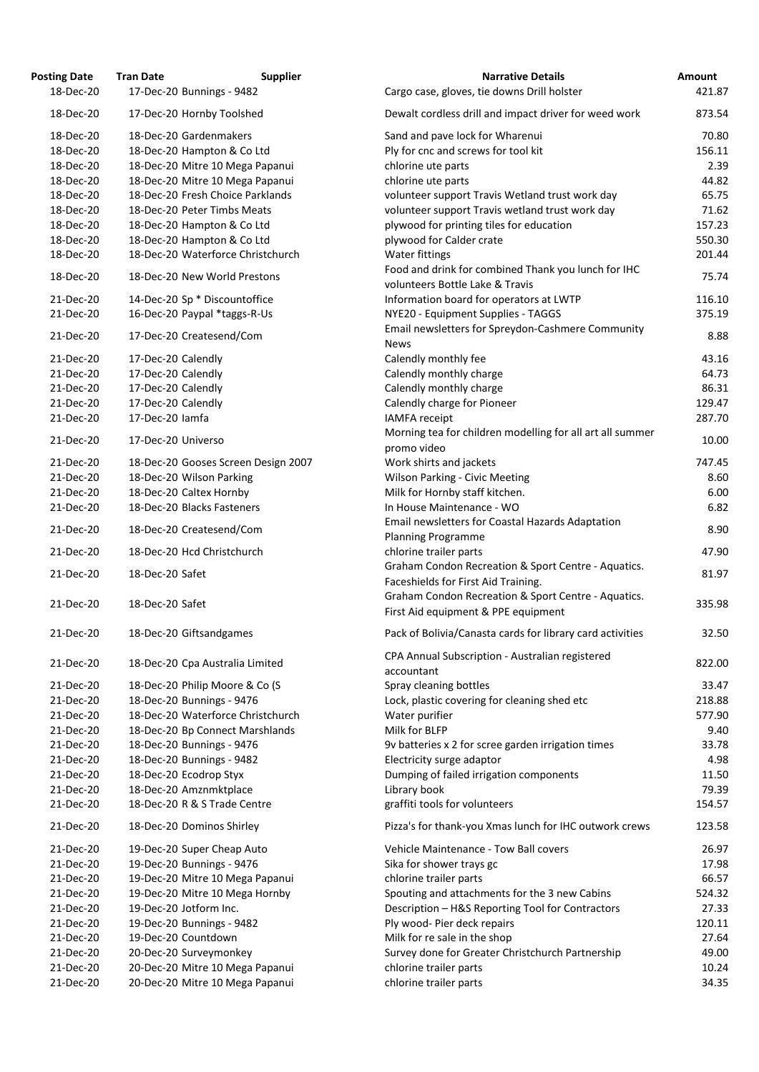| <b>Posting Date</b> | <b>Tran Date</b><br><b>Supplier</b>                      | <b>Narrative Details</b>                                                                   | <b>Amount</b>  |
|---------------------|----------------------------------------------------------|--------------------------------------------------------------------------------------------|----------------|
| 18-Dec-20           | 17-Dec-20 Bunnings - 9482                                | Cargo case, gloves, tie downs Drill holster                                                | 421.87         |
| 18-Dec-20           | 17-Dec-20 Hornby Toolshed                                | Dewalt cordless drill and impact driver for weed work                                      | 873.54         |
| 18-Dec-20           | 18-Dec-20 Gardenmakers                                   | Sand and pave lock for Wharenui                                                            | 70.80          |
| 18-Dec-20           | 18-Dec-20 Hampton & Co Ltd                               | Ply for cnc and screws for tool kit                                                        | 156.11         |
| 18-Dec-20           | 18-Dec-20 Mitre 10 Mega Papanui                          | chlorine ute parts                                                                         | 2.39           |
| 18-Dec-20           | 18-Dec-20 Mitre 10 Mega Papanui                          | chlorine ute parts                                                                         | 44.82          |
| 18-Dec-20           | 18-Dec-20 Fresh Choice Parklands                         | volunteer support Travis Wetland trust work day                                            | 65.75          |
| 18-Dec-20           | 18-Dec-20 Peter Timbs Meats                              | volunteer support Travis wetland trust work day                                            | 71.62          |
| 18-Dec-20           | 18-Dec-20 Hampton & Co Ltd                               | plywood for printing tiles for education                                                   | 157.23         |
| 18-Dec-20           | 18-Dec-20 Hampton & Co Ltd                               | plywood for Calder crate                                                                   | 550.30         |
| 18-Dec-20           | 18-Dec-20 Waterforce Christchurch                        | <b>Water fittings</b>                                                                      | 201.44         |
| 18-Dec-20           | 18-Dec-20 New World Prestons                             | Food and drink for combined Thank you lunch for IHC<br>volunteers Bottle Lake & Travis     | 75.74          |
| 21-Dec-20           | 14-Dec-20 Sp * Discountoffice                            | Information board for operators at LWTP                                                    | 116.10         |
| 21-Dec-20           |                                                          |                                                                                            |                |
| 21-Dec-20           | 16-Dec-20 Paypal *taggs-R-Us<br>17-Dec-20 Createsend/Com | NYE20 - Equipment Supplies - TAGGS<br>Email newsletters for Spreydon-Cashmere Community    | 375.19<br>8.88 |
|                     |                                                          | <b>News</b>                                                                                |                |
| 21-Dec-20           | 17-Dec-20 Calendly                                       | Calendly monthly fee                                                                       | 43.16          |
| 21-Dec-20           | 17-Dec-20 Calendly                                       | Calendly monthly charge                                                                    | 64.73          |
| 21-Dec-20           | 17-Dec-20 Calendly                                       | Calendly monthly charge                                                                    | 86.31          |
| 21-Dec-20           | 17-Dec-20 Calendly                                       | Calendly charge for Pioneer                                                                | 129.47         |
| 21-Dec-20           | 17-Dec-20 lamfa                                          | <b>IAMFA</b> receipt<br>Morning tea for children modelling for all art all summer          | 287.70         |
| 21-Dec-20           | 17-Dec-20 Universo                                       | promo video                                                                                | 10.00          |
| 21-Dec-20           | 18-Dec-20 Gooses Screen Design 2007                      | Work shirts and jackets                                                                    | 747.45         |
| 21-Dec-20           | 18-Dec-20 Wilson Parking                                 | <b>Wilson Parking - Civic Meeting</b>                                                      | 8.60           |
| 21-Dec-20           | 18-Dec-20 Caltex Hornby                                  | Milk for Hornby staff kitchen.                                                             | 6.00           |
| 21-Dec-20           | 18-Dec-20 Blacks Fasteners                               | In House Maintenance - WO                                                                  | 6.82           |
| 21-Dec-20           | 18-Dec-20 Createsend/Com                                 | Email newsletters for Coastal Hazards Adaptation<br><b>Planning Programme</b>              | 8.90           |
| 21-Dec-20           | 18-Dec-20 Hcd Christchurch                               | chlorine trailer parts                                                                     | 47.90          |
| 21-Dec-20           | 18-Dec-20 Safet                                          | Graham Condon Recreation & Sport Centre - Aquatics.<br>Faceshields for First Aid Training. | 81.97          |
| 21-Dec-20           | 18-Dec-20 Safet                                          | Graham Condon Recreation & Sport Centre - Aquatics.<br>First Aid equipment & PPE equipment | 335.98         |
| 21-Dec-20           | 18-Dec-20 Giftsandgames                                  | Pack of Bolivia/Canasta cards for library card activities                                  | 32.50          |
| 21-Dec-20           | 18-Dec-20 Cpa Australia Limited                          | CPA Annual Subscription - Australian registered<br>accountant                              | 822.00         |
| 21-Dec-20           | 18-Dec-20 Philip Moore & Co (S                           | Spray cleaning bottles                                                                     | 33.47          |
| 21-Dec-20           | 18-Dec-20 Bunnings - 9476                                | Lock, plastic covering for cleaning shed etc                                               | 218.88         |
| 21-Dec-20           | 18-Dec-20 Waterforce Christchurch                        | Water purifier                                                                             | 577.90         |
| 21-Dec-20           | 18-Dec-20 Bp Connect Marshlands                          | Milk for BLFP                                                                              | 9.40           |
| 21-Dec-20           | 18-Dec-20 Bunnings - 9476                                | 9v batteries x 2 for scree garden irrigation times                                         | 33.78          |
| 21-Dec-20           | 18-Dec-20 Bunnings - 9482                                | Electricity surge adaptor                                                                  | 4.98           |
| 21-Dec-20           | 18-Dec-20 Ecodrop Styx                                   | Dumping of failed irrigation components                                                    | 11.50          |
| 21-Dec-20           | 18-Dec-20 Amznmktplace                                   | Library book                                                                               | 79.39          |
| 21-Dec-20           | 18-Dec-20 R & S Trade Centre                             | graffiti tools for volunteers                                                              | 154.57         |
| 21-Dec-20           | 18-Dec-20 Dominos Shirley                                | Pizza's for thank-you Xmas lunch for IHC outwork crews                                     | 123.58         |
| 21-Dec-20           | 19-Dec-20 Super Cheap Auto                               | Vehicle Maintenance - Tow Ball covers                                                      | 26.97          |
| 21-Dec-20           | 19-Dec-20 Bunnings - 9476                                | Sika for shower trays gc                                                                   | 17.98          |
| 21-Dec-20           | 19-Dec-20 Mitre 10 Mega Papanui                          | chlorine trailer parts                                                                     | 66.57          |
| 21-Dec-20           | 19-Dec-20 Mitre 10 Mega Hornby                           | Spouting and attachments for the 3 new Cabins                                              | 524.32         |
| 21-Dec-20           | 19-Dec-20 Jotform Inc.                                   | Description - H&S Reporting Tool for Contractors                                           | 27.33          |
| 21-Dec-20           | 19-Dec-20 Bunnings - 9482                                | Ply wood- Pier deck repairs                                                                | 120.11         |
| 21-Dec-20           | 19-Dec-20 Countdown                                      | Milk for re sale in the shop                                                               | 27.64          |
| 21-Dec-20           | 20-Dec-20 Surveymonkey                                   | Survey done for Greater Christchurch Partnership                                           | 49.00          |
| 21-Dec-20           | 20-Dec-20 Mitre 10 Mega Papanui                          | chlorine trailer parts                                                                     | 10.24          |
| 21-Dec-20           | 20-Dec-20 Mitre 10 Mega Papanui                          | chlorine trailer parts                                                                     | 34.35          |
|                     |                                                          |                                                                                            |                |

| Cargo case, gloves, tie downs Drill holster                              | 421.87 |
|--------------------------------------------------------------------------|--------|
| Dewalt cordless drill and impact driver for weed work                    | 873.54 |
| Sand and pave lock for Wharenui                                          | 70.80  |
| Ply for cnc and screws for tool kit                                      | 156.11 |
| chlorine ute parts                                                       | 2.39   |
| chlorine ute parts                                                       | 44.82  |
| volunteer support Travis Wetland trust work day                          | 65.75  |
| volunteer support Travis wetland trust work day                          | 71.62  |
| plywood for printing tiles for education                                 | 157.23 |
| plywood for Calder crate                                                 | 550.30 |
| Water fittings                                                           | 201.44 |
| Food and drink for combined Thank you lunch for IHC                      | 75.74  |
| volunteers Bottle Lake & Travis                                          |        |
| Information board for operators at LWTP                                  | 116.10 |
| NYE20 - Equipment Supplies - TAGGS                                       | 375.19 |
| Email newsletters for Spreydon-Cashmere Community                        | 8.88   |
| <b>News</b>                                                              |        |
| Calendly monthly fee                                                     | 43.16  |
| Calendly monthly charge                                                  | 64.73  |
| Calendly monthly charge                                                  | 86.31  |
| Calendly charge for Pioneer                                              | 129.47 |
| <b>IAMFA</b> receipt                                                     | 287.70 |
| Morning tea for children modelling for all art all summer<br>promo video | 10.00  |
| Work shirts and jackets                                                  | 747.45 |
| <b>Wilson Parking - Civic Meeting</b>                                    | 8.60   |
| Milk for Hornby staff kitchen.                                           | 6.00   |
| In House Maintenance - WO                                                | 6.82   |
| <b>Email newsletters for Coastal Hazards Adaptation</b>                  |        |
| <b>Planning Programme</b>                                                | 8.90   |
| chlorine trailer parts                                                   | 47.90  |
| Graham Condon Recreation & Sport Centre - Aquatics.                      | 81.97  |
| Faceshields for First Aid Training.                                      |        |
| Graham Condon Recreation & Sport Centre - Aquatics.                      | 335.98 |
| First Aid equipment & PPE equipment                                      |        |
| Pack of Bolivia/Canasta cards for library card activities                | 32.50  |
| CPA Annual Subscription - Australian registered                          |        |
| accountant                                                               | 822.00 |
| Spray cleaning bottles                                                   | 33.47  |
| Lock, plastic covering for cleaning shed etc                             | 218.88 |
| Water purifier                                                           | 577.90 |
| Milk for BLFP                                                            | 9.40   |
| 9v batteries x 2 for scree garden irrigation times                       | 33.78  |
| Electricity surge adaptor                                                | 4.98   |
| Dumping of failed irrigation components                                  | 11.50  |
| Library book                                                             | 79.39  |
| graffiti tools for volunteers                                            | 154.57 |
| Pizza's for thank-you Xmas lunch for IHC outwork crews                   | 123.58 |
| <b>Vehicle Maintenance - Tow Ball covers</b>                             | 26.97  |
| Sika for shower trays gc                                                 | 17.98  |
| chlorine trailer parts                                                   | 66.57  |
| Spouting and attachments for the 3 new Cabins                            | 524.32 |
| Description - H&S Reporting Tool for Contractors                         | 27.33  |
| Ply wood- Pier deck repairs                                              | 120.11 |
| Milk for re sale in the shop                                             | 27.64  |
| Survey done for Greater Christchurch Partnership                         | 49.00  |
| chlorine trailer parts                                                   | 10.24  |
| chlorine trailer narts                                                   | 34 35  |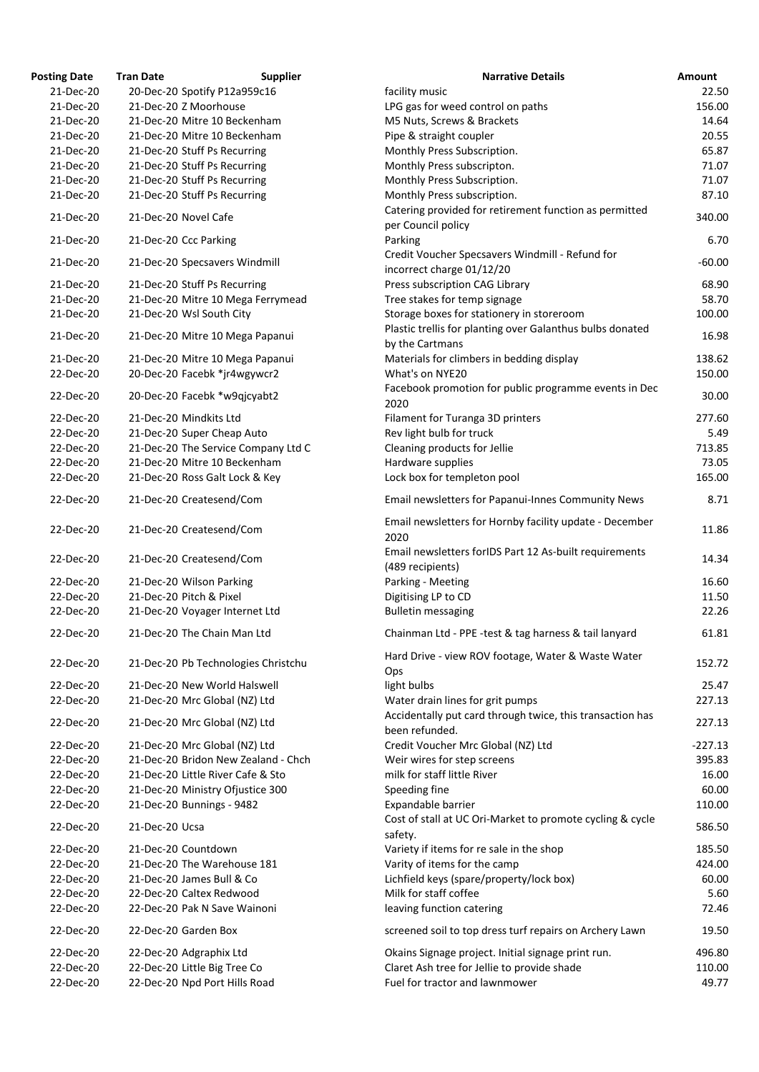| osting Date            | <b>Tran Date</b><br><b>Supplier</b>                            | <b>Narrative Details</b>                                                                      |
|------------------------|----------------------------------------------------------------|-----------------------------------------------------------------------------------------------|
| 21-Dec-20              | 20-Dec-20 Spotify P12a959c16                                   | facility music                                                                                |
| 21-Dec-20              | 21-Dec-20 Z Moorhouse                                          | LPG gas for weed control on paths                                                             |
| 21-Dec-20              | 21-Dec-20 Mitre 10 Beckenham                                   | M5 Nuts, Screws & Brackets                                                                    |
| 21-Dec-20              | 21-Dec-20 Mitre 10 Beckenham                                   | Pipe & straight coupler                                                                       |
| 21-Dec-20              | 21-Dec-20 Stuff Ps Recurring                                   | Monthly Press Subscription.                                                                   |
| 21-Dec-20              | 21-Dec-20 Stuff Ps Recurring                                   | Monthly Press subscripton.                                                                    |
| 21-Dec-20              | 21-Dec-20 Stuff Ps Recurring                                   | Monthly Press Subscription.                                                                   |
| 21-Dec-20              | 21-Dec-20 Stuff Ps Recurring                                   | Monthly Press subscription.                                                                   |
| 21-Dec-20              | 21-Dec-20 Novel Cafe                                           | Catering provided for retirement function as permitted                                        |
| 21-Dec-20              | 21-Dec-20 Ccc Parking                                          | per Council policy<br>Parking                                                                 |
| 21-Dec-20              | 21-Dec-20 Specsavers Windmill                                  | Credit Voucher Specsavers Windmill - Refund for<br>incorrect charge 01/12/20                  |
| 21-Dec-20              | 21-Dec-20 Stuff Ps Recurring                                   | Press subscription CAG Library                                                                |
| 21-Dec-20              | 21-Dec-20 Mitre 10 Mega Ferrymead                              | Tree stakes for temp signage                                                                  |
| 21-Dec-20              | 21-Dec-20 Wsl South City                                       | Storage boxes for stationery in storeroom                                                     |
| 21-Dec-20              | 21-Dec-20 Mitre 10 Mega Papanui                                | Plastic trellis for planting over Galanthus bulbs donated<br>by the Cartmans                  |
|                        |                                                                |                                                                                               |
| 21-Dec-20              | 21-Dec-20 Mitre 10 Mega Papanui                                | Materials for climbers in bedding display                                                     |
| 22-Dec-20              | 20-Dec-20 Facebk *jr4wgywcr2                                   | What's on NYE20                                                                               |
| 22-Dec-20              | 20-Dec-20 Facebk *w9qjcyabt2                                   | Facebook promotion for public programme events in Dec<br>2020                                 |
| 22-Dec-20              | 21-Dec-20 Mindkits Ltd                                         | Filament for Turanga 3D printers                                                              |
| 22-Dec-20              | 21-Dec-20 Super Cheap Auto                                     | Rev light bulb for truck                                                                      |
| 22-Dec-20              | 21-Dec-20 The Service Company Ltd C                            | Cleaning products for Jellie                                                                  |
| 22-Dec-20              | 21-Dec-20 Mitre 10 Beckenham                                   | Hardware supplies                                                                             |
| 22-Dec-20              | 21-Dec-20 Ross Galt Lock & Key                                 | Lock box for templeton pool                                                                   |
| 22-Dec-20              | 21-Dec-20 Createsend/Com                                       | Email newsletters for Papanui-Innes Community News                                            |
|                        |                                                                |                                                                                               |
| 22-Dec-20              | 21-Dec-20 Createsend/Com                                       | Email newsletters for Hornby facility update - December<br>2020                               |
| 22-Dec-20              | 21-Dec-20 Createsend/Com                                       | Email newsletters forIDS Part 12 As-built requirements<br>(489 recipients)                    |
| 22-Dec-20              | 21-Dec-20 Wilson Parking                                       | Parking - Meeting                                                                             |
| 22-Dec-20              | 21-Dec-20 Pitch & Pixel                                        | Digitising LP to CD                                                                           |
| 22-Dec-20              | 21-Dec-20 Voyager Internet Ltd                                 | <b>Bulletin messaging</b>                                                                     |
| 22-Dec-20              | 21-Dec-20 The Chain Man Ltd                                    | Chainman Ltd - PPE -test & tag harness & tail lanyard                                         |
| 22-Dec-20              | 21-Dec-20 Pb Technologies Christchu                            | Hard Drive - view ROV footage, Water & Waste Water                                            |
|                        |                                                                | Ops                                                                                           |
| 22-Dec-20              | 21-Dec-20 New World Halswell                                   | light bulbs                                                                                   |
| 22-Dec-20<br>22-Dec-20 | 21-Dec-20 Mrc Global (NZ) Ltd<br>21-Dec-20 Mrc Global (NZ) Ltd | Water drain lines for grit pumps<br>Accidentally put card through twice, this transaction has |
|                        |                                                                | been refunded.                                                                                |
| 22-Dec-20              | 21-Dec-20 Mrc Global (NZ) Ltd                                  | Credit Voucher Mrc Global (NZ) Ltd                                                            |
| 22-Dec-20              | 21-Dec-20 Bridon New Zealand - Chch                            | Weir wires for step screens                                                                   |
| 22-Dec-20              | 21-Dec-20 Little River Cafe & Sto                              | milk for staff little River                                                                   |
| 22-Dec-20              | 21-Dec-20 Ministry Ofjustice 300                               | Speeding fine                                                                                 |
| 22-Dec-20              | 21-Dec-20 Bunnings - 9482                                      | Expandable barrier                                                                            |
| 22-Dec-20              | 21-Dec-20 Ucsa                                                 | Cost of stall at UC Ori-Market to promote cycling & cycle<br>safety.                          |
| 22-Dec-20              | 21-Dec-20 Countdown                                            | Variety if items for re sale in the shop                                                      |
| 22-Dec-20              | 21-Dec-20 The Warehouse 181                                    | Varity of items for the camp                                                                  |
|                        |                                                                |                                                                                               |
| 22-Dec-20              | 21-Dec-20 James Bull & Co                                      | Lichfield keys (spare/property/lock box)                                                      |
| 22-Dec-20              | 22-Dec-20 Caltex Redwood                                       | Milk for staff coffee                                                                         |
| 22-Dec-20              | 22-Dec-20 Pak N Save Wainoni                                   | leaving function catering                                                                     |
| 22-Dec-20              | 22-Dec-20 Garden Box                                           | screened soil to top dress turf repairs on Archery Lawn                                       |
| 22-Dec-20              | 22-Dec-20 Adgraphix Ltd                                        | Okains Signage project. Initial signage print run.                                            |
| 22-Dec-20              | 22-Dec-20 Little Big Tree Co                                   | Claret Ash tree for Jellie to provide shade                                                   |
| 22-Dec-20              | 22-Dec-20 Npd Port Hills Road                                  | Fuel for tractor and lawnmower                                                                |

| <b>Posting Date</b> | <b>Tran Date</b> | <b>Supplier</b>                     | <b>Narrative Details</b>                                  | <b>Amount</b> |
|---------------------|------------------|-------------------------------------|-----------------------------------------------------------|---------------|
| 21-Dec-20           |                  | 20-Dec-20 Spotify P12a959c16        | facility music                                            | 22.50         |
| 21-Dec-20           |                  | 21-Dec-20 Z Moorhouse               | LPG gas for weed control on paths                         | 156.00        |
| 21-Dec-20           |                  | 21-Dec-20 Mitre 10 Beckenham        | M5 Nuts, Screws & Brackets                                | 14.64         |
| 21-Dec-20           |                  | 21-Dec-20 Mitre 10 Beckenham        | Pipe & straight coupler                                   | 20.55         |
| 21-Dec-20           |                  | 21-Dec-20 Stuff Ps Recurring        | Monthly Press Subscription.                               | 65.87         |
| 21-Dec-20           |                  | 21-Dec-20 Stuff Ps Recurring        | Monthly Press subscripton.                                | 71.07         |
| 21-Dec-20           |                  | 21-Dec-20 Stuff Ps Recurring        | Monthly Press Subscription.                               | 71.07         |
| 21-Dec-20           |                  | 21-Dec-20 Stuff Ps Recurring        | Monthly Press subscription.                               | 87.10         |
|                     |                  |                                     | Catering provided for retirement function as permitted    |               |
| 21-Dec-20           |                  | 21-Dec-20 Novel Cafe                | per Council policy                                        | 340.00        |
| 21-Dec-20           |                  | 21-Dec-20 Ccc Parking               | Parking                                                   | 6.70          |
|                     |                  |                                     | Credit Voucher Specsavers Windmill - Refund for           |               |
| 21-Dec-20           |                  | 21-Dec-20 Specsavers Windmill       | incorrect charge 01/12/20                                 | $-60.00$      |
| 21-Dec-20           |                  |                                     |                                                           |               |
|                     |                  | 21-Dec-20 Stuff Ps Recurring        | Press subscription CAG Library                            | 68.90         |
| 21-Dec-20           |                  | 21-Dec-20 Mitre 10 Mega Ferrymead   | Tree stakes for temp signage                              | 58.70         |
| 21-Dec-20           |                  | 21-Dec-20 Wsl South City            | Storage boxes for stationery in storeroom                 | 100.00        |
| 21-Dec-20           |                  | 21-Dec-20 Mitre 10 Mega Papanui     | Plastic trellis for planting over Galanthus bulbs donated | 16.98         |
|                     |                  |                                     | by the Cartmans                                           |               |
| 21-Dec-20           |                  | 21-Dec-20 Mitre 10 Mega Papanui     | Materials for climbers in bedding display                 | 138.62        |
| 22-Dec-20           |                  | 20-Dec-20 Facebk *jr4wgywcr2        | What's on NYE20                                           | 150.00        |
|                     |                  |                                     | Facebook promotion for public programme events in Dec     |               |
| 22-Dec-20           |                  | 20-Dec-20 Facebk *w9qjcyabt2        | 2020                                                      | 30.00         |
| 22-Dec-20           |                  | 21-Dec-20 Mindkits Ltd              | Filament for Turanga 3D printers                          | 277.60        |
| 22-Dec-20           |                  | 21-Dec-20 Super Cheap Auto          | Rev light bulb for truck                                  | 5.49          |
| 22-Dec-20           |                  | 21-Dec-20 The Service Company Ltd C | Cleaning products for Jellie                              | 713.85        |
| 22-Dec-20           |                  | 21-Dec-20 Mitre 10 Beckenham        | Hardware supplies                                         | 73.05         |
| 22-Dec-20           |                  | 21-Dec-20 Ross Galt Lock & Key      | Lock box for templeton pool                               | 165.00        |
|                     |                  |                                     |                                                           |               |
| 22-Dec-20           |                  | 21-Dec-20 Createsend/Com            | Email newsletters for Papanui-Innes Community News        | 8.71          |
|                     |                  |                                     |                                                           |               |
| 22-Dec-20           |                  | 21-Dec-20 Createsend/Com            | Email newsletters for Hornby facility update - December   | 11.86         |
|                     |                  |                                     | 2020                                                      |               |
| 22-Dec-20           |                  | 21-Dec-20 Createsend/Com            | Email newsletters forIDS Part 12 As-built requirements    | 14.34         |
|                     |                  |                                     | (489 recipients)                                          |               |
| 22-Dec-20           |                  | 21-Dec-20 Wilson Parking            | Parking - Meeting                                         | 16.60         |
| 22-Dec-20           |                  | 21-Dec-20 Pitch & Pixel             | Digitising LP to CD                                       | 11.50         |
| 22-Dec-20           |                  | 21-Dec-20 Voyager Internet Ltd      | <b>Bulletin messaging</b>                                 | 22.26         |
|                     |                  | 21-Dec-20 The Chain Man Ltd         |                                                           |               |
| 22-Dec-20           |                  |                                     | Chainman Ltd - PPE -test & tag harness & tail lanyard     | 61.81         |
|                     |                  |                                     | Hard Drive - view ROV footage, Water & Waste Water        |               |
| 22-Dec-20           |                  | 21-Dec-20 Pb Technologies Christchu | Ops                                                       | 152.72        |
| 22-Dec-20           |                  | 21-Dec-20 New World Halswell        | light bulbs                                               | 25.47         |
| 22-Dec-20           |                  | 21-Dec-20 Mrc Global (NZ) Ltd       | Water drain lines for grit pumps                          | 227.13        |
|                     |                  |                                     | Accidentally put card through twice, this transaction has |               |
| 22-Dec-20           |                  | 21-Dec-20 Mrc Global (NZ) Ltd       | been refunded.                                            | 227.13        |
|                     |                  |                                     |                                                           |               |
| 22-Dec-20           |                  | 21-Dec-20 Mrc Global (NZ) Ltd       | Credit Voucher Mrc Global (NZ) Ltd                        | $-227.13$     |
| 22-Dec-20           |                  | 21-Dec-20 Bridon New Zealand - Chch | Weir wires for step screens                               | 395.83        |
| 22-Dec-20           |                  | 21-Dec-20 Little River Cafe & Sto   | milk for staff little River                               | 16.00         |
| 22-Dec-20           |                  | 21-Dec-20 Ministry Ofjustice 300    | Speeding fine                                             | 60.00         |
| 22-Dec-20           |                  | 21-Dec-20 Bunnings - 9482           | Expandable barrier                                        | 110.00        |
| 22-Dec-20           | 21-Dec-20 Ucsa   |                                     | Cost of stall at UC Ori-Market to promote cycling & cycle | 586.50        |
|                     |                  |                                     | safety.                                                   |               |
| 22-Dec-20           |                  | 21-Dec-20 Countdown                 | Variety if items for re sale in the shop                  | 185.50        |
| 22-Dec-20           |                  | 21-Dec-20 The Warehouse 181         | Varity of items for the camp                              | 424.00        |
| 22-Dec-20           |                  | 21-Dec-20 James Bull & Co           | Lichfield keys (spare/property/lock box)                  | 60.00         |
| 22-Dec-20           |                  | 22-Dec-20 Caltex Redwood            | Milk for staff coffee                                     | 5.60          |
| 22-Dec-20           |                  | 22-Dec-20 Pak N Save Wainoni        | leaving function catering                                 | 72.46         |
|                     |                  |                                     |                                                           |               |
| 22-Dec-20           |                  | 22-Dec-20 Garden Box                | screened soil to top dress turf repairs on Archery Lawn   | 19.50         |
| 22-Dec-20           |                  | 22-Dec-20 Adgraphix Ltd             | Okains Signage project. Initial signage print run.        | 496.80        |
| 22-Dec-20           |                  | 22-Dec-20 Little Big Tree Co        | Claret Ash tree for Jellie to provide shade               | 110.00        |
| 22-Dec-20           |                  | 22-Dec-20 Npd Port Hills Road       | Fuel for tractor and lawnmower                            | 49.77         |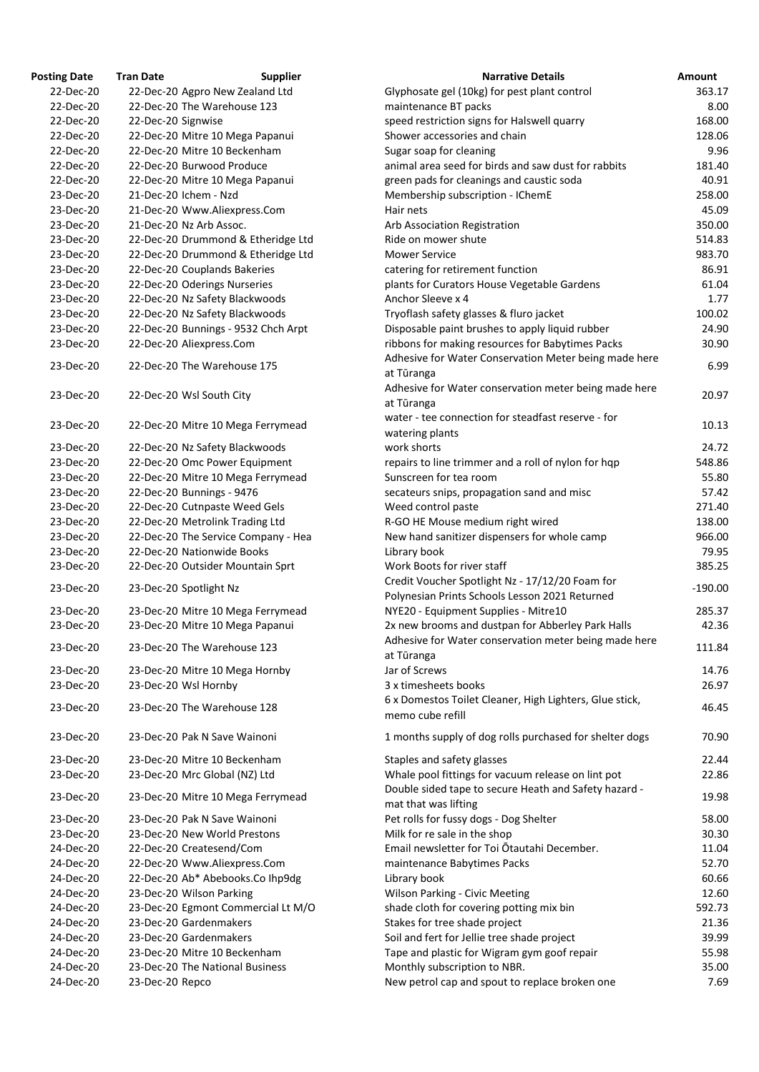| <b>Osting Date</b>     | <b>Tran Date</b>                                               | <b>Supplier</b>                     | <b>Narrative Details</b>                                                                                    |
|------------------------|----------------------------------------------------------------|-------------------------------------|-------------------------------------------------------------------------------------------------------------|
| 22-Dec-20              | 22-Dec-20 Agpro New Zealand Ltd                                |                                     | Glyphosate gel (10kg) for pest plant control                                                                |
| 22-Dec-20              | 22-Dec-20 The Warehouse 123                                    |                                     | maintenance BT packs                                                                                        |
| 22-Dec-20              | 22-Dec-20 Signwise                                             |                                     | speed restriction signs for Halswell quarry                                                                 |
| 22-Dec-20              | 22-Dec-20 Mitre 10 Mega Papanui                                |                                     | Shower accessories and chain                                                                                |
| 22-Dec-20              | 22-Dec-20 Mitre 10 Beckenham                                   |                                     | Sugar soap for cleaning                                                                                     |
| 22-Dec-20              | 22-Dec-20 Burwood Produce                                      |                                     | animal area seed for birds and saw dust for rabbits                                                         |
| 22-Dec-20              | 22-Dec-20 Mitre 10 Mega Papanui                                |                                     | green pads for cleanings and caustic soda                                                                   |
| 23-Dec-20              | 21-Dec-20 Ichem - Nzd                                          |                                     | Membership subscription - IChemE                                                                            |
| 23-Dec-20              | 21-Dec-20 Www.Aliexpress.Com                                   |                                     | Hair nets                                                                                                   |
| 23-Dec-20              | 21-Dec-20 Nz Arb Assoc.                                        |                                     | Arb Association Registration                                                                                |
| 23-Dec-20              |                                                                | 22-Dec-20 Drummond & Etheridge Ltd  | Ride on mower shute                                                                                         |
| 23-Dec-20              |                                                                | 22-Dec-20 Drummond & Etheridge Ltd  | <b>Mower Service</b>                                                                                        |
| 23-Dec-20              | 22-Dec-20 Couplands Bakeries                                   |                                     | catering for retirement function                                                                            |
| 23-Dec-20              | 22-Dec-20 Oderings Nurseries                                   |                                     | plants for Curators House Vegetable Gardens                                                                 |
| 23-Dec-20              | 22-Dec-20 Nz Safety Blackwoods                                 |                                     | Anchor Sleeve x 4                                                                                           |
| 23-Dec-20              | 22-Dec-20 Nz Safety Blackwoods                                 |                                     | Tryoflash safety glasses & fluro jacket                                                                     |
| 23-Dec-20              | 22-Dec-20 Bunnings - 9532 Chch Arpt                            |                                     | Disposable paint brushes to apply liquid rubber                                                             |
| 23-Dec-20              | 22-Dec-20 Aliexpress.Com                                       |                                     | ribbons for making resources for Babytimes Packs                                                            |
| 23-Dec-20              | 22-Dec-20 The Warehouse 175                                    |                                     | Adhesive for Water Conservation Meter being made he<br>at Tūranga                                           |
| 23-Dec-20              | 22-Dec-20 Wsl South City                                       |                                     | Adhesive for Water conservation meter being made he                                                         |
|                        |                                                                |                                     | at Tūranga                                                                                                  |
| 23-Dec-20              | 22-Dec-20 Mitre 10 Mega Ferrymead                              |                                     | water - tee connection for steadfast reserve - for                                                          |
|                        |                                                                |                                     | watering plants<br>work shorts                                                                              |
| 23-Dec-20              | 22-Dec-20 Nz Safety Blackwoods                                 |                                     |                                                                                                             |
| 23-Dec-20              | 22-Dec-20 Omc Power Equipment                                  |                                     | repairs to line trimmer and a roll of nylon for hqp                                                         |
| 23-Dec-20              | 22-Dec-20 Mitre 10 Mega Ferrymead                              |                                     | Sunscreen for tea room                                                                                      |
| 23-Dec-20              | 22-Dec-20 Bunnings - 9476                                      |                                     | secateurs snips, propagation sand and misc                                                                  |
| 23-Dec-20              | 22-Dec-20 Cutnpaste Weed Gels                                  |                                     | Weed control paste                                                                                          |
| 23-Dec-20              | 22-Dec-20 Metrolink Trading Ltd                                |                                     | R-GO HE Mouse medium right wired                                                                            |
| 23-Dec-20              | 22-Dec-20 Nationwide Books                                     | 22-Dec-20 The Service Company - Hea | New hand sanitizer dispensers for whole camp                                                                |
| 23-Dec-20              |                                                                |                                     | Library book<br>Work Boots for river staff                                                                  |
| 23-Dec-20              | 22-Dec-20 Outsider Mountain Sprt                               |                                     |                                                                                                             |
| 23-Dec-20              | 23-Dec-20 Spotlight Nz                                         |                                     | Credit Voucher Spotlight Nz - 17/12/20 Foam for<br>Polynesian Prints Schools Lesson 2021 Returned           |
| 23-Dec-20              | 23-Dec-20 Mitre 10 Mega Ferrymead                              |                                     | NYE20 - Equipment Supplies - Mitre10                                                                        |
| 23-Dec-20<br>23-Dec-20 | 23-Dec-20 Mitre 10 Mega Papanui<br>23-Dec-20 The Warehouse 123 |                                     | 2x new brooms and dustpan for Abberley Park Halls<br>Adhesive for Water conservation meter being made he    |
|                        |                                                                |                                     | at Tūranga                                                                                                  |
| 23-Dec-20              | 23-Dec-20 Mitre 10 Mega Hornby                                 |                                     | Jar of Screws                                                                                               |
| 23-Dec-20              | 23-Dec-20 Wsl Hornby                                           |                                     | 3 x timesheets books                                                                                        |
|                        |                                                                |                                     | 6 x Domestos Toilet Cleaner, High Lighters, Glue stick,                                                     |
| 23-Dec-20              | 23-Dec-20 The Warehouse 128                                    |                                     | memo cube refill                                                                                            |
| 23-Dec-20              | 23-Dec-20 Pak N Save Wainoni                                   |                                     | 1 months supply of dog rolls purchased for shelter dog                                                      |
| 23-Dec-20              | 23-Dec-20 Mitre 10 Beckenham                                   |                                     | Staples and safety glasses                                                                                  |
| 23-Dec-20<br>23-Dec-20 | 23-Dec-20 Mrc Global (NZ) Ltd                                  |                                     | Whale pool fittings for vacuum release on lint pot<br>Double sided tape to secure Heath and Safety hazard - |
|                        | 23-Dec-20 Mitre 10 Mega Ferrymead                              |                                     | mat that was lifting                                                                                        |
| 23-Dec-20              | 23-Dec-20 Pak N Save Wainoni                                   |                                     | Pet rolls for fussy dogs - Dog Shelter                                                                      |
| 23-Dec-20              | 23-Dec-20 New World Prestons                                   |                                     | Milk for re sale in the shop                                                                                |
| 24-Dec-20              | 22-Dec-20 Createsend/Com                                       |                                     | Email newsletter for Toi Ōtautahi December.                                                                 |
| 24-Dec-20              | 22-Dec-20 Www.Aliexpress.Com                                   |                                     | maintenance Babytimes Packs                                                                                 |
| 24-Dec-20              | 22-Dec-20 Ab* Abebooks.Co Ihp9dg                               |                                     | Library book                                                                                                |
| 24-Dec-20              | 23-Dec-20 Wilson Parking                                       |                                     | <b>Wilson Parking - Civic Meeting</b>                                                                       |
| 24-Dec-20              |                                                                | 23-Dec-20 Egmont Commercial Lt M/O  | shade cloth for covering potting mix bin                                                                    |
| 24-Dec-20              | 23-Dec-20 Gardenmakers                                         |                                     | Stakes for tree shade project                                                                               |
| 24-Dec-20              | 23-Dec-20 Gardenmakers                                         |                                     | Soil and fert for Jellie tree shade project                                                                 |
| 24-Dec-20              | 23-Dec-20 Mitre 10 Beckenham                                   |                                     | Tape and plastic for Wigram gym goof repair                                                                 |
| 24-Dec-20              | 23-Dec-20 The National Business                                |                                     | Monthly subscription to NBR.                                                                                |
| 24-Dec-20              | 23-Dec-20 Repco                                                |                                     | New petrol cap and spout to replace broken one                                                              |

| <b>Posting Date</b>    | <b>Tran Date</b>   | <b>Supplier</b>                     | <b>Narrative Details</b>                                | Amount    |
|------------------------|--------------------|-------------------------------------|---------------------------------------------------------|-----------|
| 22-Dec-20              |                    | 22-Dec-20 Agpro New Zealand Ltd     | Glyphosate gel (10kg) for pest plant control            | 363.17    |
| 22-Dec-20              |                    | 22-Dec-20 The Warehouse 123         | maintenance BT packs                                    | 8.00      |
| 22-Dec-20              | 22-Dec-20 Signwise |                                     | speed restriction signs for Halswell quarry             | 168.00    |
| 22-Dec-20              |                    | 22-Dec-20 Mitre 10 Mega Papanui     | Shower accessories and chain                            | 128.06    |
| 22-Dec-20              |                    | 22-Dec-20 Mitre 10 Beckenham        | Sugar soap for cleaning                                 | 9.96      |
| 22-Dec-20              |                    | 22-Dec-20 Burwood Produce           | animal area seed for birds and saw dust for rabbits     | 181.40    |
| 22-Dec-20              |                    | 22-Dec-20 Mitre 10 Mega Papanui     | green pads for cleanings and caustic soda               | 40.91     |
| 23-Dec-20              |                    | 21-Dec-20 Ichem - Nzd               | Membership subscription - IChemE                        | 258.00    |
| 23-Dec-20              |                    | 21-Dec-20 Www.Aliexpress.Com        | Hair nets                                               | 45.09     |
| 23-Dec-20              |                    | 21-Dec-20 Nz Arb Assoc.             | Arb Association Registration                            | 350.00    |
| 23-Dec-20              |                    | 22-Dec-20 Drummond & Etheridge Ltd  | Ride on mower shute                                     | 514.83    |
| 23-Dec-20              |                    | 22-Dec-20 Drummond & Etheridge Ltd  | <b>Mower Service</b>                                    | 983.70    |
| 23-Dec-20              |                    | 22-Dec-20 Couplands Bakeries        | catering for retirement function                        | 86.91     |
| 23-Dec-20              |                    | 22-Dec-20 Oderings Nurseries        | plants for Curators House Vegetable Gardens             | 61.04     |
| 23-Dec-20              |                    | 22-Dec-20 Nz Safety Blackwoods      | Anchor Sleeve x 4                                       | 1.77      |
| 23-Dec-20              |                    | 22-Dec-20 Nz Safety Blackwoods      | Tryoflash safety glasses & fluro jacket                 | 100.02    |
| 23-Dec-20              |                    | 22-Dec-20 Bunnings - 9532 Chch Arpt | Disposable paint brushes to apply liquid rubber         | 24.90     |
| 23-Dec-20              |                    | 22-Dec-20 Aliexpress.Com            | ribbons for making resources for Babytimes Packs        | 30.90     |
|                        |                    |                                     | Adhesive for Water Conservation Meter being made here   |           |
| 23-Dec-20              |                    | 22-Dec-20 The Warehouse 175         | at Tūranga                                              | 6.99      |
|                        |                    |                                     | Adhesive for Water conservation meter being made here   |           |
| 23-Dec-20              |                    | 22-Dec-20 Wsl South City            | at Tūranga                                              | 20.97     |
|                        |                    |                                     | water - tee connection for steadfast reserve - for      |           |
| 23-Dec-20              |                    | 22-Dec-20 Mitre 10 Mega Ferrymead   |                                                         | 10.13     |
|                        |                    |                                     | watering plants<br>work shorts                          | 24.72     |
| 23-Dec-20<br>23-Dec-20 |                    | 22-Dec-20 Nz Safety Blackwoods      |                                                         |           |
|                        |                    | 22-Dec-20 Omc Power Equipment       | repairs to line trimmer and a roll of nylon for hqp     | 548.86    |
| 23-Dec-20              |                    | 22-Dec-20 Mitre 10 Mega Ferrymead   | Sunscreen for tea room                                  | 55.80     |
| 23-Dec-20              |                    | 22-Dec-20 Bunnings - 9476           | secateurs snips, propagation sand and misc              | 57.42     |
| 23-Dec-20              |                    | 22-Dec-20 Cutnpaste Weed Gels       | Weed control paste                                      | 271.40    |
| 23-Dec-20              |                    | 22-Dec-20 Metrolink Trading Ltd     | R-GO HE Mouse medium right wired                        | 138.00    |
| 23-Dec-20              |                    | 22-Dec-20 The Service Company - Hea | New hand sanitizer dispensers for whole camp            | 966.00    |
| 23-Dec-20              |                    | 22-Dec-20 Nationwide Books          | Library book                                            | 79.95     |
| 23-Dec-20              |                    | 22-Dec-20 Outsider Mountain Sprt    | Work Boots for river staff                              | 385.25    |
| 23-Dec-20              |                    | 23-Dec-20 Spotlight Nz              | Credit Voucher Spotlight Nz - 17/12/20 Foam for         | $-190.00$ |
|                        |                    |                                     | Polynesian Prints Schools Lesson 2021 Returned          |           |
| 23-Dec-20              |                    | 23-Dec-20 Mitre 10 Mega Ferrymead   | NYE20 - Equipment Supplies - Mitre10                    | 285.37    |
| 23-Dec-20              |                    | 23-Dec-20 Mitre 10 Mega Papanui     | 2x new brooms and dustpan for Abberley Park Halls       | 42.36     |
| 23-Dec-20              |                    | 23-Dec-20 The Warehouse 123         | Adhesive for Water conservation meter being made here   | 111.84    |
|                        |                    |                                     | at Tūranga                                              |           |
| 23-Dec-20              |                    | 23-Dec-20 Mitre 10 Mega Hornby      | Jar of Screws                                           | 14.76     |
| 23-Dec-20              |                    | 23-Dec-20 Wsl Hornby                | 3 x timesheets books                                    | 26.97     |
| 23-Dec-20              |                    | 23-Dec-20 The Warehouse 128         | 6 x Domestos Toilet Cleaner, High Lighters, Glue stick, | 46.45     |
|                        |                    |                                     | memo cube refill                                        |           |
|                        |                    |                                     |                                                         |           |
| 23-Dec-20              |                    | 23-Dec-20 Pak N Save Wainoni        | 1 months supply of dog rolls purchased for shelter dogs | 70.90     |
| 23-Dec-20              |                    | 23-Dec-20 Mitre 10 Beckenham        | Staples and safety glasses                              | 22.44     |
| 23-Dec-20              |                    | 23-Dec-20 Mrc Global (NZ) Ltd       | Whale pool fittings for vacuum release on lint pot      | 22.86     |
|                        |                    |                                     | Double sided tape to secure Heath and Safety hazard -   |           |
| 23-Dec-20              |                    | 23-Dec-20 Mitre 10 Mega Ferrymead   | mat that was lifting                                    | 19.98     |
| 23-Dec-20              |                    | 23-Dec-20 Pak N Save Wainoni        | Pet rolls for fussy dogs - Dog Shelter                  | 58.00     |
| 23-Dec-20              |                    | 23-Dec-20 New World Prestons        | Milk for re sale in the shop                            | 30.30     |
| 24-Dec-20              |                    | 22-Dec-20 Createsend/Com            | Email newsletter for Toi Otautahi December.             | 11.04     |
| 24-Dec-20              |                    | 22-Dec-20 Www.Aliexpress.Com        | maintenance Babytimes Packs                             | 52.70     |
| 24-Dec-20              |                    | 22-Dec-20 Ab* Abebooks.Co Ihp9dg    | Library book                                            | 60.66     |
| 24-Dec-20              |                    | 23-Dec-20 Wilson Parking            | <b>Wilson Parking - Civic Meeting</b>                   | 12.60     |
| 24-Dec-20              |                    | 23-Dec-20 Egmont Commercial Lt M/O  | shade cloth for covering potting mix bin                | 592.73    |
| 24-Dec-20              |                    | 23-Dec-20 Gardenmakers              | Stakes for tree shade project                           | 21.36     |
| 24-Dec-20              |                    | 23-Dec-20 Gardenmakers              |                                                         | 39.99     |
|                        |                    |                                     | Soil and fert for Jellie tree shade project             |           |
| 24-Dec-20              |                    | 23-Dec-20 Mitre 10 Beckenham        | Tape and plastic for Wigram gym goof repair             | 55.98     |
| 24-Dec-20              |                    | 23-Dec-20 The National Business     | Monthly subscription to NBR.                            | 35.00     |
| 24-Dec-20              | 23-Dec-20 Repco    |                                     | New petrol cap and spout to replace broken one          | 7.69      |